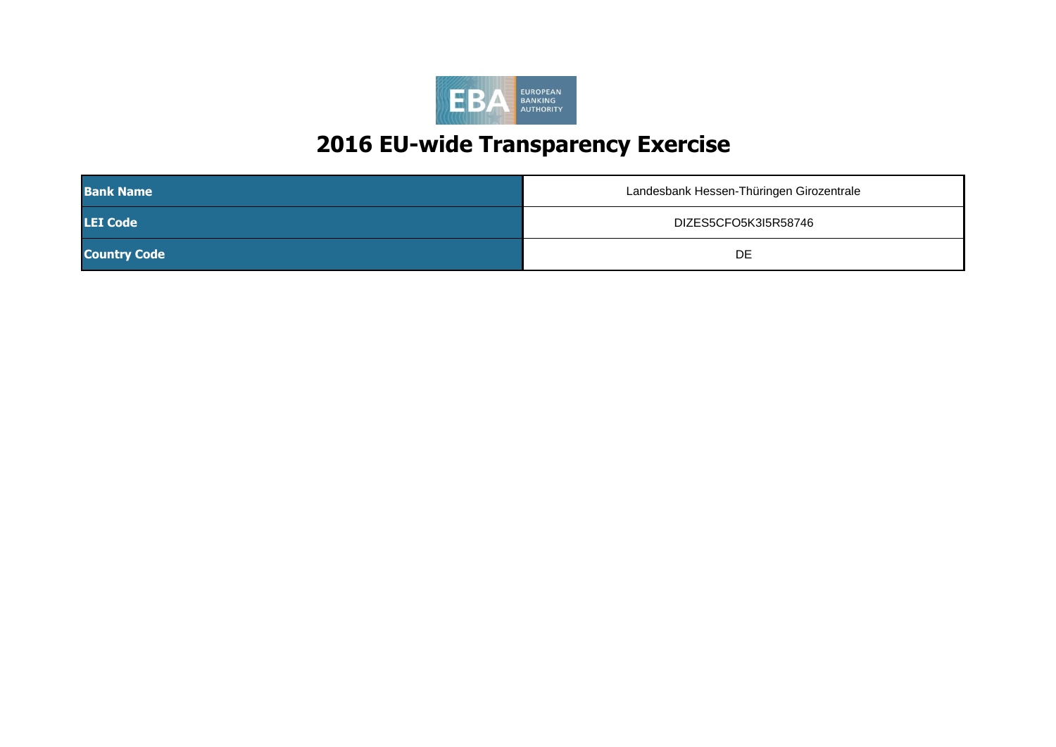

| <b>Bank Name</b>    | Landesbank Hessen-Thüringen Girozentrale |
|---------------------|------------------------------------------|
| <b>LEI Code</b>     | DIZES5CFO5K3I5R58746                     |
| <b>Country Code</b> | DE                                       |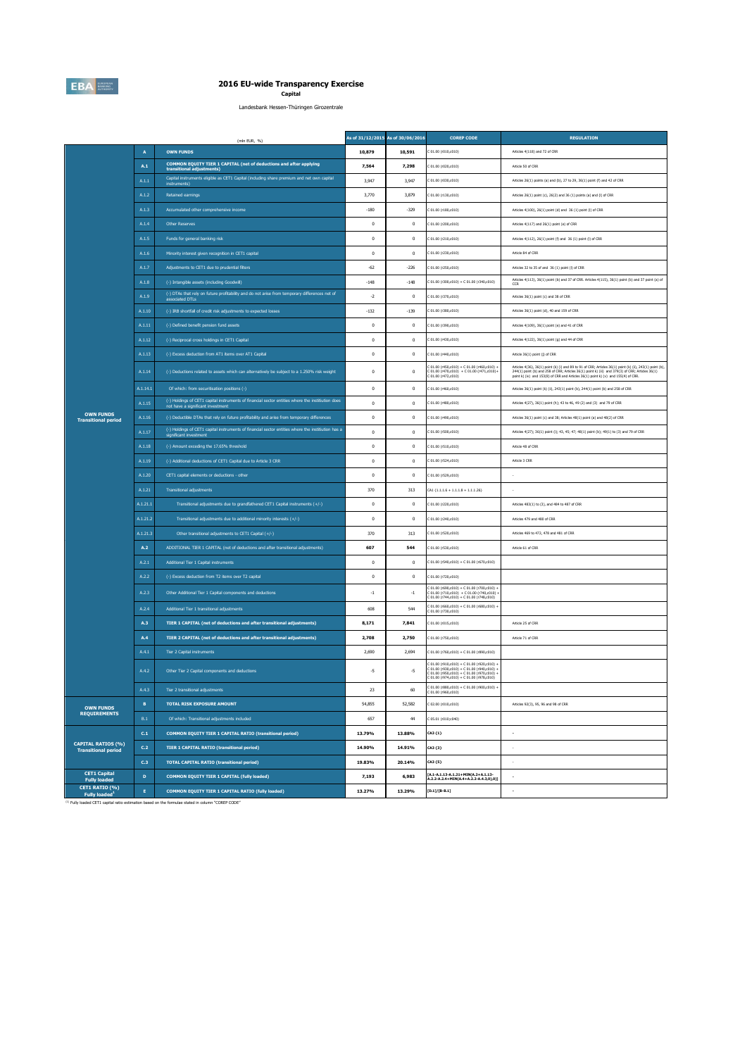

## **2016 EU-wide Transparency Exercise Capital**

Landesbank Hessen-Thüringen Girozentrale

| (mln EUR, %)                                            |                |                                                                                                                                       |              | As of 31/12/2015 As of 30/06/2016 | <b>COREP CODE</b>                                                                                                                                                                  | <b>REGULATION</b>                                                                                                                                                                                                                                                                                                                               |
|---------------------------------------------------------|----------------|---------------------------------------------------------------------------------------------------------------------------------------|--------------|-----------------------------------|------------------------------------------------------------------------------------------------------------------------------------------------------------------------------------|-------------------------------------------------------------------------------------------------------------------------------------------------------------------------------------------------------------------------------------------------------------------------------------------------------------------------------------------------|
|                                                         | $\overline{A}$ | <b>OWN FUNDS</b>                                                                                                                      | 10,879       | 10,591                            | 01.00 (r010,c010)                                                                                                                                                                  | Articles 4(118) and 72 of CRR                                                                                                                                                                                                                                                                                                                   |
|                                                         | $\mathbf{A.1}$ | COMMON EQUITY TIER 1 CAPITAL (net of deductions and after applying<br>transitional adjustments)                                       | 7,564        | 7,298                             | C 01.00 (r020,c010)                                                                                                                                                                | Article 50 of CRR                                                                                                                                                                                                                                                                                                                               |
|                                                         | A.1.1          | Capital instruments eligible as CET1 Capital (including share premium and net own capital<br>instruments)                             | 3,947        | 3,947                             | 01.00 (r030,c010)                                                                                                                                                                  | Articles 26(1) points (a) and (b), 27 to 29, 36(1) point (f) and 42 of CRR                                                                                                                                                                                                                                                                      |
|                                                         | A.1.2          | <b>Retained earnings</b>                                                                                                              | 3,770        | 3,879                             | 01.00 (r130, c010)                                                                                                                                                                 | Articles 26(1) point (c), 26(2) and 36 (1) points (a) and (f) of CRR                                                                                                                                                                                                                                                                            |
|                                                         | A.1.3          | Accumulated other comprehensive income                                                                                                | $-180$       | $-329$                            | 01.00 (r180,c010)                                                                                                                                                                  | Articles 4(100), 26(1) point (d) and 36 (1) point (l) of CRR                                                                                                                                                                                                                                                                                    |
|                                                         | A.1.4          | Other Reserves                                                                                                                        | $\bf 0$      | $\pmb{0}$                         | 01.00 (r200,c010)                                                                                                                                                                  | Articles 4(117) and 26(1) point (e) of CRR                                                                                                                                                                                                                                                                                                      |
|                                                         | A.1.5          | Funds for general banking risk                                                                                                        | $\mathbf{0}$ | $\mathbf{0}$                      | 201.00 (r210, c010)                                                                                                                                                                | Articles 4(112), 26(1) point (f) and 36 (1) point (l) of CRR                                                                                                                                                                                                                                                                                    |
|                                                         | $A.1.6$        | Minority interest given recognition in CET1 capital                                                                                   | $\mathbf 0$  | $\mathbf 0$                       | 01.00 (r230, c010)                                                                                                                                                                 | Article 84 of CRR                                                                                                                                                                                                                                                                                                                               |
|                                                         | A.1.7          | Adjustments to CET1 due to prudential filters                                                                                         | $-62$        | $-226$                            | C 01.00 (r250,c010)                                                                                                                                                                | Articles 32 to 35 of and 36 (1) point (I) of CRR                                                                                                                                                                                                                                                                                                |
|                                                         | A.1.8          | (-) Intangible assets (including Goodwill)                                                                                            | $-148$       | $-148$                            | C 01.00 (r300,c010) + C 01.00 (r340,c010)                                                                                                                                          | Articles 4(113), 36(1) point (b) and 37 of CRR. Articles 4(115), 36(1) point (b) and 37 point (a) of<br>CCR                                                                                                                                                                                                                                     |
|                                                         | A.1.9          | (-) DTAs that rely on future profitability and do not arise from temporary differences net of<br>associated DTLs                      | $-2$         | $\mathbf 0$                       | 01.00 (r370,c010)                                                                                                                                                                  | Articles 36(1) point (c) and 38 of CRR                                                                                                                                                                                                                                                                                                          |
|                                                         | A.1.10         | (-) IRB shortfall of credit risk adjustments to expected losses                                                                       | $-132$       | $-139$                            | 01.00 (r380,c010)                                                                                                                                                                  | Articles 36(1) point (d), 40 and 159 of CRR                                                                                                                                                                                                                                                                                                     |
|                                                         | A.1.11         | (-) Defined benefit pension fund assets                                                                                               | $\mathbf{0}$ | $^{\circ}$                        | C 01.00 (r390,c010)                                                                                                                                                                | Articles 4(109), 36(1) point (e) and 41 of CRR                                                                                                                                                                                                                                                                                                  |
|                                                         | A.1.12         | (-) Reciprocal cross holdings in CET1 Capital                                                                                         | $\mathbf 0$  | $\bf 0$                           | C 01.00 (r430,c010)                                                                                                                                                                | Articles 4(122), 36(1) point (g) and 44 of CRR                                                                                                                                                                                                                                                                                                  |
|                                                         | A.1.13         | (-) Excess deduction from AT1 items over AT1 Capital                                                                                  | $\mathbf 0$  | $\bf 0$                           | 01.00 (r440,c010)                                                                                                                                                                  | Article 36(1) point (j) of CRR                                                                                                                                                                                                                                                                                                                  |
|                                                         | A.1.14         | (-) Deductions related to assets which can alternatively be subject to a 1.250% risk weight                                           | $\mathbf 0$  | $\bf 0$                           | $201.00$ (r450,c010) + C 01.00 (r460,c010) -<br>: 01.00 (r470,c010) + C 01.00 (r471,c010)+<br>: 01.00 (r472,c010)                                                                  | Articles 4(36), 36(1) point (k) (i) and 89 to 91 of CRR; Articles 36(1) point (k) (i), 243(1) point (b),<br>Patter (1) paint (b) and 258 of CRR; Articles 36(1) point k) (ii) and 379(3) of CRR; Articles 36(1)<br>point k) (iv) and 153(8) of CRR articles 36(1) point k) (ii) and 379(3) of CRR; Articles 36(1)<br>point k) (v) and 155(4) of |
|                                                         | A.1.14.1       | Of which: from securitisation positions (-)                                                                                           | $\mathbf 0$  | $\bf 0$                           | 01.00 (r460,c010)                                                                                                                                                                  | Articles 36(1) point (k) (ii), 243(1) point (b), 244(1) point (b) and 258 of CRR                                                                                                                                                                                                                                                                |
|                                                         | A.1.15         | (-) Holdings of CET1 capital instruments of financial sector entities where the institution does<br>not have a significant investment | $\mathbf 0$  | $\pmb{0}$                         | 01.00 (r480,c010)                                                                                                                                                                  | Articles 4(27), 36(1) point (h); 43 to 46, 49 (2) and (3) and 79 of CRR                                                                                                                                                                                                                                                                         |
| <b>OWN FUNDS</b><br><b>Transitional period</b>          | A.1.16         | (-) Deductible DTAs that rely on future profitability and arise from temporary differences                                            | $\mathbf{0}$ | $^{\circ}$                        | 01.00 (r490,c010)                                                                                                                                                                  | Articles 36(1) point (c) and 38; Articles 48(1) point (a) and 48(2) of CRR                                                                                                                                                                                                                                                                      |
|                                                         | A.1.17         | (-) Holdings of CET1 capital instruments of financial sector entities where the institution has a<br>significant investment           | $\mathbf 0$  | $\bf 0$                           | 01.00 (r500,c010)                                                                                                                                                                  | Articles 4(27); 36(1) point (i); 43, 45; 47; 48(1) point (b); 49(1) to (3) and 79 of CRR                                                                                                                                                                                                                                                        |
|                                                         | A.1.18         | (-) Amount exceding the 17.65% threshold                                                                                              | $\mathbf 0$  | $\bf{0}$                          | 01.00 (r510,c010)                                                                                                                                                                  | Article 48 of CRR                                                                                                                                                                                                                                                                                                                               |
|                                                         | A.1.19         | (-) Additional deductions of CET1 Capital due to Article 3 CRR                                                                        | $\mathbf 0$  | $\mathbf{0}$                      | C 01.00 (rS24,c010)                                                                                                                                                                | Article 3 CRR                                                                                                                                                                                                                                                                                                                                   |
|                                                         | A.1.20         | CET1 capital elements or deductions - other                                                                                           | $\mathbf{0}$ | $^{\circ}$                        | C 01.00 (r529,c010)                                                                                                                                                                |                                                                                                                                                                                                                                                                                                                                                 |
|                                                         | A.1.21         | <b>Transitional adjustments</b>                                                                                                       | 370          | 313                               | $CA1(1.1.1.6 + 1.1.1.8 + 1.1.1.26)$                                                                                                                                                |                                                                                                                                                                                                                                                                                                                                                 |
|                                                         | A.1.21.1       | Transitional adjustments due to grandfathered CET1 Capital instruments (+/-)                                                          | $\mathbf 0$  | $\bf{0}$                          | 01.00 (r220,c010)                                                                                                                                                                  | Articles 483(1) to (3), and 484 to 487 of CRR                                                                                                                                                                                                                                                                                                   |
|                                                         | A.1.21.2       | Transitional adjustments due to additional minority interests (+/-)                                                                   | $\mathbf{0}$ | $\mathbf{0}$                      | 01.00 (r240,c010)                                                                                                                                                                  | Articles 479 and 480 of CRR                                                                                                                                                                                                                                                                                                                     |
|                                                         | A.1.21.3       | Other transitional adjustments to CET1 Capital (+/-)                                                                                  | 370          | 313                               | 01.00 (r520,c010)                                                                                                                                                                  | Articles 469 to 472, 478 and 481 of CRR                                                                                                                                                                                                                                                                                                         |
|                                                         | A.2            | ADDITIONAL TIER 1 CAPITAL (net of deductions and after transitional adjustments)                                                      | 607          | 544                               | 01.00 (r530,c010)                                                                                                                                                                  | Article 61 of CRR                                                                                                                                                                                                                                                                                                                               |
|                                                         | A.2.1          | Additional Tier 1 Capital instruments                                                                                                 | $\mathbf{0}$ | $^{\circ}$                        | C 01.00 (r540,c010) + C 01.00 (r670,c010)                                                                                                                                          |                                                                                                                                                                                                                                                                                                                                                 |
|                                                         | A.2.2          | (-) Excess deduction from T2 items over T2 capital                                                                                    | $\mathbf 0$  | $\mathbf 0$                       | 01.00 (r720,c010)                                                                                                                                                                  |                                                                                                                                                                                                                                                                                                                                                 |
|                                                         | A.2.3          | Other Additional Tier 1 Capital components and deductions                                                                             | $\cdot 1$    | $^{\circ1}$                       | (101.00 (r690,c010) + C 01.00 (r700,c010) +<br>(01.00 (r710,c010) + C 01.00 (r740,c010)<br>$01.00 (r744, c010) + C 01.00 (r748, c010)$                                             |                                                                                                                                                                                                                                                                                                                                                 |
|                                                         | A.2.4          | Additional Tier 1 transitional adjustments                                                                                            | 608          | 544                               | : 01.00 (r660,c010) + C 01.00 (r680,c010) +<br>: 01.00 (r730,c010)                                                                                                                 |                                                                                                                                                                                                                                                                                                                                                 |
|                                                         | A.3            | TIER 1 CAPITAL (net of deductions and after transitional adjustments)                                                                 | 8,171        | 7,841                             | 01.00 (r015,c010)                                                                                                                                                                  | Article 25 of CRR                                                                                                                                                                                                                                                                                                                               |
|                                                         | A.4            | TIER 2 CAPITAL (net of deductions and after transitional adjustments)                                                                 | 2,708        | 2,750                             | C 01.00 (r750,c010)                                                                                                                                                                | Article 71 of CRR                                                                                                                                                                                                                                                                                                                               |
|                                                         | A.4.1          | Tier 2 Capital instruments                                                                                                            | 2,690        | 2,694                             | C 01.00 (r760.c010) + C 01.00 (r890.c010)                                                                                                                                          |                                                                                                                                                                                                                                                                                                                                                 |
|                                                         | A.4.2          | Other Tier 2 Capital components and deductions                                                                                        | $-5$         | -5                                | C 01.00 (r910.c010) + C 01.00 (r920.c010) +<br>01.00 (r930,c010) + C 01.00 (r940,c010) +<br>$01.00$ (r950.c010) + C 01.00 (r970.c010) +<br>01.00 (r974,c010) + C 01.00 (r978,c010) |                                                                                                                                                                                                                                                                                                                                                 |
|                                                         | A.4.3          | Tier 2 transitional adjustments                                                                                                       | $23\,$       | 60                                | $C 01.00 (r880, c010) + C 01.00 (r900, c010) +$<br>C 01.00 (r960,c010)                                                                                                             |                                                                                                                                                                                                                                                                                                                                                 |
| <b>OWN FUNDS</b>                                        | $\mathbf B$    | TOTAL RISK EXPOSURE AMOUNT                                                                                                            | 54,855       | 52,582                            | 202.00 (r010, c010)                                                                                                                                                                | Articles 92(3), 95, 96 and 98 of CRR                                                                                                                                                                                                                                                                                                            |
| <b>REQUIREMENTS</b>                                     | B.1            | Of which: Transitional adjustments included                                                                                           | 657          | 44                                | 05.01 (r010;c040)                                                                                                                                                                  |                                                                                                                                                                                                                                                                                                                                                 |
|                                                         | C.1            | <b>COMMON EQUITY TIER 1 CAPITAL RATIO (transitional period)</b>                                                                       | 13.79%       | 13.88%                            | CA3 {1}                                                                                                                                                                            | ÷,                                                                                                                                                                                                                                                                                                                                              |
| <b>CAPITAL RATIOS (%)</b><br><b>Transitional period</b> | C.2            | <b>TIER 1 CAPITAL RATIO (transitional period)</b>                                                                                     | 14.90%       | 14.91%                            | CA3 {3}                                                                                                                                                                            |                                                                                                                                                                                                                                                                                                                                                 |
|                                                         | C.3            | <b>TOTAL CAPITAL RATIO (transitional period)</b>                                                                                      | 19.83%       | 20.14%                            | CA3 (5)                                                                                                                                                                            | $\overline{\phantom{a}}$                                                                                                                                                                                                                                                                                                                        |
| <b>CET1 Capital</b><br><b>Fully loaded</b>              | $\mathbf{D}$   | COMMON EQUITY TIER 1 CAPITAL (fully loaded)                                                                                           | 7,193        | 6,983                             | [A.1-A.1.13-A.1.21+MIN(A.2+A.1.13-<br>A.2.2-A.2.4+MIN(A.4+A.2.2-A.4.3,0),0)]                                                                                                       |                                                                                                                                                                                                                                                                                                                                                 |
| CET1 RATIO (%)<br>Fully loaded <sup>1</sup>             | $\mathbf{E}$   | COMMON EQUITY TIER 1 CAPITAL RATIO (fully loaded)                                                                                     | 13.27%       | 13.29%                            | $[D.1]/[B-B.1]$                                                                                                                                                                    |                                                                                                                                                                                                                                                                                                                                                 |

(1) Fully loaded CET1 capital ratio estimation based on the formulae stated in column "COREP CODE"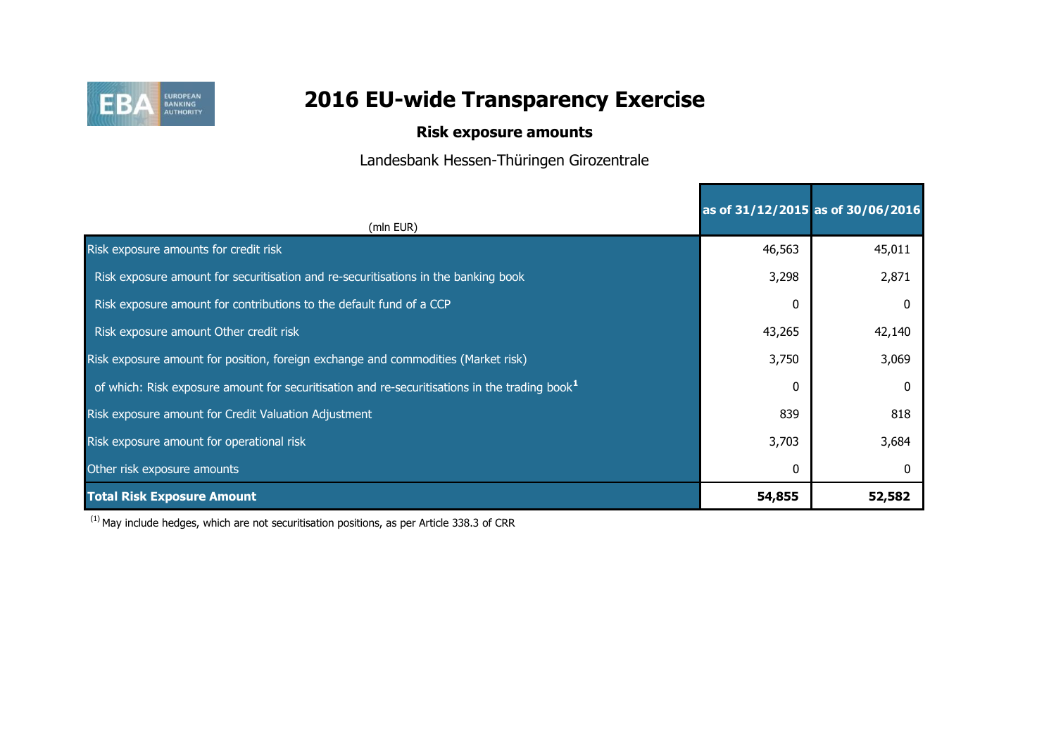

## **Risk exposure amounts**

Landesbank Hessen-Thüringen Girozentrale

|                                                                                                           | as of 31/12/2015 as of 30/06/2016 |        |
|-----------------------------------------------------------------------------------------------------------|-----------------------------------|--------|
| (mln EUR)                                                                                                 |                                   |        |
| Risk exposure amounts for credit risk                                                                     | 46,563                            | 45,011 |
| Risk exposure amount for securitisation and re-securitisations in the banking book                        | 3,298                             | 2,871  |
| Risk exposure amount for contributions to the default fund of a CCP                                       | 0                                 |        |
| Risk exposure amount Other credit risk                                                                    | 43,265                            | 42,140 |
| Risk exposure amount for position, foreign exchange and commodities (Market risk)                         | 3,750                             | 3,069  |
| of which: Risk exposure amount for securitisation and re-securitisations in the trading book <sup>1</sup> | 0                                 |        |
| Risk exposure amount for Credit Valuation Adjustment                                                      | 839                               | 818    |
| Risk exposure amount for operational risk                                                                 | 3,703                             | 3,684  |
| Other risk exposure amounts                                                                               | 0                                 |        |
| <b>Total Risk Exposure Amount</b>                                                                         | 54,855                            | 52,582 |

 $(1)$  May include hedges, which are not securitisation positions, as per Article 338.3 of CRR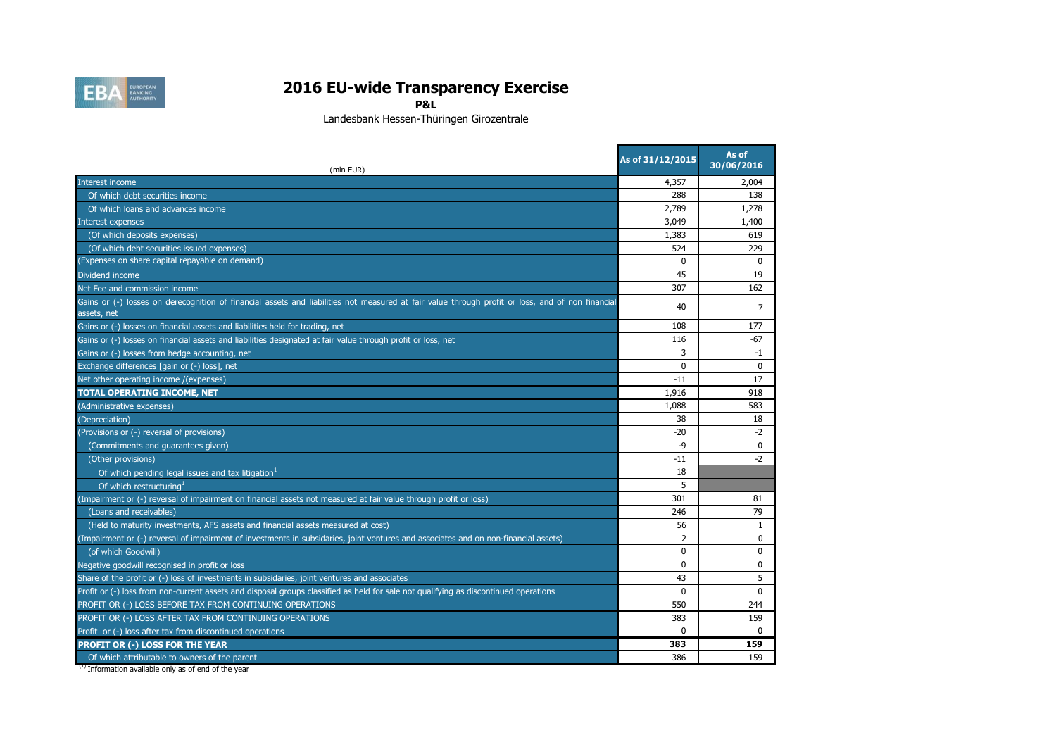

**P&L**

Landesbank Hessen-Thüringen Girozentrale

| (mln EUR)                                                                                                                                                       | As of 31/12/2015 | As of<br>30/06/2016 |
|-----------------------------------------------------------------------------------------------------------------------------------------------------------------|------------------|---------------------|
| Interest income                                                                                                                                                 | 4,357            | 2,004               |
| Of which debt securities income                                                                                                                                 | 288              | 138                 |
| Of which loans and advances income                                                                                                                              | 2,789            | 1,278               |
| Interest expenses                                                                                                                                               | 3,049            | 1,400               |
| (Of which deposits expenses)                                                                                                                                    | 1,383            | 619                 |
| (Of which debt securities issued expenses)                                                                                                                      | 524              | 229                 |
| (Expenses on share capital repayable on demand)                                                                                                                 | $\mathbf 0$      | $\mathbf{0}$        |
| Dividend income                                                                                                                                                 | 45               | 19                  |
| Net Fee and commission income                                                                                                                                   | 307              | 162                 |
| Gains or (-) losses on derecognition of financial assets and liabilities not measured at fair value through profit or loss, and of non financial<br>assets, net | 40               | 7                   |
| Gains or (-) losses on financial assets and liabilities held for trading, net                                                                                   | 108              | 177                 |
| Gains or (-) losses on financial assets and liabilities designated at fair value through profit or loss, net                                                    | 116              | -67                 |
| Gains or (-) losses from hedge accounting, net                                                                                                                  | 3                | $-1$                |
| Exchange differences [gain or (-) loss], net                                                                                                                    | $\Omega$         | $\mathbf{0}$        |
| Net other operating income /(expenses)                                                                                                                          | $-11$            | 17                  |
| <b>TOTAL OPERATING INCOME, NET</b>                                                                                                                              | 1,916            | 918                 |
| (Administrative expenses)                                                                                                                                       | 1,088            | 583                 |
| (Depreciation)                                                                                                                                                  | 38               | 18                  |
| (Provisions or (-) reversal of provisions)                                                                                                                      | -20              | $-2$                |
| (Commitments and guarantees given)                                                                                                                              | $-9$             | $\mathbf{0}$        |
| (Other provisions)                                                                                                                                              | $-11$            | $-2$                |
| Of which pending legal issues and tax litigation <sup>1</sup>                                                                                                   | 18               |                     |
| Of which restructuring                                                                                                                                          | 5                |                     |
| (Impairment or (-) reversal of impairment on financial assets not measured at fair value through profit or loss)                                                | 301              | 81                  |
| (Loans and receivables)                                                                                                                                         | 246              | 79                  |
| (Held to maturity investments, AFS assets and financial assets measured at cost)                                                                                | 56               | $\mathbf{1}$        |
| (Impairment or (-) reversal of impairment of investments in subsidaries, joint ventures and associates and on non-financial assets)                             | 2                | 0                   |
| (of which Goodwill)                                                                                                                                             | $\Omega$         | $\Omega$            |
| Negative goodwill recognised in profit or loss                                                                                                                  | $\mathbf 0$      | 0                   |
| Share of the profit or (-) loss of investments in subsidaries, joint ventures and associates                                                                    | 43               | 5                   |
| Profit or (-) loss from non-current assets and disposal groups classified as held for sale not qualifying as discontinued operations                            | $\Omega$         | $\Omega$            |
| PROFIT OR (-) LOSS BEFORE TAX FROM CONTINUING OPERATIONS                                                                                                        | 550              | 244                 |
| PROFIT OR (-) LOSS AFTER TAX FROM CONTINUING OPERATIONS                                                                                                         | 383              | 159                 |
| Profit or (-) loss after tax from discontinued operations                                                                                                       | $\Omega$         | $\Omega$            |
| PROFIT OR (-) LOSS FOR THE YEAR                                                                                                                                 | 383              | 159                 |
| Of which attributable to owners of the parent                                                                                                                   | 386              | 159                 |

<sup>(1)</sup> Information available only as of end of the year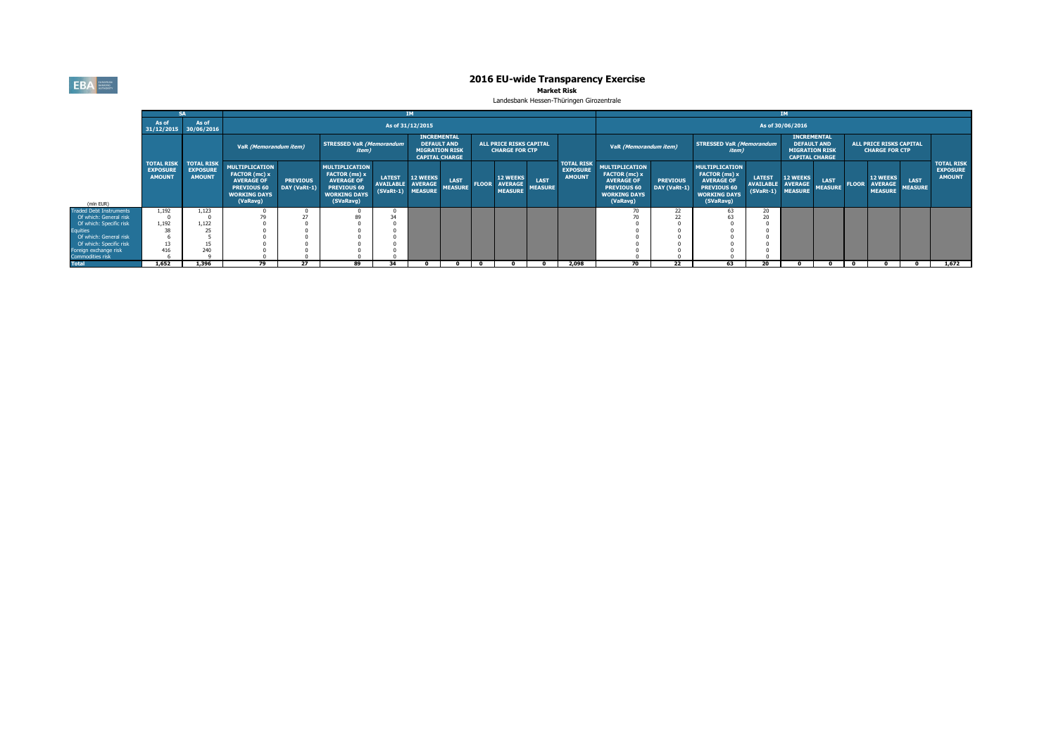**EBA** EUROPEAN

# **2016 EU-wide Transparency Exercise**<br>Market Risk

Landesbank Hessen-Thüringen Girozentrale

|                                           |                                                       |                                                       |                                                                                                               |                                 |                                                                                                                |               |                                                                                            |                               |                                                           | <b>IM</b>              |                                                       |                                                                                                                      |                                 |                                                                                                                |                                                         |                                                                                            |                               |              |                                                         |                        |                                                       |
|-------------------------------------------|-------------------------------------------------------|-------------------------------------------------------|---------------------------------------------------------------------------------------------------------------|---------------------------------|----------------------------------------------------------------------------------------------------------------|---------------|--------------------------------------------------------------------------------------------|-------------------------------|-----------------------------------------------------------|------------------------|-------------------------------------------------------|----------------------------------------------------------------------------------------------------------------------|---------------------------------|----------------------------------------------------------------------------------------------------------------|---------------------------------------------------------|--------------------------------------------------------------------------------------------|-------------------------------|--------------|---------------------------------------------------------|------------------------|-------------------------------------------------------|
|                                           | As of<br>31/12/2015 30/06/2016                        | As of                                                 |                                                                                                               |                                 |                                                                                                                |               | As of 31/12/2015                                                                           |                               |                                                           |                        |                                                       | As of 30/06/2016                                                                                                     |                                 |                                                                                                                |                                                         |                                                                                            |                               |              |                                                         |                        |                                                       |
|                                           |                                                       |                                                       | VaR (Memorandum item)                                                                                         |                                 | <b>STRESSED VaR (Memorandum</b><br><i>item</i> )                                                               |               | <b>INCREMENTAL</b><br><b>DEFAULT AND</b><br><b>MIGRATION RISK</b><br><b>CAPITAL CHARGE</b> |                               | ALL PRICE RISKS CAPITAL<br><b>CHARGE FOR CTP</b>          |                        |                                                       | VaR (Memorandum item)                                                                                                |                                 | <b>STRESSED VaR (Memorandum</b><br><i>item</i> )                                                               |                                                         | <b>INCREMENTAL</b><br><b>DEFAULT AND</b><br><b>MIGRATION RISK</b><br><b>CAPITAL CHARGE</b> |                               |              | <b>ALL PRICE RISKS CAPITAL</b><br><b>CHARGE FOR CTP</b> |                        |                                                       |
| (mln EUR)                                 | <b>TOTAL RISK</b><br><b>EXPOSURE</b><br><b>AMOUNT</b> | <b>TOTAL RISK</b><br><b>EXPOSURE</b><br><b>AMOUNT</b> | <b>MULTIPLICATION</b><br>FACTOR (mc) x<br><b>AVERAGE OF</b><br>PREVIOUS 60<br><b>WORKING DAYS</b><br>(VaRavg) | <b>PREVIOUS</b><br>DAY (VaRt-1) | <b>MULTIPLICATION</b><br>FACTOR (ms) x<br><b>AVERAGE OF</b><br>PREVIOUS 60<br><b>WORKING DAYS</b><br>(SVaRavg) | <b>LATEST</b> | <b>12 WEEKS</b><br><b>AVAILABLE AVERAGE</b><br>(SVaRt-1) MEASURE                           | <b>LAST</b><br><b>MEASURE</b> | <b>12 WEEKS</b><br><b>FLOOR AVERAGE</b><br><b>MEASURE</b> | LAST<br><b>MEASURE</b> | <b>TOTAL RISK</b><br><b>EXPOSURE</b><br><b>AMOUNT</b> | <b>MULTIPLICATION</b><br>FACTOR (mc) x<br><b>AVERAGE OF</b><br><b>PREVIOUS 60</b><br><b>WORKING DAYS</b><br>(VaRavg) | <b>PREVIOUS</b><br>DAY (VaRt-1) | <b>MULTIPLICATION</b><br>FACTOR (ms) x<br><b>AVERAGE OF</b><br>PREVIOUS 60<br><b>WORKING DAYS</b><br>(SVaRavg) | <b>LATEST</b><br>AVAILABLE AVERAGE<br>(SVaRt-1) MEASURE | <b>12 WEEKS</b>                                                                            | <b>LAST</b><br><b>MEASURE</b> | <b>FLOOR</b> | <b>12 WEEKS</b><br><b>AVERAGE</b><br><b>MEASURE</b>     | LAST<br><b>MEASURE</b> | <b>TOTAL RISK</b><br><b>EXPOSURE</b><br><b>AMOUNT</b> |
| <b>Fraded Debt Instruments</b>            | 1,192                                                 | 1.123                                                 |                                                                                                               |                                 |                                                                                                                |               |                                                                                            |                               |                                                           |                        |                                                       |                                                                                                                      | 22                              | 63                                                                                                             |                                                         |                                                                                            |                               |              |                                                         |                        |                                                       |
| Of which: General risk                    |                                                       |                                                       |                                                                                                               |                                 | 89                                                                                                             |               |                                                                                            |                               |                                                           |                        |                                                       |                                                                                                                      | 22                              |                                                                                                                |                                                         |                                                                                            |                               |              |                                                         |                        |                                                       |
| Of which: Specific risk                   | 1,192                                                 | 1.122                                                 |                                                                                                               |                                 |                                                                                                                |               |                                                                                            |                               |                                                           |                        |                                                       |                                                                                                                      |                                 |                                                                                                                |                                                         |                                                                                            |                               |              |                                                         |                        |                                                       |
| <b>Equities</b>                           |                                                       |                                                       |                                                                                                               |                                 |                                                                                                                |               |                                                                                            |                               |                                                           |                        |                                                       |                                                                                                                      |                                 |                                                                                                                |                                                         |                                                                                            |                               |              |                                                         |                        |                                                       |
| Of which: General risk                    |                                                       |                                                       |                                                                                                               |                                 |                                                                                                                |               |                                                                                            |                               |                                                           |                        |                                                       |                                                                                                                      |                                 |                                                                                                                |                                                         |                                                                                            |                               |              |                                                         |                        |                                                       |
| Of which: Specific risk                   | 416                                                   | 240                                                   |                                                                                                               |                                 |                                                                                                                |               |                                                                                            |                               |                                                           |                        |                                                       |                                                                                                                      |                                 |                                                                                                                |                                                         |                                                                                            |                               |              |                                                         |                        |                                                       |
| Foreign exchange risk<br>Commodities risk |                                                       |                                                       |                                                                                                               |                                 |                                                                                                                |               |                                                                                            |                               |                                                           |                        |                                                       |                                                                                                                      |                                 |                                                                                                                |                                                         |                                                                                            |                               |              |                                                         |                        |                                                       |
| <b>Total</b>                              | 1.652                                                 | 1,396                                                 | 79                                                                                                            | 27                              | 89                                                                                                             | 34            |                                                                                            |                               |                                                           |                        | 2.098                                                 | 70                                                                                                                   | 22                              | 63                                                                                                             | 20                                                      |                                                                                            |                               |              |                                                         |                        | 1,672                                                 |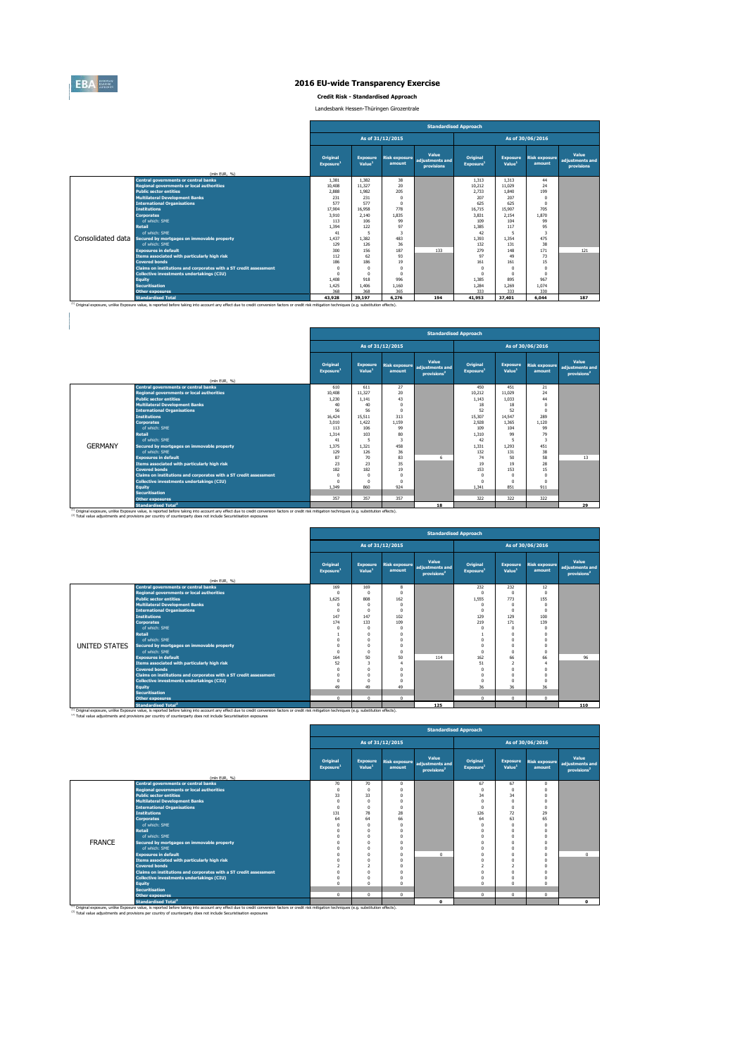

**Credit Risk - Standardised Approach**

Landesbank Hessen-Thüringen Girozentrale

|                   |                                                                   | <b>Standardised Approach</b>      |                                       |                                |                                        |                                   |                                       |                                |                                        |  |  |  |  |
|-------------------|-------------------------------------------------------------------|-----------------------------------|---------------------------------------|--------------------------------|----------------------------------------|-----------------------------------|---------------------------------------|--------------------------------|----------------------------------------|--|--|--|--|
|                   |                                                                   |                                   |                                       | As of 31/12/2015               |                                        |                                   |                                       | As of 30/06/2016               |                                        |  |  |  |  |
|                   | (mln EUR, %)                                                      | Original<br>Exposure <sup>1</sup> | <b>Exposure</b><br>Value <sup>1</sup> | <b>Risk exposure</b><br>amount | Value<br>adiustments and<br>provisions | Original<br>Exposure <sup>1</sup> | <b>Exposure</b><br>Value <sup>1</sup> | <b>Risk exposure</b><br>amount | Value<br>adjustments and<br>provisions |  |  |  |  |
|                   | <b>Central governments or central banks</b>                       | 1.381                             | 1.382                                 | 38                             |                                        | 1.313                             | 1.313                                 | 44                             |                                        |  |  |  |  |
|                   | <b>Regional governments or local authorities</b>                  | 10,408                            | 11.327                                | 20                             |                                        | 10.212                            | 11.029                                | 24                             |                                        |  |  |  |  |
|                   | <b>Public sector entities</b>                                     | 2.888                             | 1.982                                 | 205                            |                                        | 2.733                             | 1.840                                 | 199                            |                                        |  |  |  |  |
|                   | <b>Multilateral Development Banks</b>                             | 231                               | 231                                   | $\Omega$                       |                                        | 207                               | 207                                   | $^{\circ}$                     |                                        |  |  |  |  |
|                   | <b>International Organisations</b>                                | 577                               | 577                                   | $\Omega$                       |                                        | 625                               | 625                                   | $\Omega$                       |                                        |  |  |  |  |
|                   | <b>Institutions</b>                                               | 17,904                            | 16,958                                | 778                            |                                        | 16.715                            | 15.907                                | 705                            |                                        |  |  |  |  |
|                   | <b>Corporates</b>                                                 | 3.910                             | 2.140                                 | 1.835                          |                                        | 3.831                             | 2.154                                 | 1.870                          |                                        |  |  |  |  |
|                   | of which: SME                                                     | 113                               | 106                                   | 99                             |                                        | 109                               | 104                                   | 99                             |                                        |  |  |  |  |
|                   | <b>Retail</b>                                                     | 1.394                             | 122                                   | 97                             |                                        | 1,385                             | 117                                   | 95                             |                                        |  |  |  |  |
|                   | of which: SME                                                     | 41                                | 5                                     | 3                              |                                        | 42                                |                                       | 3                              |                                        |  |  |  |  |
| Consolidated data | Secured by mortgages on immovable property                        | 1.437                             | 1.382                                 | 483                            |                                        | 1.393                             | 1.354                                 | 475                            |                                        |  |  |  |  |
|                   | of which: SME                                                     | 129                               | 126                                   | 36                             |                                        | 132                               | 131                                   | 38                             |                                        |  |  |  |  |
|                   | <b>Exposures in default</b>                                       | 300                               | 156                                   | 187                            | 133                                    | 279                               | 148                                   | 171                            | 121                                    |  |  |  |  |
|                   | Items associated with particularly high risk                      | 112                               | 62                                    | 93                             |                                        | 97                                | 49                                    | 73                             |                                        |  |  |  |  |
|                   | <b>Covered bonds</b>                                              | 186                               | 186                                   | 19                             |                                        | 161                               | 161                                   | 15                             |                                        |  |  |  |  |
|                   | Claims on institutions and corporates with a ST credit assessment | $\Omega$                          | $\Omega$                              | $\Omega$                       |                                        | $\Omega$                          | $\Omega$                              | $\Omega$                       |                                        |  |  |  |  |
|                   | <b>Collective investments undertakings (CIU)</b>                  | $\Omega$                          | $\Omega$                              | $\Omega$                       |                                        | $\Omega$                          | $\Omega$                              | $\Omega$                       |                                        |  |  |  |  |
|                   | <b>Equity</b>                                                     | 1,408                             | 918                                   | 996                            |                                        | 1.385                             | 895                                   | 967                            |                                        |  |  |  |  |
|                   | <b>Securitisation</b>                                             | 1.425                             | 1.406                                 | 1.160                          |                                        | 1.284                             | 1.269                                 | 1.074                          |                                        |  |  |  |  |
|                   | <b>Other exposures</b>                                            | 368                               | 368                                   | 365                            |                                        | 333                               | 333                                   | 330                            |                                        |  |  |  |  |
|                   | <b>Standardised Total</b>                                         | 43,928                            | 39,197                                | 6,276                          | 194                                    | 41,953                            | 37,401                                | 6.044                          | 187                                    |  |  |  |  |

ř.

|                |                                                                                                                                                                                                                                             |                                          | <b>Standardised Approach</b>          |                                |                                                     |                                   |                                       |                                |                                                     |  |  |  |
|----------------|---------------------------------------------------------------------------------------------------------------------------------------------------------------------------------------------------------------------------------------------|------------------------------------------|---------------------------------------|--------------------------------|-----------------------------------------------------|-----------------------------------|---------------------------------------|--------------------------------|-----------------------------------------------------|--|--|--|
|                |                                                                                                                                                                                                                                             |                                          | As of 31/12/2015<br>As of 30/06/2016  |                                |                                                     |                                   |                                       |                                |                                                     |  |  |  |
|                | (mln EUR, %)                                                                                                                                                                                                                                | <b>Original</b><br>Exposure <sup>1</sup> | <b>Exposure</b><br>Value <sup>1</sup> | <b>Risk exposure</b><br>amount | Value<br>adiustments and<br>provisions <sup>2</sup> | Original<br>Exposure <sup>1</sup> | <b>Exposure</b><br>Value <sup>1</sup> | <b>Risk exposure</b><br>amount | Value<br>adjustments and<br>provisions <sup>2</sup> |  |  |  |
|                | <b>Central governments or central banks</b>                                                                                                                                                                                                 | 610                                      | 611                                   | 27                             |                                                     | 450                               | 451                                   | 21                             |                                                     |  |  |  |
|                | <b>Regional governments or local authorities</b>                                                                                                                                                                                            | 10,408                                   | 11.327                                | 20                             |                                                     | 10.212                            | 11.029                                | 24                             |                                                     |  |  |  |
|                | <b>Public sector entities</b>                                                                                                                                                                                                               | 1.230                                    | 1.141                                 | 43                             |                                                     | 1.143                             | 1.033                                 | 44                             |                                                     |  |  |  |
|                | <b>Multilateral Development Banks</b>                                                                                                                                                                                                       | 40                                       | 40                                    | $\Omega$                       |                                                     | 18                                | 18                                    | $\Omega$                       |                                                     |  |  |  |
|                | <b>International Organisations</b>                                                                                                                                                                                                          | 56                                       | 56                                    | n                              |                                                     | 52                                | 52                                    | $\Omega$                       |                                                     |  |  |  |
|                | <b>Institutions</b>                                                                                                                                                                                                                         | 16,424                                   | 15.511                                | 313                            |                                                     | 15.307                            | 14,547                                | 289                            |                                                     |  |  |  |
|                | <b>Corporates</b>                                                                                                                                                                                                                           | 3.010                                    | 1.422                                 | 1.159                          |                                                     | 2.928                             | 1.365                                 | 1.120                          |                                                     |  |  |  |
|                | of which: SMF                                                                                                                                                                                                                               | 113                                      | 106                                   | 99                             |                                                     | 109                               | 104                                   | 99                             |                                                     |  |  |  |
|                | <b>Retail</b>                                                                                                                                                                                                                               | 1.314                                    | 103                                   | 80                             |                                                     | 1.310                             | 99                                    | 79                             |                                                     |  |  |  |
|                | of which: SME                                                                                                                                                                                                                               | 41                                       | 5                                     | в                              |                                                     | 42                                | 5                                     | 3                              |                                                     |  |  |  |
| <b>GERMANY</b> | Secured by mortgages on immovable property                                                                                                                                                                                                  | 1.375                                    | 1.321                                 | 458                            |                                                     | 1.331                             | 1.293                                 | 451                            |                                                     |  |  |  |
|                | of which: SMF                                                                                                                                                                                                                               | 129                                      | 126                                   | 36                             |                                                     | 132                               | 131                                   | 38                             |                                                     |  |  |  |
|                | <b>Exposures in default</b>                                                                                                                                                                                                                 | 87                                       | 70                                    | 83                             | 6                                                   | 74                                | 50                                    | 58                             | 13                                                  |  |  |  |
|                | Items associated with particularly high risk                                                                                                                                                                                                | 23                                       | 23                                    | 35                             |                                                     | 19                                | 19                                    | 28                             |                                                     |  |  |  |
|                | <b>Covered bonds</b>                                                                                                                                                                                                                        | 182                                      | 182                                   | 19                             |                                                     | 153                               | 153                                   | 15                             |                                                     |  |  |  |
|                | Claims on institutions and corporates with a ST credit assessment                                                                                                                                                                           | $\Omega$                                 | $\Omega$                              | $\Omega$                       |                                                     | $\Omega$                          | $\Omega$                              | $\Omega$                       |                                                     |  |  |  |
|                | <b>Collective investments undertakings (CIU)</b>                                                                                                                                                                                            | $\Omega$                                 | $\Omega$                              | $\Omega$                       |                                                     | $\Omega$                          | $\Omega$                              | $\Omega$                       |                                                     |  |  |  |
|                | <b>Equity</b>                                                                                                                                                                                                                               | 1.349                                    | 860                                   | 924                            |                                                     | 1.341                             | 851                                   | 911                            |                                                     |  |  |  |
|                | <b>Securitisation</b>                                                                                                                                                                                                                       |                                          |                                       |                                |                                                     |                                   |                                       |                                |                                                     |  |  |  |
|                | <b>Other exposures</b>                                                                                                                                                                                                                      | 357                                      | 357                                   | 357                            |                                                     | 322                               | 322                                   | 322                            |                                                     |  |  |  |
|                | <b>Standardised Total<sup>2</sup></b><br>(1) Original exposure, unlike Exposure value, is reported before taking into account any effect due to credit conversion factors or credit risk mitigation techniques (e.g. substitution effects). |                                          |                                       |                                | 18                                                  |                                   |                                       |                                | 29                                                  |  |  |  |

|               |                                                                   |                                   |                                       |                                |                                                     | <b>Standardised Approach</b>      |                                       |                                |                                                     |
|---------------|-------------------------------------------------------------------|-----------------------------------|---------------------------------------|--------------------------------|-----------------------------------------------------|-----------------------------------|---------------------------------------|--------------------------------|-----------------------------------------------------|
|               |                                                                   |                                   |                                       | As of 31/12/2015               |                                                     |                                   |                                       | As of 30/06/2016               |                                                     |
|               |                                                                   | Original<br>Exposure <sup>1</sup> | <b>Exposure</b><br>Value <sup>1</sup> | <b>Risk exposure</b><br>amount | Value<br>adjustments and<br>provisions <sup>2</sup> | Original<br>Exposure <sup>1</sup> | <b>Exposure</b><br>Value <sup>1</sup> | <b>Risk exposure</b><br>amount | Value<br>adjustments and<br>provisions <sup>2</sup> |
|               | (mln EUR, %)                                                      |                                   |                                       |                                |                                                     |                                   |                                       |                                |                                                     |
|               | <b>Central governments or central banks</b>                       | 169                               | 169                                   | 8                              |                                                     | 232                               | 232                                   | 12                             |                                                     |
|               | <b>Regional governments or local authorities</b>                  | $\Omega$                          | $\Omega$                              |                                |                                                     | $\Omega$                          | $\Omega$                              | $\Omega$                       |                                                     |
|               | <b>Public sector entities</b>                                     | 1.625                             | 808                                   | 162                            |                                                     | 1,555                             | 773                                   | 155                            |                                                     |
|               | <b>Multilateral Development Banks</b>                             | $\Omega$                          | $\Omega$                              |                                |                                                     | $\Omega$                          | $\Omega$                              | $\Omega$                       |                                                     |
|               | <b>International Organisations</b>                                | $^{\circ}$                        | $\Omega$                              |                                |                                                     | $^{\circ}$                        | $\Omega$                              | $\Omega$                       |                                                     |
|               | <b>Institutions</b>                                               | 147                               | 147                                   | 102                            |                                                     | 129                               | 129                                   | 100                            |                                                     |
|               | <b>Corporates</b>                                                 | 174                               | 133                                   | 109                            |                                                     | 219                               | 171<br>$\Omega$                       | 139                            |                                                     |
|               | of which: SME<br><b>Retail</b>                                    | $\Omega$                          | $\Omega$<br>$\Omega$                  |                                |                                                     | $\Omega$                          | $\Omega$                              | $\Omega$<br>$\Omega$           |                                                     |
|               | of which: SME                                                     | $\Omega$                          | $\Omega$                              |                                |                                                     | $\Omega$                          | $\Omega$                              | $\Omega$                       |                                                     |
| UNITED STATES | Secured by mortgages on immovable property                        | $\Omega$                          | $\Omega$                              |                                |                                                     | $\Omega$                          | $\Omega$                              | $\Omega$                       |                                                     |
|               | of which: SME                                                     | $\Omega$                          | $\Omega$                              |                                |                                                     | $\Omega$                          | $\Omega$                              | $\Omega$                       |                                                     |
|               | <b>Exposures in default</b>                                       | 164                               | 50                                    | 50                             | 114                                                 | 162                               | 66                                    | 66                             | 96                                                  |
|               | Items associated with particularly high risk                      | 52                                | $\overline{\mathbf{3}}$               |                                |                                                     | 51                                | $\overline{2}$                        |                                |                                                     |
|               | <b>Covered bonds</b>                                              | $^{\circ}$                        | $\Omega$                              |                                |                                                     | $\Omega$                          | $\Omega$                              | $\Omega$                       |                                                     |
|               | Claims on institutions and corporates with a ST credit assessment | $\Omega$                          | $\Omega$                              |                                |                                                     | $\Omega$                          | $\Omega$                              | $\Omega$                       |                                                     |
|               | Collective investments undertakings (CIU)                         | $\mathbf 0$                       | $\Omega$                              |                                |                                                     | $\Omega$                          | $\Omega$                              | $\Omega$                       |                                                     |
|               | <b>Equity</b>                                                     | 49                                | 49                                    | 49                             |                                                     | 36                                | 36                                    | 36                             |                                                     |
|               | <b>Securitisation</b>                                             |                                   |                                       |                                |                                                     |                                   |                                       |                                |                                                     |
|               | <b>Other exposures</b>                                            | $\mathbf 0$                       | $^{\circ}$                            | $\mathbf{0}$                   |                                                     | $^{\circ}$                        | $\Omega$                              | $\Omega$                       |                                                     |
|               | <b>Contract Contract Contract</b>                                 |                                   |                                       |                                |                                                     |                                   |                                       |                                |                                                     |

<sup>13</sup> Original exposure, unlike Exposure and a standardised Total<sup>2</sup><br>The Substitution of the Substitution in the Substitution and the Substitution of the Substitution factors or credit risk mitigation techniques (e.g. subst

|               |                                                                   | <b>Standardised Approach</b>      |                                       |                                |                                                     |                                   |                                       |                                |                                                     |  |  |
|---------------|-------------------------------------------------------------------|-----------------------------------|---------------------------------------|--------------------------------|-----------------------------------------------------|-----------------------------------|---------------------------------------|--------------------------------|-----------------------------------------------------|--|--|
|               |                                                                   |                                   | As of 31/12/2015<br>As of 30/06/2016  |                                |                                                     |                                   |                                       |                                |                                                     |  |  |
|               | (mln EUR, %)                                                      | Original<br>Exposure <sup>1</sup> | <b>Exposure</b><br>Value <sup>1</sup> | <b>Risk exposure</b><br>amount | Value<br>adjustments and<br>provisions <sup>2</sup> | Original<br>Exposure <sup>1</sup> | <b>Exposure</b><br>Value <sup>1</sup> | <b>Risk exposure</b><br>amount | Value<br>adjustments and<br>provisions <sup>2</sup> |  |  |
|               | <b>Central governments or central banks</b>                       | 70                                | 70                                    |                                |                                                     | 67                                | 67                                    | $\Omega$                       |                                                     |  |  |
|               | <b>Regional governments or local authorities</b>                  | $^{\circ}$                        | $\Omega$                              |                                |                                                     | $^{\circ}$                        | -0                                    | $\Omega$                       |                                                     |  |  |
|               | <b>Public sector entities</b>                                     | 33                                | 33                                    |                                |                                                     | 34                                | 34                                    | $\Omega$                       |                                                     |  |  |
|               | <b>Multilateral Development Banks</b>                             | $^{\circ}$                        | $\Omega$                              |                                |                                                     | $^{\circ}$                        | $\Omega$                              | $\Omega$                       |                                                     |  |  |
|               | <b>International Organisations</b>                                | $\mathbf{0}$                      | $\Omega$                              |                                |                                                     | $\Omega$                          | $\Omega$                              | $\Omega$                       |                                                     |  |  |
|               | <b>Institutions</b>                                               | 131                               | 78                                    | 28                             |                                                     | 126                               | 72                                    | 29                             |                                                     |  |  |
|               | <b>Corporates</b>                                                 | 64                                | 64                                    | 66                             |                                                     | 64                                | 63                                    | 65                             |                                                     |  |  |
|               | of which: SME                                                     | $^{\circ}$                        | $\Omega$                              |                                |                                                     | $\Omega$                          | $\Omega$                              | $\Omega$                       |                                                     |  |  |
|               | <b>Retail</b>                                                     | $\mathbf{0}$                      | $\Omega$                              |                                |                                                     | $\Omega$                          | $\Omega$                              | $\Omega$                       |                                                     |  |  |
|               | of which: SME                                                     | $\Omega$                          | $\Omega$                              |                                |                                                     |                                   | $\Omega$                              | $\Omega$                       |                                                     |  |  |
| <b>FRANCE</b> | Secured by mortgages on immovable property                        | $\Omega$                          | $\Omega$                              |                                |                                                     |                                   |                                       |                                |                                                     |  |  |
|               | of which: SMF                                                     | $\Omega$                          | $\Omega$                              |                                |                                                     | $\Omega$                          | $\Omega$                              | $\Omega$                       |                                                     |  |  |
|               | <b>Exposures in default</b>                                       | $^{\circ}$                        | $\Omega$                              |                                | $\Omega$                                            | $\Omega$                          | $\Omega$                              | $\Omega$                       | $\circ$                                             |  |  |
|               | Items associated with particularly high risk                      | $\Omega$                          | $\Omega$                              |                                |                                                     | $\Omega$                          | $\Omega$                              | $\Omega$                       |                                                     |  |  |
|               | <b>Covered bonds</b>                                              | $\overline{ }$                    | $\overline{2}$                        |                                |                                                     |                                   | $\overline{z}$                        | $\Omega$                       |                                                     |  |  |
|               | Claims on institutions and corporates with a ST credit assessment | $\Omega$                          | $\Omega$                              |                                |                                                     | $\Omega$                          | $\Omega$                              | $\Omega$                       |                                                     |  |  |
|               | Collective investments undertakings (CIU)                         | $\Omega$                          | $^{\circ}$                            |                                |                                                     | $\Omega$                          | $\Omega$                              | $\Omega$                       |                                                     |  |  |
|               | <b>Equity</b>                                                     | $\Omega$                          | $\Omega$                              |                                |                                                     | $\Omega$                          | $\Omega$                              | $\Omega$                       |                                                     |  |  |
|               | <b>Securitisation</b>                                             |                                   |                                       |                                |                                                     |                                   |                                       |                                |                                                     |  |  |
|               | <b>Other exposures</b>                                            | $\Omega$                          | $\Omega$                              | $\mathbf{0}$                   |                                                     | $\Omega$                          | $\Omega$                              | $\Omega$                       |                                                     |  |  |
|               | <b>Standardised Total<sup>2</sup></b>                             |                                   |                                       |                                | o                                                   |                                   |                                       |                                | $\Omega$                                            |  |  |

<sup>(1)</sup> Original exposure, unlike Exposure value, is reported before taking into account any effect due to credit conversion factors or credit risk mitigation techniques (e.g. substitution effects).<br><sup>(2)</sup> Total value adjustm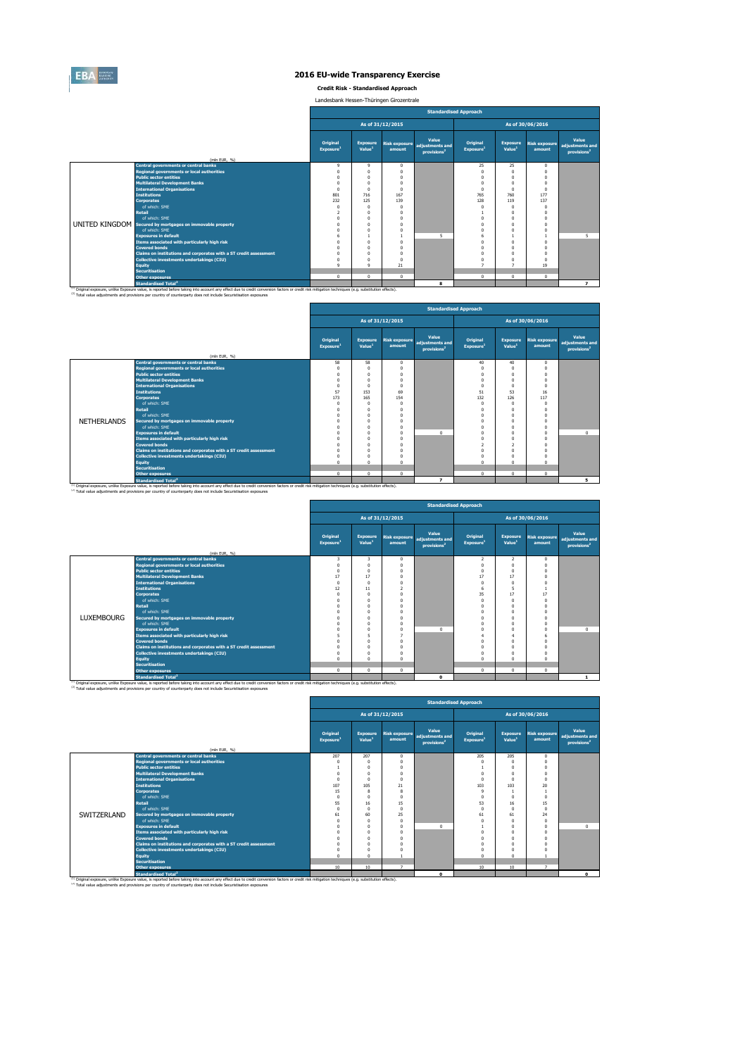

**Credit Risk - Standardised Approach**

|                                                                   | Landesbank Hessen-Thüringen Girozentrale |                                       |                                |                                                     |                                   |                                       |                                |                                                     |  |
|-------------------------------------------------------------------|------------------------------------------|---------------------------------------|--------------------------------|-----------------------------------------------------|-----------------------------------|---------------------------------------|--------------------------------|-----------------------------------------------------|--|
|                                                                   |                                          |                                       |                                |                                                     | <b>Standardised Approach</b>      |                                       |                                |                                                     |  |
|                                                                   |                                          |                                       | As of 31/12/2015               |                                                     |                                   |                                       | As of 30/06/2016               |                                                     |  |
| (mln EUR, %)                                                      | Original<br>Exposure <sup>1</sup>        | <b>Exposure</b><br>Value <sup>1</sup> | <b>Risk exposure</b><br>amount | Value<br>adiustments and<br>provisions <sup>2</sup> | Original<br>Exposure <sup>1</sup> | <b>Exposure</b><br>Value <sup>1</sup> | <b>Risk exposure</b><br>amount | Value<br>adjustments and<br>provisions <sup>2</sup> |  |
| <b>Central governments or central banks</b>                       | 9                                        | 9                                     | $\mathbf{0}$                   |                                                     | 25                                | 25                                    | $\Omega$                       |                                                     |  |
| <b>Regional governments or local authorities</b>                  | $\Omega$                                 | $\Omega$                              | $\Omega$                       |                                                     | $\mathbf{0}$                      | $\Omega$                              | $\Omega$                       |                                                     |  |
| <b>Public sector entities</b>                                     | O                                        | 0                                     | $\Omega$                       |                                                     | $\Omega$                          | $\Omega$                              | $\Omega$                       |                                                     |  |
| <b>Multilateral Development Banks</b>                             | $\Omega$                                 | 0                                     | $\Omega$                       |                                                     | $\Omega$                          | $\Omega$                              | $\Omega$                       |                                                     |  |
| <b>International Organisations</b>                                | $\Omega$                                 | $\Omega$                              | $\Omega$                       |                                                     | $\mathbf{0}$                      | $\Omega$                              | $\Omega$                       |                                                     |  |
| <b>Institutions</b>                                               | 801                                      | 716                                   | 167                            |                                                     | 765                               | 760                                   | 177                            |                                                     |  |
| <b>Corporates</b>                                                 | 232                                      | 125                                   | 139                            |                                                     | 128                               | 119                                   | 137                            |                                                     |  |
| of which: SME                                                     | $\Omega$                                 | $^{\circ}$                            | $\Omega$                       |                                                     | $\Omega$                          | $\Omega$                              | $\Omega$                       |                                                     |  |
| <b>Retail</b>                                                     | $\overline{2}$                           | $\mathbf{0}$                          | n                              |                                                     |                                   | $\Omega$                              | $\Omega$                       |                                                     |  |
| of which: SMF                                                     | $\Omega$                                 | $\Omega$                              | $\theta$                       |                                                     | $\Omega$                          | $\Omega$                              | $\Omega$                       |                                                     |  |
| UNITED KINGDOM Secured by mortgages on immovable property         | $\Omega$                                 | 0                                     | $\Omega$                       |                                                     | $\Omega$                          | $\Omega$                              | $\Omega$                       |                                                     |  |
| of which: SMF                                                     | 0                                        | 0                                     | 0                              |                                                     | $\Omega$                          | $\Omega$                              | $\Omega$                       |                                                     |  |
| <b>Exposures in default</b>                                       | 6                                        | 1                                     |                                | 5                                                   | 6                                 |                                       |                                | $\mathbf{r}$                                        |  |
| Items associated with particularly high risk                      | n                                        | $\mathbf{0}$                          | $\Omega$                       |                                                     | $\Omega$                          | $\Omega$                              | $\Omega$                       |                                                     |  |
| <b>Covered bonds</b>                                              |                                          | 0                                     | n                              |                                                     | $\Omega$                          | $\Omega$                              | $\Omega$                       |                                                     |  |
| Claims on institutions and corporates with a ST credit assessment | 0                                        | 0                                     | $\Omega$                       |                                                     | $\Omega$                          | $\Omega$                              | $\Omega$                       |                                                     |  |
| Collective investments undertakings (CIU)                         | 0                                        | 0                                     | $\Omega$                       |                                                     | $\Omega$                          | $\Omega$                              | $\Omega$                       |                                                     |  |
| Equity                                                            | 9                                        | 9                                     | 21                             |                                                     | $\overline{ }$                    | ъ,                                    | 19                             |                                                     |  |
| <b>Securitisation</b>                                             |                                          |                                       |                                |                                                     |                                   |                                       |                                |                                                     |  |
| <b>Other exposures</b>                                            | $\mathbf 0$                              | $\mathbf{0}$                          | $\mathbf{0}$                   |                                                     | $\mathbf{0}$                      | $\Omega$                              | $\mathbf{0}$                   |                                                     |  |
| <b>Chandardicad Total2</b>                                        |                                          |                                       |                                | $\bullet$                                           |                                   |                                       |                                | $\overline{ }$                                      |  |

<sup>(1)</sup> Original exposure, unlike Exposure (Standardised Total<sup>2</sup><br>The Consumer value, is reported before taking into account any effect due to credit conversion factors or credit risk mitigation techniques (e.g. substitution

|                    |                                                                                                                                                                                                                                                                                                                                    |                                   |                                       |                                |                                                     | <b>Standardised Approach</b>      |                                       |                                |                                                     |
|--------------------|------------------------------------------------------------------------------------------------------------------------------------------------------------------------------------------------------------------------------------------------------------------------------------------------------------------------------------|-----------------------------------|---------------------------------------|--------------------------------|-----------------------------------------------------|-----------------------------------|---------------------------------------|--------------------------------|-----------------------------------------------------|
|                    |                                                                                                                                                                                                                                                                                                                                    |                                   |                                       | As of 31/12/2015               |                                                     |                                   |                                       | As of 30/06/2016               |                                                     |
|                    | (mln EUR, %)                                                                                                                                                                                                                                                                                                                       | Original<br>Exposure <sup>1</sup> | <b>Exposure</b><br>Value <sup>1</sup> | <b>Risk exposure</b><br>amount | Value<br>adiustments and<br>provisions <sup>2</sup> | Original<br>Exposure <sup>1</sup> | <b>Exposure</b><br>Value <sup>1</sup> | <b>Risk exposure</b><br>amount | Value<br>adjustments and<br>provisions <sup>2</sup> |
|                    | <b>Central governments or central banks</b>                                                                                                                                                                                                                                                                                        | 58                                | 58                                    | $\Omega$                       |                                                     | 40                                | 40                                    | $\Omega$                       |                                                     |
|                    | <b>Regional governments or local authorities</b>                                                                                                                                                                                                                                                                                   | 0                                 | $\Omega$                              |                                |                                                     | $\Omega$                          |                                       | $\Omega$                       |                                                     |
|                    | <b>Public sector entities</b>                                                                                                                                                                                                                                                                                                      | O                                 | $\Omega$                              |                                |                                                     | $\Omega$                          |                                       |                                |                                                     |
|                    | <b>Multilateral Development Banks</b>                                                                                                                                                                                                                                                                                              | O                                 | $\Omega$                              |                                |                                                     | $\Omega$                          |                                       |                                |                                                     |
|                    | <b>International Organisations</b>                                                                                                                                                                                                                                                                                                 | $\Omega$                          | $\Omega$                              | n                              |                                                     | $\Omega$                          | n                                     | $\Omega$                       |                                                     |
|                    | <b>Institutions</b>                                                                                                                                                                                                                                                                                                                | 57                                | 153                                   | 69                             |                                                     | 51                                | 53                                    | 16                             |                                                     |
|                    | <b>Corporates</b>                                                                                                                                                                                                                                                                                                                  | 173                               | 165                                   | 154                            |                                                     | 132                               | 126                                   | 117                            |                                                     |
|                    | of which: SMF                                                                                                                                                                                                                                                                                                                      | 0                                 | $\Omega$                              |                                |                                                     | $\Omega$                          | $\Omega$                              | $\Omega$                       |                                                     |
|                    | <b>Retail</b>                                                                                                                                                                                                                                                                                                                      | $\Omega$                          | $\Omega$                              |                                |                                                     | $\Omega$                          |                                       |                                |                                                     |
|                    | of which: SME                                                                                                                                                                                                                                                                                                                      | O                                 | $\Omega$                              |                                |                                                     | O                                 |                                       | $\Omega$                       |                                                     |
| <b>NETHERLANDS</b> | Secured by mortgages on immovable property                                                                                                                                                                                                                                                                                         | n                                 | $\Omega$                              |                                |                                                     | O                                 |                                       |                                |                                                     |
|                    | of which: SMF                                                                                                                                                                                                                                                                                                                      |                                   | $\Omega$                              |                                |                                                     | O                                 |                                       |                                |                                                     |
|                    | <b>Exposures in default</b>                                                                                                                                                                                                                                                                                                        |                                   | $\Omega$                              |                                | $\Omega$                                            | O                                 |                                       | $\Omega$                       | $\Omega$                                            |
|                    | <b>Items associated with narticularly high risk</b>                                                                                                                                                                                                                                                                                |                                   | $\Omega$                              |                                |                                                     | O                                 |                                       |                                |                                                     |
|                    | <b>Covered bonds</b>                                                                                                                                                                                                                                                                                                               |                                   | $\Omega$                              |                                |                                                     |                                   | ٠                                     |                                |                                                     |
|                    | Claims on institutions and corporates with a ST credit assessment                                                                                                                                                                                                                                                                  |                                   | $\Omega$                              |                                |                                                     | $\Omega$                          |                                       |                                |                                                     |
|                    | <b>Collective investments undertakings (CIU)</b>                                                                                                                                                                                                                                                                                   | O                                 | $\Omega$                              |                                |                                                     | O                                 |                                       |                                |                                                     |
|                    | <b>Equity</b>                                                                                                                                                                                                                                                                                                                      | n                                 | $\Omega$                              |                                |                                                     | $\Omega$                          |                                       | $\Omega$                       |                                                     |
|                    | <b>Securitisation</b>                                                                                                                                                                                                                                                                                                              |                                   |                                       |                                |                                                     |                                   |                                       |                                |                                                     |
|                    | <b>Other exposures</b>                                                                                                                                                                                                                                                                                                             | 0                                 | $\mathbf{0}$                          | $^{\circ}$                     |                                                     | $\mathbf{0}$                      | 0                                     | $\mathbf 0$                    |                                                     |
|                    | <b>Standardised Total<sup>2</sup></b>                                                                                                                                                                                                                                                                                              |                                   |                                       |                                | $\overline{\phantom{a}}$                            |                                   |                                       |                                | $5 -$                                               |
|                    | <sup>(1)</sup> Original exposure, unlike Exposure value, is reported before taking into account any effect due to credit conversion factors or credit risk mitigation techniques (e.g. substitution effects).<br>(2) Total value adjustments and provisions per country of counterparty does not include Securistisation exposures |                                   |                                       |                                |                                                     |                                   |                                       |                                |                                                     |

|                   |                                                                   |                                      |                                       |                                | <b>Standardised Approach</b>                        |                                   |                                       |                                |                                                     |
|-------------------|-------------------------------------------------------------------|--------------------------------------|---------------------------------------|--------------------------------|-----------------------------------------------------|-----------------------------------|---------------------------------------|--------------------------------|-----------------------------------------------------|
|                   |                                                                   | As of 31/12/2015<br>As of 30/06/2016 |                                       |                                |                                                     |                                   |                                       |                                |                                                     |
|                   | (mln EUR, %)                                                      | Original<br>Exposure <sup>1</sup>    | <b>Exposure</b><br>Value <sup>1</sup> | <b>Risk exposure</b><br>amount | Value<br>adiustments and<br>provisions <sup>2</sup> | Original<br>Exposure <sup>1</sup> | <b>Exposure</b><br>Value <sup>1</sup> | <b>Risk exposure</b><br>amount | Value<br>adjustments and<br>provisions <sup>2</sup> |
|                   | <b>Central governments or central banks</b>                       | $\overline{\mathbf{3}}$              | 3                                     | $\mathbf{0}$                   |                                                     | $\overline{2}$                    | $\overline{2}$                        | $\mathbf{0}$                   |                                                     |
|                   | <b>Regional governments or local authorities</b>                  | $\Omega$                             | $^{\circ}$                            | $\mathbf{0}$                   |                                                     | $^{\circ}$                        | $\Omega$                              | $\Omega$                       |                                                     |
|                   | <b>Public sector entities</b>                                     | $\Omega$                             | 0                                     | n                              |                                                     | $\Omega$                          | $\Omega$                              | $\Omega$                       |                                                     |
|                   | <b>Multilateral Development Banks</b>                             | 17                                   | 17                                    | $\theta$                       |                                                     | 17                                | 17                                    | $\Omega$                       |                                                     |
|                   | <b>International Organisations</b>                                | $\Omega$                             | $^{\circ}$                            | $\theta$                       |                                                     | $^{\circ}$                        | $\Omega$                              | $\Omega$                       |                                                     |
|                   | <b>Institutions</b>                                               | 12                                   | 11                                    | $\overline{\phantom{a}}$       |                                                     | 6                                 | 5                                     |                                |                                                     |
|                   | <b>Corporates</b>                                                 | $\Omega$                             | $^{\circ}$                            | $\theta$                       |                                                     | 35                                | 17                                    | 17                             |                                                     |
|                   | of which: SMF                                                     | O                                    | $\Omega$                              | $\theta$                       |                                                     | $\Omega$                          | $\Omega$                              | $\Omega$                       |                                                     |
|                   | Retail                                                            |                                      | $\Omega$                              | $\theta$                       |                                                     | $\Omega$                          | $\Omega$                              | $\Omega$                       |                                                     |
|                   | of which: SMF                                                     |                                      | $\Omega$                              | Ō                              |                                                     | $\Omega$                          | $\Omega$                              | $\Omega$                       |                                                     |
| <b>LUXEMBOURG</b> | Secured by mortgages on immovable property                        | n                                    | $\Omega$                              | Ō                              |                                                     | Λ                                 | $\Omega$                              | $\Omega$                       |                                                     |
|                   | of which: SME                                                     |                                      | 0                                     | n                              |                                                     | 0                                 | $\Omega$                              | $\Omega$                       |                                                     |
|                   | <b>Exposures in default</b>                                       |                                      | 0                                     | $\theta$                       | $\Omega$                                            | 0                                 | $\Omega$                              | $\Omega$                       | $\Omega$                                            |
|                   | Items associated with particularly high risk                      |                                      | 5                                     |                                |                                                     |                                   |                                       | 6                              |                                                     |
|                   | <b>Covered bonds</b>                                              |                                      | $\Omega$                              | $\theta$                       |                                                     |                                   | $\Omega$                              | $\Omega$                       |                                                     |
|                   | Claims on institutions and corporates with a ST credit assessment |                                      | $\Omega$                              | n                              |                                                     | 0                                 | $\Omega$                              |                                |                                                     |
|                   | <b>Collective investments undertakings (CIU)</b>                  | $\Omega$                             | $^{\circ}$                            | $\theta$                       |                                                     | $\Omega$                          | $\Omega$                              | $\Omega$                       |                                                     |
|                   | <b>Equity</b>                                                     | $\Omega$                             | $\Omega$                              | n                              |                                                     | $\Omega$                          | $\Omega$                              | $\Omega$                       |                                                     |
|                   | <b>Securitisation</b>                                             |                                      |                                       |                                |                                                     |                                   |                                       |                                |                                                     |
|                   | <b>Other exposures</b>                                            | $^{\circ}$                           | $\mathbf{0}$                          | $\Omega$                       |                                                     | $\mathbf{0}$                      | $^{\circ}$                            | $\Omega$                       |                                                     |
| 11.2.1<br>----    | <b>Standardised Total<sup>2</sup></b>                             |                                      |                                       |                                | $\Omega$                                            |                                   |                                       |                                |                                                     |

<sup>(1)</sup> Original exposure, unlike Exposure value, is reported before taking into account any effect due to credit conversion factors or credit risk mitigation techniques (e.g. substitution effects).<br><sup>(2)</sup> Total value adjustm

|             | <b>Standardised Approach</b>                                                                                                                                                                                                                |                                   |                                       |                                |                                                     |                                   |                                       |                                |                                                     |  |  |  |  |
|-------------|---------------------------------------------------------------------------------------------------------------------------------------------------------------------------------------------------------------------------------------------|-----------------------------------|---------------------------------------|--------------------------------|-----------------------------------------------------|-----------------------------------|---------------------------------------|--------------------------------|-----------------------------------------------------|--|--|--|--|
|             |                                                                                                                                                                                                                                             |                                   |                                       | As of 31/12/2015               |                                                     |                                   |                                       | As of 30/06/2016               |                                                     |  |  |  |  |
|             | (mln EUR, %)                                                                                                                                                                                                                                | Original<br>Exposure <sup>1</sup> | <b>Exposure</b><br>Value <sup>1</sup> | <b>Risk exposure</b><br>amount | Value<br>adiustments and<br>provisions <sup>2</sup> | Original<br>Exposure <sup>1</sup> | <b>Exposure</b><br>Value <sup>1</sup> | <b>Risk exposure</b><br>amount | Value<br>adjustments and<br>provisions <sup>2</sup> |  |  |  |  |
|             | <b>Central governments or central banks</b>                                                                                                                                                                                                 | 207                               | 207                                   | $^{\circ}$                     |                                                     | 205                               | 205                                   | $\Omega$                       |                                                     |  |  |  |  |
|             | <b>Regional governments or local authorities</b>                                                                                                                                                                                            |                                   | $\Omega$                              | $\Omega$                       |                                                     | $\Omega$                          |                                       |                                |                                                     |  |  |  |  |
|             | <b>Public sector entities</b>                                                                                                                                                                                                               |                                   |                                       | $\Omega$                       |                                                     |                                   |                                       |                                |                                                     |  |  |  |  |
|             | <b>Multilateral Development Banks</b>                                                                                                                                                                                                       |                                   | $\Omega$                              | $\Omega$                       |                                                     | $\sqrt{ }$                        |                                       | $\Omega$                       |                                                     |  |  |  |  |
|             | <b>International Organisations</b>                                                                                                                                                                                                          | n                                 | $\Omega$                              | $\Omega$                       |                                                     | $\sqrt{ }$                        |                                       | $\Omega$                       |                                                     |  |  |  |  |
|             | <b>Institutions</b>                                                                                                                                                                                                                         | 107                               | 105                                   | 21                             |                                                     | 103                               | 103                                   | 20 <sub>0</sub>                |                                                     |  |  |  |  |
|             | <b>Corporates</b>                                                                                                                                                                                                                           | 15                                |                                       | 8                              |                                                     | - q                               |                                       |                                |                                                     |  |  |  |  |
|             | of which: SME                                                                                                                                                                                                                               |                                   |                                       | $\Omega$                       |                                                     | $\Omega$                          |                                       |                                |                                                     |  |  |  |  |
|             | <b>Retail</b>                                                                                                                                                                                                                               | 55                                | 16                                    | 15                             |                                                     | 53                                | 16                                    | 15                             |                                                     |  |  |  |  |
|             | of which: SMF                                                                                                                                                                                                                               | n                                 | $\Omega$                              | $\Omega$                       |                                                     | $\Omega$                          |                                       | $\Omega$                       |                                                     |  |  |  |  |
| SWITZERLAND | Secured by mortgages on immovable property                                                                                                                                                                                                  | 61                                | 60                                    | 25                             |                                                     | 61                                | 61                                    | 24                             |                                                     |  |  |  |  |
|             | of which: SMF                                                                                                                                                                                                                               |                                   | $\Omega$                              | $\Omega$                       |                                                     |                                   |                                       | $\Omega$                       |                                                     |  |  |  |  |
|             | <b>Exposures in default</b>                                                                                                                                                                                                                 |                                   |                                       | $\Omega$                       | $\Omega$                                            |                                   |                                       | $\Omega$                       | $\Omega$                                            |  |  |  |  |
|             | Items associated with particularly high risk                                                                                                                                                                                                |                                   |                                       | $\Omega$                       |                                                     |                                   |                                       |                                |                                                     |  |  |  |  |
|             | <b>Covered bonds</b>                                                                                                                                                                                                                        |                                   |                                       | $\Omega$                       |                                                     |                                   |                                       |                                |                                                     |  |  |  |  |
|             | Claims on institutions and corporates with a ST credit assessment                                                                                                                                                                           |                                   |                                       | $\Omega$                       |                                                     |                                   |                                       |                                |                                                     |  |  |  |  |
|             | Collective investments undertakings (CIU)                                                                                                                                                                                                   |                                   |                                       |                                |                                                     |                                   |                                       |                                |                                                     |  |  |  |  |
|             | Equity                                                                                                                                                                                                                                      |                                   | $\Omega$                              |                                |                                                     | $\Omega$                          |                                       |                                |                                                     |  |  |  |  |
|             | <b>Securitisation</b>                                                                                                                                                                                                                       |                                   |                                       |                                |                                                     |                                   |                                       |                                |                                                     |  |  |  |  |
|             | <b>Other exposures</b>                                                                                                                                                                                                                      | 10 <sup>°</sup>                   | 10 <sup>°</sup>                       | $\overline{ }$                 |                                                     | 10                                | 10                                    | $\overline{\phantom{a}}$       |                                                     |  |  |  |  |
|             | <b>Standardised Total<sup>2</sup></b><br>(1) Original exposure, unlike Exposure value, is reported before taking into account any effect due to credit conversion factors or credit risk mitigation techniques (e.g. substitution effects). |                                   |                                       |                                | $\Omega$                                            |                                   |                                       |                                | $\Omega$                                            |  |  |  |  |

j.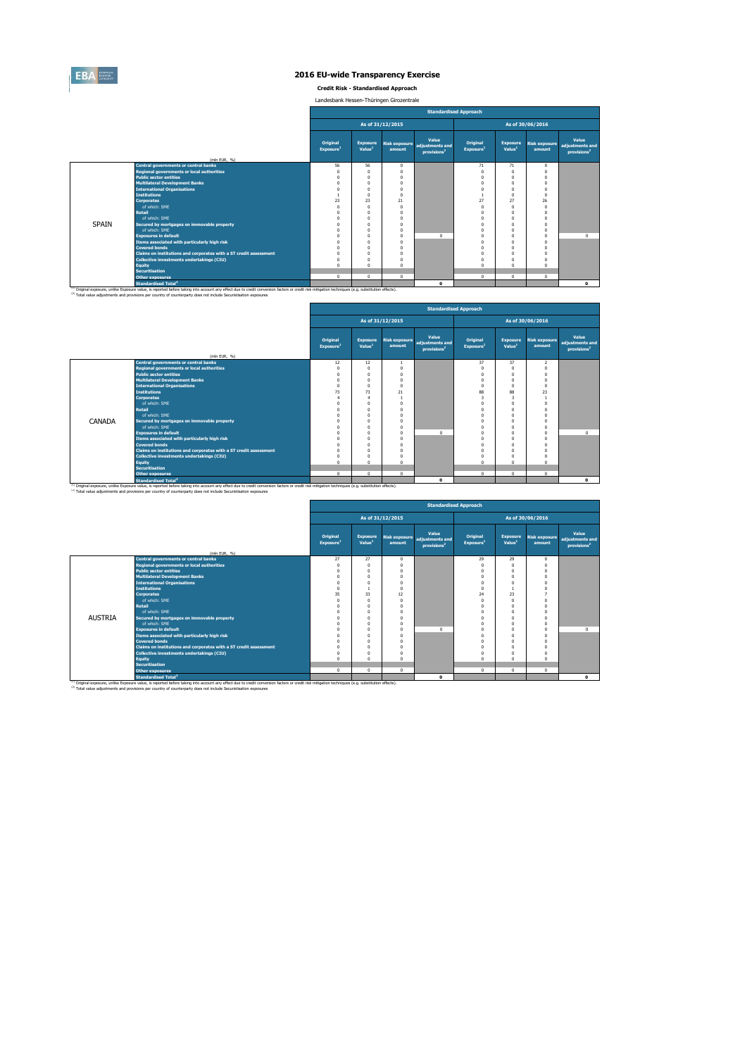

**Credit Risk - Standardised Approach** Landesbank Hessen-Thüringen Girozentrale

|              |                                                                                                                                                                                                                                                                                                                         |                                   |                                       |                                | <b>Standardised Approach</b>                        |                                   |                                       |                                |                                                     |
|--------------|-------------------------------------------------------------------------------------------------------------------------------------------------------------------------------------------------------------------------------------------------------------------------------------------------------------------------|-----------------------------------|---------------------------------------|--------------------------------|-----------------------------------------------------|-----------------------------------|---------------------------------------|--------------------------------|-----------------------------------------------------|
|              |                                                                                                                                                                                                                                                                                                                         |                                   |                                       | As of 31/12/2015               |                                                     |                                   |                                       | As of 30/06/2016               |                                                     |
|              |                                                                                                                                                                                                                                                                                                                         | Original<br>Exposure <sup>1</sup> | <b>Exposure</b><br>Value <sup>1</sup> | <b>Risk exposure</b><br>amount | Value<br>adjustments and<br>provisions <sup>2</sup> | Original<br>Exposure <sup>1</sup> | <b>Exposure</b><br>Value <sup>1</sup> | <b>Risk exposure</b><br>amount | Value<br>adjustments and<br>provisions <sup>2</sup> |
|              | (mln EUR. %)<br><b>Central governments or central banks</b>                                                                                                                                                                                                                                                             | 56                                | 56                                    | $\mathbf{0}$                   |                                                     | 71                                | 71                                    | $\mathbf{0}$                   |                                                     |
|              | <b>Regional governments or local authorities</b>                                                                                                                                                                                                                                                                        |                                   | $\Omega$                              | $\Omega$                       |                                                     | $\Omega$                          | $\Omega$                              | $\Omega$                       |                                                     |
|              | <b>Public sector entities</b>                                                                                                                                                                                                                                                                                           |                                   |                                       |                                |                                                     | $\Omega$                          | $\Omega$                              | $\Omega$                       |                                                     |
|              | <b>Multilateral Development Banks</b>                                                                                                                                                                                                                                                                                   |                                   | $\Omega$                              | $\Omega$                       |                                                     | $\Omega$                          | $\Omega$                              | $\Omega$                       |                                                     |
|              | <b>International Organisations</b>                                                                                                                                                                                                                                                                                      |                                   | $\Omega$                              |                                |                                                     | $\Omega$                          | $\Omega$                              | $\Omega$                       |                                                     |
|              | <b>Institutions</b>                                                                                                                                                                                                                                                                                                     |                                   | $\theta$                              | $\Omega$                       |                                                     |                                   | $\Omega$                              | $\Omega$                       |                                                     |
|              | <b>Corporates</b>                                                                                                                                                                                                                                                                                                       | 23                                | 23                                    | 21                             |                                                     | 27                                | 27                                    | 26                             |                                                     |
|              | of which: SMF                                                                                                                                                                                                                                                                                                           |                                   | n                                     | $\Omega$                       |                                                     | $\Omega$                          | $\Omega$                              | $\Omega$                       |                                                     |
|              | <b>Retail</b>                                                                                                                                                                                                                                                                                                           |                                   | O                                     |                                |                                                     | $\Omega$                          | $\Omega$                              | $\Omega$                       |                                                     |
|              | of which: SMF                                                                                                                                                                                                                                                                                                           |                                   | n                                     |                                |                                                     | $\Omega$                          | $\Omega$                              | $\Omega$                       |                                                     |
| <b>SPAIN</b> | Secured by mortgages on immovable property                                                                                                                                                                                                                                                                              |                                   |                                       |                                |                                                     |                                   | $\Omega$                              | $\Omega$                       |                                                     |
|              | of which: SMF                                                                                                                                                                                                                                                                                                           |                                   | n                                     | $\Omega$                       |                                                     |                                   | $\Omega$                              | $\Omega$                       |                                                     |
|              | <b>Exposures in default</b>                                                                                                                                                                                                                                                                                             |                                   | n                                     | $\Omega$                       | $\Omega$                                            | $\Omega$                          | $\Omega$                              | $\Omega$                       | $\Omega$                                            |
|              | Items associated with particularly high risk                                                                                                                                                                                                                                                                            |                                   | n                                     | $\Omega$                       |                                                     | $\Omega$                          | $\Omega$                              | $\Omega$                       |                                                     |
|              | <b>Covered bonds</b>                                                                                                                                                                                                                                                                                                    |                                   |                                       |                                |                                                     |                                   | $\Omega$                              | $\Omega$                       |                                                     |
|              | Claims on institutions and corporates with a ST credit assessment                                                                                                                                                                                                                                                       |                                   | n                                     | $\Omega$                       |                                                     | $\Omega$                          | $\Omega$                              | $\Omega$                       |                                                     |
|              | Collective investments undertakings (CIU)                                                                                                                                                                                                                                                                               |                                   | $\Omega$                              |                                |                                                     | $\Omega$                          | $\Omega$                              | $\Omega$                       |                                                     |
|              | Equity                                                                                                                                                                                                                                                                                                                  | $\Omega$                          | $\Omega$                              | $\Omega$                       |                                                     | $\mathbf{0}$                      | $\Omega$                              | $\Omega$                       |                                                     |
|              | <b>Securitisation</b>                                                                                                                                                                                                                                                                                                   |                                   |                                       |                                |                                                     |                                   |                                       |                                |                                                     |
|              | <b>Other exposures</b>                                                                                                                                                                                                                                                                                                  | $\mathbf{0}$                      | $^{\circ}$                            | $\mathbf{0}$                   |                                                     | $\mathbf{0}$                      | $\mathbf{0}$                          | $\mathbf{0}$                   |                                                     |
|              | <b>Standardised Total<sup>2</sup></b>                                                                                                                                                                                                                                                                                   |                                   |                                       |                                | $\Omega$                                            |                                   |                                       |                                | $\Omega$                                            |
|              | (1) Original exposure, unlike Exposure value, is reported before taking into account any effect due to credit conversion factors or credit risk mitigation techniques (e.g. substitution effects).<br>(2) Total value adjustments and provisions per country of counterparty does not include Securistisation exposures |                                   |                                       |                                |                                                     |                                   |                                       |                                |                                                     |

|        |                                                                   |                                   |                                       |                                |                                                     | <b>Standardised Approach</b>      |                                       |                                |                                                     |
|--------|-------------------------------------------------------------------|-----------------------------------|---------------------------------------|--------------------------------|-----------------------------------------------------|-----------------------------------|---------------------------------------|--------------------------------|-----------------------------------------------------|
|        |                                                                   |                                   |                                       | As of 31/12/2015               |                                                     |                                   |                                       | As of 30/06/2016               |                                                     |
|        | (mln EUR, %)                                                      | Original<br>Exposure <sup>1</sup> | <b>Exposure</b><br>Value <sup>1</sup> | <b>Risk exposure</b><br>amount | Value<br>adjustments and<br>provisions <sup>2</sup> | Original<br>Exposure <sup>1</sup> | <b>Exposure</b><br>Value <sup>1</sup> | <b>Risk exposure</b><br>amount | Value<br>adjustments and<br>provisions <sup>2</sup> |
|        | <b>Central governments or central banks</b>                       | 12                                | 12                                    |                                |                                                     | 37                                | 37                                    | $\overline{2}$                 |                                                     |
|        | <b>Regional governments or local authorities</b>                  | $^{\circ}$                        | $\Omega$                              |                                |                                                     | $\mathbf 0$                       | $\Omega$                              | $\Omega$                       |                                                     |
|        | <b>Public sector entities</b>                                     | $^{\circ}$                        | $\Omega$                              |                                |                                                     | $\Omega$                          | $\Omega$                              | $\Omega$                       |                                                     |
|        | <b>Multilateral Development Banks</b>                             | $^{\circ}$                        | $\Omega$                              |                                |                                                     | $\Omega$                          | $\Omega$                              | $\Omega$                       |                                                     |
|        | <b>International Organisations</b>                                | $^{\circ}$                        | $\Omega$                              |                                |                                                     | $\Omega$                          | $\Omega$                              | $\Omega$                       |                                                     |
|        | <b>Institutions</b>                                               | 73                                | 73                                    | 21                             |                                                     | 88                                | 88                                    | 23                             |                                                     |
|        | <b>Corporates</b>                                                 | 4                                 | 4                                     |                                |                                                     | 3                                 | В                                     |                                |                                                     |
|        | of which: SMF                                                     | $\Omega$                          | $\Omega$                              |                                |                                                     | $\Omega$                          | $\Omega$                              |                                |                                                     |
|        | <b>Retail</b>                                                     | $\Omega$                          | $\Omega$                              |                                |                                                     | $\Omega$                          | n                                     |                                |                                                     |
|        | of which: SMF                                                     | $\Omega$                          | $\Omega$                              |                                |                                                     | $\Omega$                          |                                       |                                |                                                     |
| CANADA | Secured by mortgages on immovable property                        | $\Omega$                          | $\Omega$                              |                                |                                                     | O                                 |                                       |                                |                                                     |
|        | of which: SME                                                     | $\Omega$                          | $\Omega$                              |                                |                                                     | $\Omega$                          | $\Omega$                              | $\Omega$                       |                                                     |
|        | <b>Exposures in default</b>                                       | $\Omega$                          | $\Omega$                              |                                | $\Omega$                                            | $\Omega$                          | $\Omega$                              | $\Omega$                       | $\Omega$                                            |
|        | Items associated with particularly high risk                      | $\Omega$                          | $\Omega$                              |                                |                                                     | $\Omega$                          | $\Omega$                              | $\Omega$                       |                                                     |
|        | <b>Covered bonds</b>                                              | $\Omega$                          | $\Omega$                              |                                |                                                     | O                                 |                                       |                                |                                                     |
|        | Claims on institutions and corporates with a ST credit assessment | $\Omega$                          | $\Omega$                              |                                |                                                     | $\Omega$                          |                                       |                                |                                                     |
|        | Collective investments undertakings (CIU)                         | $\Omega$                          | $\Omega$                              |                                |                                                     | $\Omega$                          |                                       |                                |                                                     |
|        | Equity                                                            | $\Omega$                          | $\Omega$                              |                                |                                                     | $\Omega$                          | $\theta$                              | $\Omega$                       |                                                     |
|        | <b>Securitisation</b>                                             |                                   |                                       |                                |                                                     |                                   |                                       |                                |                                                     |
|        | <b>Other exposures</b>                                            | $\mathbf{0}$                      | $\Omega$                              | $\sim$                         |                                                     | $\Omega$                          | $\Omega$                              | $\Omega$                       |                                                     |
|        | <b>Standardised Total<sup>2</sup></b>                             |                                   |                                       |                                | $\mathbf{0}$                                        |                                   |                                       |                                | $\mathbf{o}$                                        |

<sup>10</sup> Original exposure, unlike Exposure Total of Total Total Total Count any effect due to credit conversion factors or credit risk mitigation techniques (e.g. substitution effects).<br><sup>21</sup> Total value adjustments and provis

| (mln EUR, %)<br><b>Central governments or central banks</b><br><b>Regional governments or local authorities</b><br><b>Public sector entities</b> | <b>Original</b><br>Exposure <sup>1</sup><br>27<br>$\Omega$                                                                                                                                                                                                                                                                              | <b>Exposure</b><br>Value <sup>1</sup><br>27                                                                                    | As of 31/12/2015<br>amount<br>$^{\circ}$                                                              | Value<br>Risk exposure adjustments and<br>provisions <sup>2</sup> | <b>Original</b><br>Exposure <sup>1</sup> | <b>Exposure</b><br>Value <sup>1</sup> | As of 30/06/2016<br><b>Risk exposure</b><br>amount      | Value<br>adjustments and              |
|--------------------------------------------------------------------------------------------------------------------------------------------------|-----------------------------------------------------------------------------------------------------------------------------------------------------------------------------------------------------------------------------------------------------------------------------------------------------------------------------------------|--------------------------------------------------------------------------------------------------------------------------------|-------------------------------------------------------------------------------------------------------|-------------------------------------------------------------------|------------------------------------------|---------------------------------------|---------------------------------------------------------|---------------------------------------|
|                                                                                                                                                  |                                                                                                                                                                                                                                                                                                                                         |                                                                                                                                |                                                                                                       |                                                                   |                                          |                                       |                                                         |                                       |
|                                                                                                                                                  |                                                                                                                                                                                                                                                                                                                                         |                                                                                                                                |                                                                                                       |                                                                   |                                          |                                       |                                                         | provisions <sup>2</sup>               |
|                                                                                                                                                  |                                                                                                                                                                                                                                                                                                                                         |                                                                                                                                |                                                                                                       |                                                                   |                                          |                                       |                                                         |                                       |
|                                                                                                                                                  |                                                                                                                                                                                                                                                                                                                                         |                                                                                                                                |                                                                                                       |                                                                   | 29                                       | 29                                    | $\Omega$                                                |                                       |
|                                                                                                                                                  |                                                                                                                                                                                                                                                                                                                                         | $\theta$                                                                                                                       | $\Omega$                                                                                              |                                                                   | $\Omega$                                 | n                                     | $\Omega$                                                |                                       |
|                                                                                                                                                  | $\Omega$                                                                                                                                                                                                                                                                                                                                | $\theta$                                                                                                                       | $\Omega$                                                                                              |                                                                   | O                                        | n                                     |                                                         |                                       |
| <b>Multilateral Development Banks</b>                                                                                                            | $\Omega$                                                                                                                                                                                                                                                                                                                                | $\theta$                                                                                                                       |                                                                                                       |                                                                   | 0                                        | n                                     |                                                         |                                       |
| <b>International Organisations</b>                                                                                                               | O                                                                                                                                                                                                                                                                                                                                       | $\Omega$                                                                                                                       | $\Omega$                                                                                              |                                                                   | O                                        | n                                     |                                                         |                                       |
| <b>Institutions</b>                                                                                                                              | $\Omega$                                                                                                                                                                                                                                                                                                                                |                                                                                                                                |                                                                                                       |                                                                   | O                                        |                                       |                                                         |                                       |
| <b>Corporates</b>                                                                                                                                | 35                                                                                                                                                                                                                                                                                                                                      | 33                                                                                                                             | 12                                                                                                    |                                                                   | 24                                       | 23                                    |                                                         |                                       |
| of which: SMF                                                                                                                                    | $\Omega$<br>O                                                                                                                                                                                                                                                                                                                           | $\theta$<br>$\Omega$                                                                                                           |                                                                                                       |                                                                   | O<br>0                                   | n<br>n                                |                                                         |                                       |
| of which: SMF                                                                                                                                    |                                                                                                                                                                                                                                                                                                                                         |                                                                                                                                |                                                                                                       |                                                                   |                                          |                                       |                                                         |                                       |
|                                                                                                                                                  | O                                                                                                                                                                                                                                                                                                                                       | O                                                                                                                              |                                                                                                       |                                                                   |                                          | n                                     |                                                         |                                       |
|                                                                                                                                                  |                                                                                                                                                                                                                                                                                                                                         |                                                                                                                                |                                                                                                       |                                                                   |                                          |                                       |                                                         |                                       |
|                                                                                                                                                  |                                                                                                                                                                                                                                                                                                                                         |                                                                                                                                |                                                                                                       |                                                                   |                                          |                                       |                                                         | $\mathbf{0}$                          |
|                                                                                                                                                  |                                                                                                                                                                                                                                                                                                                                         |                                                                                                                                |                                                                                                       |                                                                   |                                          |                                       |                                                         |                                       |
|                                                                                                                                                  |                                                                                                                                                                                                                                                                                                                                         |                                                                                                                                |                                                                                                       |                                                                   |                                          |                                       |                                                         |                                       |
|                                                                                                                                                  |                                                                                                                                                                                                                                                                                                                                         |                                                                                                                                |                                                                                                       |                                                                   |                                          |                                       |                                                         |                                       |
|                                                                                                                                                  |                                                                                                                                                                                                                                                                                                                                         |                                                                                                                                |                                                                                                       |                                                                   |                                          |                                       |                                                         |                                       |
|                                                                                                                                                  |                                                                                                                                                                                                                                                                                                                                         |                                                                                                                                |                                                                                                       |                                                                   |                                          |                                       |                                                         |                                       |
|                                                                                                                                                  |                                                                                                                                                                                                                                                                                                                                         |                                                                                                                                |                                                                                                       |                                                                   |                                          |                                       |                                                         |                                       |
|                                                                                                                                                  |                                                                                                                                                                                                                                                                                                                                         |                                                                                                                                |                                                                                                       |                                                                   |                                          |                                       |                                                         |                                       |
|                                                                                                                                                  |                                                                                                                                                                                                                                                                                                                                         |                                                                                                                                |                                                                                                       |                                                                   |                                          |                                       |                                                         | $\Omega$                              |
|                                                                                                                                                  | Secured by mortgages on immovable property<br>of which: SMF<br><b>Exposures in default</b><br>Items associated with particularly high risk<br><b>Covered bonds</b><br>Claims on institutions and corporates with a ST credit assessment<br>Collective investments undertakings (CIU)<br><b>Securitisation</b><br><b>Other exposures</b> | $\Omega$<br>O<br>$\Omega$<br>$\Omega$<br>O<br>$\Omega$<br>O<br>$\Omega$<br>$^{\circ}$<br><b>Standardised Total<sup>2</sup></b> | $\theta$<br>$\theta$<br>$\theta$<br>O<br>$\Omega$<br>$\theta$<br>$\Omega$<br>$\Omega$<br>$\mathbf{0}$ | $\Omega$<br>n<br>$\Omega$<br>$\Omega$                             | $\Omega$<br>$\Omega$                     | O<br>0<br>O<br>0<br>$\Omega$<br>0     | n<br>n<br>n<br>n<br>n<br>n<br>n<br>$\Omega$<br>$\Omega$ | $\Omega$<br>n<br>$\Omega$<br>$\Omega$ |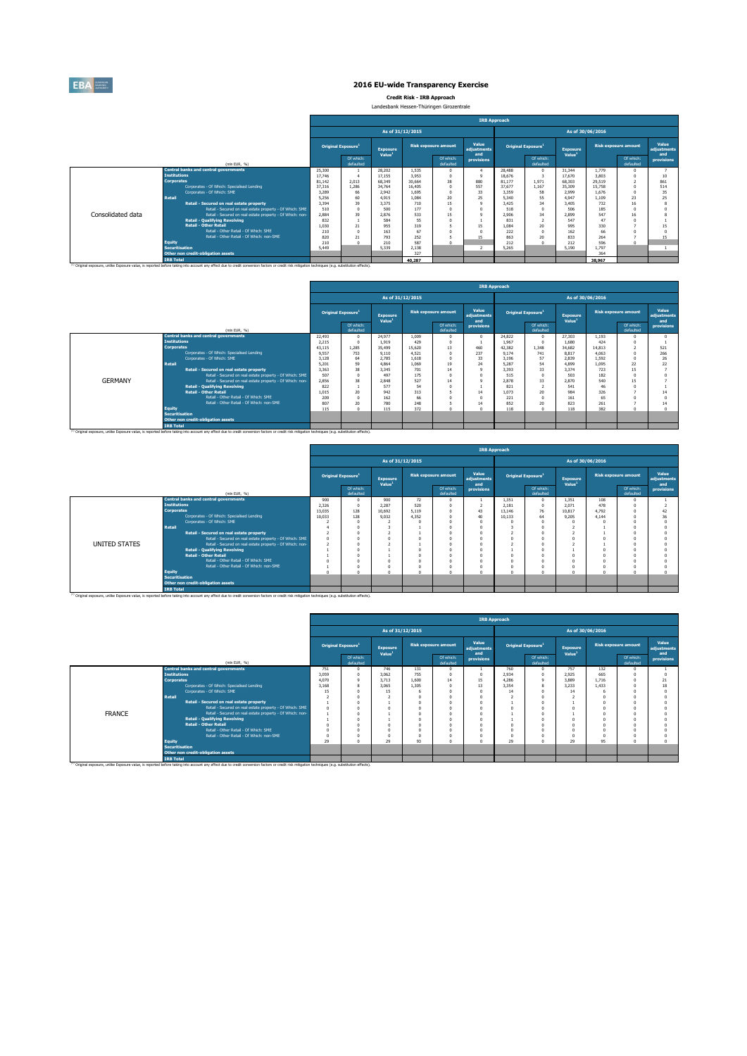

**Credit Risk - IRB Approach** Landesbank Hessen-Thüringen Girozentrale

|                   |                       |                                                                                                                                                                                                               |        |                                |                                       |                  |                             | <b>IRB Approach</b>         |        |                                |                                       |        |                             |                             |
|-------------------|-----------------------|---------------------------------------------------------------------------------------------------------------------------------------------------------------------------------------------------------------|--------|--------------------------------|---------------------------------------|------------------|-----------------------------|-----------------------------|--------|--------------------------------|---------------------------------------|--------|-----------------------------|-----------------------------|
|                   |                       |                                                                                                                                                                                                               |        |                                |                                       | As of 31/12/2015 |                             |                             |        |                                | As of 30/06/2016                      |        |                             |                             |
|                   |                       |                                                                                                                                                                                                               |        | Original Exposure <sup>1</sup> | <b>Exposure</b><br>Value <sup>1</sup> |                  | <b>Risk exposure amount</b> | Value<br>adiustments<br>and |        | Original Exposure <sup>1</sup> | <b>Exposure</b><br>Value <sup>1</sup> |        | <b>Risk exposure amount</b> | Value<br>adiustments<br>and |
|                   |                       | (mln EUR. %)                                                                                                                                                                                                  |        | Of which:<br>defaulted         |                                       |                  | Of which:<br>defaulted      | provisions                  |        | Of which:<br>defaulted         |                                       |        | Of which:<br>defaulted      | provisions                  |
|                   |                       | <b>Central banks and central governments</b>                                                                                                                                                                  | 25,300 |                                | 28,202                                | 1.535            |                             |                             | 28,488 |                                | 31.344                                | 1.779  |                             |                             |
|                   | <b>Institutions</b>   |                                                                                                                                                                                                               | 17.746 |                                | 17.155                                | 3.953            | $\Omega$                    | $\mathbf{9}$                | 18.676 |                                | 17.670                                | 3,803  |                             |                             |
| Consolidated data | <b>Corporates</b>     |                                                                                                                                                                                                               | 81.142 | 2.013                          | 68,349                                | 30,664           | 38                          | 880                         | 81.177 | 1.971                          | 68,303                                | 29.519 |                             | 861                         |
|                   |                       | Corporates - Of Which: Specialised Lending                                                                                                                                                                    | 37.316 | 1.286                          | 34,764                                | 16,405           | $\Omega$                    | 557                         | 37.677 | 1.167                          | 35.309                                | 15.758 |                             | 514                         |
|                   |                       | Corporates - Of Which: SME                                                                                                                                                                                    | 3.289  | 66                             | 2.942                                 | 1.695            | n                           | 33                          | 3.359  | 58                             | 2.999                                 | 1.676  |                             | 35                          |
|                   | <b>Retail</b>         |                                                                                                                                                                                                               | 5.256  | 60                             | 4.915                                 | 1.084            | 20                          | 25                          | 5.340  | 55                             | 4.947                                 | 1.109  | 23                          | 25                          |
|                   |                       | Retail - Secured on real estate property                                                                                                                                                                      | 3.394  | 39                             | 3.375                                 | 710              | 15                          | $\ddot{\mathbf{Q}}$         | 3.425  | 34                             | 3.405                                 | 732    | 16                          |                             |
|                   |                       | Retail - Secured on real estate property - Of Which: SME                                                                                                                                                      | 510    | $\sqrt{2}$                     | 500                                   | 177              | $\theta$                    | $\theta$                    | 518    |                                | 506                                   | 185    |                             |                             |
|                   |                       | Retail - Secured on real estate property - Of Which: non-                                                                                                                                                     | 2.884  | 39                             | 2.876                                 | 533              | 15                          | $\ddot{Q}$                  | 2,906  | 34                             | 2.899                                 | 547    | 16                          |                             |
|                   |                       | <b>Retail - Qualifying Revolving</b>                                                                                                                                                                          | 832    |                                | 584                                   | 55               |                             |                             | 831    |                                | 547                                   | 47     |                             |                             |
|                   |                       | <b>Retail - Other Retail</b>                                                                                                                                                                                  | 1.030  | 21                             | 955                                   | 319              |                             | 15                          | 1.084  | 20                             | 995                                   | 330    |                             |                             |
|                   |                       | Retail - Other Retail - Of Which: SME                                                                                                                                                                         | 210    | $\Omega$                       | 163                                   | 67               |                             | $\Omega$                    | 222    |                                | 162                                   | 66     |                             |                             |
|                   |                       | Retail - Other Retail - Of Which: non-SME                                                                                                                                                                     | 820    | 21                             | 793                                   | 252              |                             | 15                          | 863    | 20                             | 833                                   | 264    |                             | 15                          |
|                   | <b>Equity</b>         |                                                                                                                                                                                                               | 210    |                                | 210                                   | 587              | $\Omega$                    |                             | 212    |                                | 212                                   | 596    |                             |                             |
|                   | <b>Securitisation</b> |                                                                                                                                                                                                               | 5.449  |                                | 5.339                                 | 2.138            |                             | $\overline{ }$              | 5.265  |                                | 5.190                                 | 1.797  |                             |                             |
|                   |                       | Other non credit-obligation assets                                                                                                                                                                            |        |                                |                                       | 327              |                             |                             |        |                                |                                       | 364    |                             |                             |
|                   | <b>IRB Total</b>      |                                                                                                                                                                                                               |        |                                |                                       | 40,287           |                             |                             |        |                                |                                       | 38,967 |                             |                             |
|                   |                       | <sup>(1)</sup> Original exposure, unlike Exposure value, is reported before taking into account any effect due to credit conversion factors or credit risk mitigation techniques (e.g. substitution effects). |        |                                |                                       |                  |                             |                             |        |                                |                                       |        |                             |                             |

|                |                       |                                                                                                                                                                                                               |        |                                       |                                       |                  |                             | <b>IRB Approach</b>         |        |                                |                                |                  |                             |                             |
|----------------|-----------------------|---------------------------------------------------------------------------------------------------------------------------------------------------------------------------------------------------------------|--------|---------------------------------------|---------------------------------------|------------------|-----------------------------|-----------------------------|--------|--------------------------------|--------------------------------|------------------|-----------------------------|-----------------------------|
|                |                       |                                                                                                                                                                                                               |        |                                       |                                       | As of 31/12/2015 |                             |                             |        |                                |                                | As of 30/06/2016 |                             |                             |
|                |                       |                                                                                                                                                                                                               |        | <b>Original Exposure</b> <sup>1</sup> | <b>Exposure</b><br>Value <sup>1</sup> |                  | <b>Risk exposure amount</b> | Value<br>adiustments<br>and |        | Original Exposure <sup>1</sup> | Exposure<br>Value <sup>1</sup> |                  | <b>Risk exposure amount</b> | Value<br>adiustments<br>and |
|                |                       | (min EUR. %)                                                                                                                                                                                                  |        | Of which:<br>defaulted                |                                       |                  | Of which:<br>defaulted      | provisions                  |        | Of which:<br>defaulted         |                                |                  | Of which:<br>defaulted      | provisions                  |
|                |                       | <b>Central banks and central governments</b>                                                                                                                                                                  | 22,493 |                                       | 24.977                                | 1.009            | $\Omega$                    | $\Omega$                    | 24.822 | $\Omega$                       | 27,303                         | 1.193            |                             |                             |
|                | <b>Institutions</b>   |                                                                                                                                                                                                               | 2.215  |                                       | 1.919                                 | 429              | $\Omega$                    |                             | 1.967  | $\Omega$                       | 1,680                          | 424              |                             |                             |
|                | <b>Corporates</b>     |                                                                                                                                                                                                               | 43.115 | 1.285                                 | 35,499                                | 15.620           | 13                          | 460                         | 42,382 | 1,348                          | 34,682                         | 14.813           |                             | 521                         |
|                |                       | Corporates - Of Which: Specialised Lending                                                                                                                                                                    | 9.557  | 753                                   | 9.110                                 | 4.521            | $\theta$                    | 237                         | 9.174  | 741                            | 8.817                          | 4.063            |                             | 266                         |
|                |                       | Corporates - Of Which: SME                                                                                                                                                                                    | 3.128  | 64                                    | 2.785                                 | 1.618            | $\Omega$                    | 33                          | 3.196  | 57                             | 2.839                          | 1.592            |                             | 26                          |
|                | <b>Retail</b>         |                                                                                                                                                                                                               | 5.201  | 59                                    | 4.864                                 | 1.069            | 19                          | 24                          | 5.287  | 54                             | 4.899                          | 1.095            | 22                          | 22                          |
|                |                       | Retail - Secured on real estate property                                                                                                                                                                      | 3.363  | 38                                    | 3.345                                 | 701              | 14                          | $\ddot{\mathbf{Q}}$         | 3.393  | 33                             | 3.374                          | 723              | 15                          |                             |
|                |                       | Retail - Secured on real estate property - Of Which: SME                                                                                                                                                      | 507    |                                       | 497                                   | 175              | n                           | $\Omega$                    | 515    | $\Omega$                       | 503                            | 182              |                             |                             |
| <b>GERMANY</b> |                       | Retail - Secured on real estate property - Of Which: non-                                                                                                                                                     | 2.856  | 38                                    | 2.848                                 | 527              | 14                          | ٩                           | 2,878  | 33                             | 2,870                          | 540              |                             |                             |
|                |                       | <b>Retail - Qualifying Revolving</b>                                                                                                                                                                          | 822    |                                       | 577                                   | 54               | $\Omega$                    |                             | 821    |                                | 541                            | 46               |                             |                             |
|                |                       | <b>Retail - Other Retail</b>                                                                                                                                                                                  | 1.015  | $\overline{20}$                       | 942                                   | 313              |                             | 14                          | 1.073  | 20                             | 984                            | 326              |                             |                             |
|                |                       | Retail - Other Retail - Of Which: SME                                                                                                                                                                         | 209    |                                       | 162                                   | 66               | n                           | $\Omega$                    | 221    | $\sqrt{2}$                     | 161                            | 65               |                             |                             |
|                |                       | Retail - Other Retail - Of Which: non-SME                                                                                                                                                                     | 807    | 20                                    | 780                                   | 248              |                             | 14                          | 852    | 20                             | 823                            | 261              |                             |                             |
|                | Equity                |                                                                                                                                                                                                               | 115    |                                       | 115                                   | 372              | $\Omega$                    | O                           | 118    |                                | 118                            | 382              |                             |                             |
|                | <b>Securitisation</b> |                                                                                                                                                                                                               |        |                                       |                                       |                  |                             |                             |        |                                |                                |                  |                             |                             |
|                |                       | Other non credit-obligation assets                                                                                                                                                                            |        |                                       |                                       |                  |                             |                             |        |                                |                                |                  |                             |                             |
|                | <b>IRB Total</b>      |                                                                                                                                                                                                               |        |                                       |                                       |                  |                             |                             |        |                                |                                |                  |                             |                             |
|                |                       | <sup>(1)</sup> Original exposure, unlike Exposure value, is reported before taking into account any effect due to credit conversion factors or credit risk mitigation techniques (e.g. substitution effects). |        |                                       |                                       |                  |                             |                             |        |                                |                                |                  |                             |                             |

|                         | <b>IRB Approach</b>                                                                                                                                                                                                                                                                                                                                                                                                                                                                                                                                                                        |                           |                                              |                                                |                                           |                             |                 |                                     |                                            |                                                |                                           |                                                                                                                                                                                                                                   |
|-------------------------|--------------------------------------------------------------------------------------------------------------------------------------------------------------------------------------------------------------------------------------------------------------------------------------------------------------------------------------------------------------------------------------------------------------------------------------------------------------------------------------------------------------------------------------------------------------------------------------------|---------------------------|----------------------------------------------|------------------------------------------------|-------------------------------------------|-----------------------------|-----------------|-------------------------------------|--------------------------------------------|------------------------------------------------|-------------------------------------------|-----------------------------------------------------------------------------------------------------------------------------------------------------------------------------------------------------------------------------------|
|                         |                                                                                                                                                                                                                                                                                                                                                                                                                                                                                                                                                                                            |                           |                                              |                                                |                                           |                             |                 |                                     |                                            |                                                |                                           |                                                                                                                                                                                                                                   |
|                         |                                                                                                                                                                                                                                                                                                                                                                                                                                                                                                                                                                                            |                           | Exposure                                     |                                                |                                           | Value<br>adjustments        |                 |                                     | Exposure                                   |                                                |                                           | Value<br>adjustments                                                                                                                                                                                                              |
| (min EUR, %)            |                                                                                                                                                                                                                                                                                                                                                                                                                                                                                                                                                                                            | Of which:<br>defaulted    |                                              |                                                | Of which:<br>defaulted                    | provisions                  |                 | Of which:<br>defaulted              |                                            |                                                | Of which:<br>defaulted                    | and<br>provisions                                                                                                                                                                                                                 |
|                         | 900                                                                                                                                                                                                                                                                                                                                                                                                                                                                                                                                                                                        | $\Omega$                  | 900                                          | 72                                             |                                           |                             | 1.351           | $\Omega$                            | 1.351                                      | 108                                            | $\Omega$                                  |                                                                                                                                                                                                                                   |
|                         |                                                                                                                                                                                                                                                                                                                                                                                                                                                                                                                                                                                            | $\Omega$                  |                                              |                                                |                                           |                             |                 |                                     |                                            |                                                |                                           |                                                                                                                                                                                                                                   |
|                         |                                                                                                                                                                                                                                                                                                                                                                                                                                                                                                                                                                                            |                           |                                              |                                                |                                           |                             |                 |                                     |                                            |                                                |                                           |                                                                                                                                                                                                                                   |
|                         |                                                                                                                                                                                                                                                                                                                                                                                                                                                                                                                                                                                            |                           |                                              |                                                |                                           |                             |                 |                                     |                                            |                                                |                                           | 36                                                                                                                                                                                                                                |
|                         |                                                                                                                                                                                                                                                                                                                                                                                                                                                                                                                                                                                            |                           |                                              |                                                |                                           |                             |                 |                                     |                                            |                                                |                                           |                                                                                                                                                                                                                                   |
|                         |                                                                                                                                                                                                                                                                                                                                                                                                                                                                                                                                                                                            |                           |                                              |                                                |                                           |                             |                 |                                     |                                            |                                                |                                           |                                                                                                                                                                                                                                   |
|                         |                                                                                                                                                                                                                                                                                                                                                                                                                                                                                                                                                                                            |                           |                                              |                                                |                                           |                             |                 |                                     |                                            |                                                |                                           |                                                                                                                                                                                                                                   |
|                         |                                                                                                                                                                                                                                                                                                                                                                                                                                                                                                                                                                                            |                           |                                              |                                                |                                           |                             |                 |                                     |                                            |                                                |                                           |                                                                                                                                                                                                                                   |
|                         |                                                                                                                                                                                                                                                                                                                                                                                                                                                                                                                                                                                            |                           |                                              |                                                |                                           |                             |                 |                                     |                                            |                                                |                                           |                                                                                                                                                                                                                                   |
|                         |                                                                                                                                                                                                                                                                                                                                                                                                                                                                                                                                                                                            |                           |                                              |                                                |                                           |                             |                 |                                     |                                            |                                                |                                           |                                                                                                                                                                                                                                   |
|                         |                                                                                                                                                                                                                                                                                                                                                                                                                                                                                                                                                                                            |                           |                                              |                                                |                                           |                             |                 |                                     |                                            |                                                |                                           |                                                                                                                                                                                                                                   |
|                         |                                                                                                                                                                                                                                                                                                                                                                                                                                                                                                                                                                                            |                           |                                              |                                                |                                           |                             |                 |                                     |                                            |                                                |                                           |                                                                                                                                                                                                                                   |
|                         |                                                                                                                                                                                                                                                                                                                                                                                                                                                                                                                                                                                            |                           |                                              |                                                |                                           |                             |                 |                                     |                                            |                                                |                                           |                                                                                                                                                                                                                                   |
|                         | r.                                                                                                                                                                                                                                                                                                                                                                                                                                                                                                                                                                                         |                           |                                              |                                                |                                           |                             |                 |                                     |                                            |                                                |                                           |                                                                                                                                                                                                                                   |
|                         |                                                                                                                                                                                                                                                                                                                                                                                                                                                                                                                                                                                            |                           |                                              |                                                |                                           |                             |                 |                                     |                                            |                                                |                                           |                                                                                                                                                                                                                                   |
|                         |                                                                                                                                                                                                                                                                                                                                                                                                                                                                                                                                                                                            |                           |                                              |                                                |                                           |                             |                 |                                     |                                            |                                                |                                           |                                                                                                                                                                                                                                   |
|                         |                                                                                                                                                                                                                                                                                                                                                                                                                                                                                                                                                                                            |                           |                                              |                                                |                                           |                             |                 |                                     |                                            |                                                |                                           |                                                                                                                                                                                                                                   |
| Retail<br><b>Equity</b> | <b>Central banks and central governments</b><br><b>Institutions</b><br><b>Corporates</b><br>Corporates - Of Which: Specialised Lending<br>Corporates - Of Which: SME<br>Retail - Secured on real estate property<br>Retail - Secured on real estate property - Of Which: SME<br>Retail - Secured on real estate property - Of Which: non-<br><b>Retail - Qualifying Revolving</b><br><b>Retail - Other Retail</b><br>Retail - Other Retail - Of Which: SME<br>Retail - Other Retail - Of Which: non-SME<br><b>Securitisation</b><br>Other non credit-obligation assets<br><b>IRB Total</b> | 2.326<br>13.035<br>10.033 | Original Exposure <sup>1</sup><br>128<br>128 | Value <sup>1</sup><br>2.287<br>10.692<br>9.032 | As of 31/12/2015<br>520<br>5.119<br>4.352 | <b>Risk exposure amount</b> | and<br>43<br>40 | 2.181<br>13.146<br>10.133<br>£<br>٠ | Original Exposure <sup>1</sup><br>76<br>64 | Value <sup>1</sup><br>2.071<br>10.817<br>9.205 | As of 30/06/2016<br>478<br>4.792<br>4.144 | <b>Risk exposure amount</b><br>(3) Original exposure, unlike Exposure value, is reported before taking into account any effect due to credit conversion factors or credit risk mitigation techniques (e.g. substitution effects). |

|               |                       |                                                                                                                                                                                                               |          |                                |                                       |                  |                             | <b>IRB Approach</b>         |                                |                        |                                       |                  |                             |                             |
|---------------|-----------------------|---------------------------------------------------------------------------------------------------------------------------------------------------------------------------------------------------------------|----------|--------------------------------|---------------------------------------|------------------|-----------------------------|-----------------------------|--------------------------------|------------------------|---------------------------------------|------------------|-----------------------------|-----------------------------|
|               |                       |                                                                                                                                                                                                               |          |                                |                                       | As of 31/12/2015 |                             |                             |                                |                        |                                       | As of 30/06/2016 |                             |                             |
|               |                       |                                                                                                                                                                                                               |          | Original Exposure <sup>1</sup> | <b>Exposure</b><br>Value <sup>1</sup> |                  | <b>Risk exposure amount</b> | Value<br>adjustments<br>and | Original Exposure <sup>1</sup> |                        | <b>Exposure</b><br>Value <sup>1</sup> |                  | <b>Risk exposure amount</b> | Value<br>adjustments<br>and |
|               |                       | (min EUR, %)                                                                                                                                                                                                  |          | Of which:<br>defaulted         |                                       |                  | Of which:<br>defaulted      | provisions                  |                                | Of which:<br>defaulted |                                       |                  | Of which:<br>defaulted      | provisions                  |
|               |                       | <b>Central banks and central governments</b>                                                                                                                                                                  | 751      |                                | 746                                   | 131              | $\sqrt{2}$                  |                             | 760                            |                        | 757                                   | 132              |                             |                             |
|               | <b>Institutions</b>   |                                                                                                                                                                                                               | 3.059    |                                | 3.062                                 | 755              | $\Omega$                    |                             | 2.934                          |                        | 2.925                                 | 665              |                             |                             |
|               | <b>Corporates</b>     |                                                                                                                                                                                                               | 4.070    |                                | 3.713                                 | 1,600            | 14                          | 15                          | 4.286                          |                        | 3,889                                 | 1.716            |                             | 21                          |
|               |                       | Corporates - Of Which: Specialised Lending                                                                                                                                                                    | 3.168    |                                | 3.065                                 | 1.305            | $\Omega$                    | 13                          | 3.354                          |                        | 3.233                                 | 1.433            |                             | 18                          |
|               |                       | Corporates - Of Which: SME                                                                                                                                                                                    | 15       |                                | 15                                    |                  |                             |                             | 14                             |                        | 14                                    |                  |                             |                             |
|               | <b>Retail</b>         |                                                                                                                                                                                                               |          |                                |                                       |                  |                             |                             |                                |                        |                                       |                  |                             |                             |
|               |                       | Retail - Secured on real estate property                                                                                                                                                                      |          |                                |                                       |                  | n                           |                             |                                |                        |                                       |                  |                             |                             |
|               |                       | Retail - Secured on real estate property - Of Which: SME                                                                                                                                                      | $\Omega$ |                                |                                       |                  |                             |                             |                                |                        |                                       |                  |                             |                             |
| <b>FRANCE</b> |                       | Retail - Secured on real estate property - Of Which: non-                                                                                                                                                     |          |                                |                                       |                  | n                           |                             |                                |                        |                                       |                  |                             |                             |
|               |                       | <b>Retail - Qualifying Revolving</b>                                                                                                                                                                          |          |                                |                                       |                  |                             |                             |                                |                        |                                       |                  |                             |                             |
|               |                       | <b>Retail - Other Retail</b>                                                                                                                                                                                  |          |                                |                                       |                  | $\Omega$                    |                             |                                |                        |                                       |                  |                             |                             |
|               |                       | Retail - Other Retail - Of Which: SME                                                                                                                                                                         |          |                                |                                       |                  | $\theta$                    |                             |                                |                        |                                       |                  |                             |                             |
|               |                       | Retail - Other Retail - Of Which: non-SME                                                                                                                                                                     |          |                                |                                       |                  | $\Omega$                    |                             |                                |                        |                                       |                  |                             |                             |
|               | <b>Equity</b>         |                                                                                                                                                                                                               | 29       |                                | 29                                    | 93               | $\theta$                    |                             | 29                             |                        | 29                                    | 95               |                             |                             |
|               | <b>Securitisation</b> |                                                                                                                                                                                                               |          |                                |                                       |                  |                             |                             |                                |                        |                                       |                  |                             |                             |
|               |                       | Other non credit-obligation assets                                                                                                                                                                            |          |                                |                                       |                  |                             |                             |                                |                        |                                       |                  |                             |                             |
|               | <b>IRB Total</b>      | <sup>(1)</sup> Original exposure, unlike Exposure value, is reported before taking into account any effect due to credit conversion factors or credit risk mitigation techniques (e.g. substitution effects). |          |                                |                                       |                  |                             |                             |                                |                        |                                       |                  |                             |                             |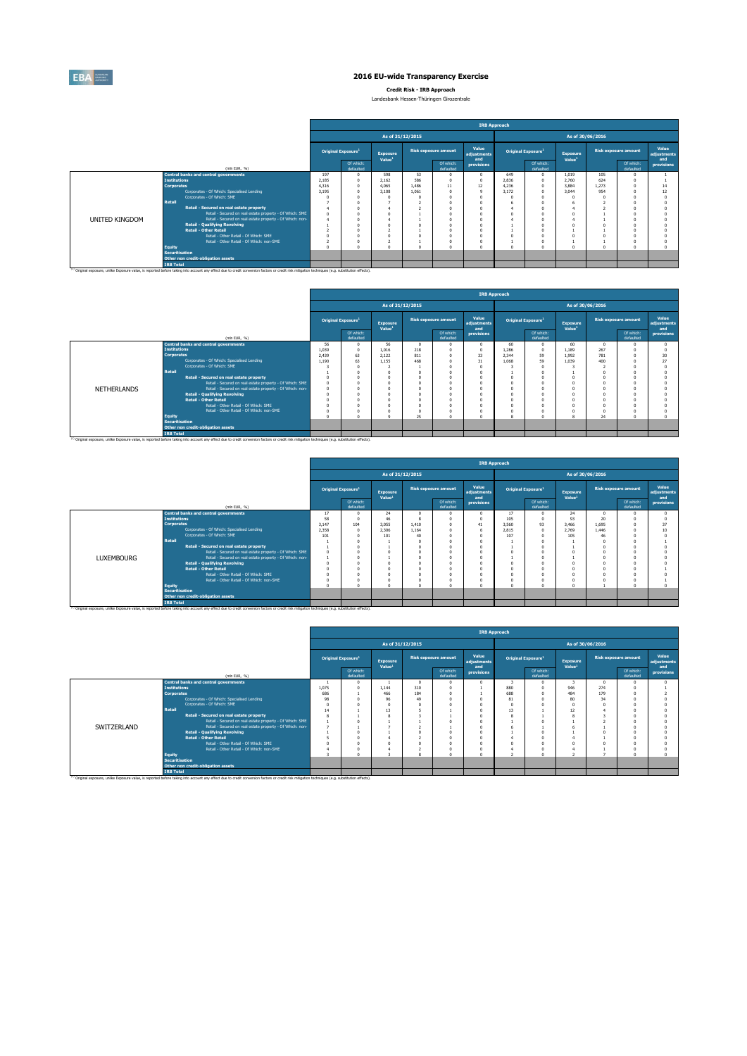

**Credit Risk - IRB Approach** Landesbank Hessen-Thüringen Girozentrale

| andesbank Hessen-Thüringen Girozentra |  |  |
|---------------------------------------|--|--|
|                                       |  |  |

|                |                       |                                                                                                                                                                                                               |       |                                |                                       |       |                             | <b>IRB Approach</b>         |          |                                |                                       | As of 30/06/2016<br><b>Risk exposure amount</b><br>and<br>Of which:<br>defaulted |  |                      |  |  |  |  |
|----------------|-----------------------|---------------------------------------------------------------------------------------------------------------------------------------------------------------------------------------------------------------|-------|--------------------------------|---------------------------------------|-------|-----------------------------|-----------------------------|----------|--------------------------------|---------------------------------------|----------------------------------------------------------------------------------|--|----------------------|--|--|--|--|
|                |                       |                                                                                                                                                                                                               |       |                                | As of 31/12/2015                      |       |                             |                             |          |                                |                                       |                                                                                  |  |                      |  |  |  |  |
|                |                       |                                                                                                                                                                                                               |       | Original Exposure <sup>1</sup> | <b>Exposure</b><br>Value <sup>1</sup> |       | <b>Risk exposure amount</b> | Value<br>adjustments<br>and |          | Original Exposure <sup>1</sup> | <b>Exposure</b><br>Value <sup>1</sup> |                                                                                  |  | Value<br>adjustments |  |  |  |  |
|                |                       | (min EUR. %)                                                                                                                                                                                                  |       | Of which:<br>defaulted         |                                       |       | Of which:<br>defaulted      | provisions                  |          | Of which:<br>defaulted         |                                       |                                                                                  |  | provisions           |  |  |  |  |
|                |                       | <b>Central banks and central governments</b>                                                                                                                                                                  | 197   |                                | 598                                   | 53    |                             | $\Omega$                    | 649      | $^{\circ}$                     | 1.019                                 | 105                                                                              |  |                      |  |  |  |  |
|                | <b>Institutions</b>   |                                                                                                                                                                                                               | 2.185 |                                | 2.162                                 | 586   |                             |                             | 2.836    | $\Omega$                       | 2,760                                 | 624                                                                              |  |                      |  |  |  |  |
|                | <b>Corporates</b>     |                                                                                                                                                                                                               | 4,316 |                                | 4.065                                 | 1.486 | 11                          | 12                          | 4.236    | $\Omega$                       | 3,884                                 | 1.273                                                                            |  |                      |  |  |  |  |
|                |                       | Corporates - Of Which: Specialised Lending                                                                                                                                                                    | 3.195 |                                | 3.108                                 | 1.061 |                             | $\alpha$                    | 3.172    | $\Omega$                       | 3.044                                 | 954                                                                              |  |                      |  |  |  |  |
|                |                       | Corporates - Of Which: SME                                                                                                                                                                                    |       |                                |                                       |       |                             |                             |          |                                |                                       |                                                                                  |  |                      |  |  |  |  |
|                | Retail                |                                                                                                                                                                                                               |       |                                |                                       |       |                             |                             |          | $\Omega$                       |                                       |                                                                                  |  |                      |  |  |  |  |
|                |                       | Retail - Secured on real estate property                                                                                                                                                                      |       |                                |                                       |       |                             |                             | A        |                                |                                       |                                                                                  |  |                      |  |  |  |  |
|                |                       | Retail - Secured on real estate property - Of Which: SME                                                                                                                                                      |       |                                |                                       |       |                             |                             |          |                                |                                       |                                                                                  |  |                      |  |  |  |  |
| UNITED KINGDOM |                       | Retail - Secured on real estate property - Of Which: non-                                                                                                                                                     |       |                                |                                       |       |                             |                             |          |                                |                                       |                                                                                  |  |                      |  |  |  |  |
|                |                       | <b>Retail - Qualifying Revolving</b>                                                                                                                                                                          |       |                                |                                       |       |                             |                             |          |                                |                                       |                                                                                  |  |                      |  |  |  |  |
|                |                       | <b>Retail - Other Retail</b>                                                                                                                                                                                  |       |                                |                                       |       |                             |                             |          |                                |                                       |                                                                                  |  |                      |  |  |  |  |
|                |                       | Retail - Other Retail - Of Which: SME                                                                                                                                                                         |       |                                |                                       |       |                             |                             |          |                                |                                       |                                                                                  |  |                      |  |  |  |  |
|                |                       | Retail - Other Retail - Of Which: non-SME                                                                                                                                                                     |       |                                |                                       |       |                             |                             |          | $\Omega$                       |                                       |                                                                                  |  |                      |  |  |  |  |
|                | Equity                |                                                                                                                                                                                                               |       |                                |                                       |       |                             |                             | $\Omega$ |                                |                                       |                                                                                  |  |                      |  |  |  |  |
|                | <b>Securitisation</b> |                                                                                                                                                                                                               |       |                                |                                       |       |                             |                             |          |                                |                                       |                                                                                  |  |                      |  |  |  |  |
|                |                       | Other non credit-obligation assets                                                                                                                                                                            |       |                                |                                       |       |                             |                             |          |                                |                                       |                                                                                  |  |                      |  |  |  |  |
|                | <b>IRB Total</b>      |                                                                                                                                                                                                               |       |                                |                                       |       |                             |                             |          |                                |                                       |                                                                                  |  |                      |  |  |  |  |
|                |                       | <sup>(1)</sup> Original exposure, unlike Exposure value, is reported before taking into account any effect due to credit conversion factors or credit risk mitigation techniques (e.g. substitution effects). |       |                                |                                       |       |                             |                             |          |                                |                                       |                                                                                  |  |                      |  |  |  |  |

|                    |                                                                                                                                                                                                               |                                                           |       |                                |                                       |                  |                             |                             | <b>IRB Approach</b> |                                |                                       |                  |                             |                             |
|--------------------|---------------------------------------------------------------------------------------------------------------------------------------------------------------------------------------------------------------|-----------------------------------------------------------|-------|--------------------------------|---------------------------------------|------------------|-----------------------------|-----------------------------|---------------------|--------------------------------|---------------------------------------|------------------|-----------------------------|-----------------------------|
|                    |                                                                                                                                                                                                               |                                                           |       |                                |                                       | As of 31/12/2015 |                             |                             |                     |                                |                                       | As of 30/06/2016 |                             |                             |
|                    |                                                                                                                                                                                                               |                                                           |       | Original Exposure <sup>1</sup> | <b>Exposure</b><br>Value <sup>1</sup> |                  | <b>Risk exposure amount</b> | Value<br>adjustments<br>and |                     | Original Exposure <sup>1</sup> | <b>Exposure</b><br>Value <sup>1</sup> |                  | <b>Risk exposure amount</b> | Value<br>adiustments<br>and |
|                    |                                                                                                                                                                                                               | (mln EUR. %)                                              |       | Of which:<br>defaulted         |                                       |                  | Of which:<br>defaulted      | provisions                  |                     | Of which:<br>defaulted         |                                       |                  | Of which:<br>defaulted      | provisions                  |
|                    |                                                                                                                                                                                                               | <b>Central banks and central governments</b>              | 56    |                                | 56                                    |                  |                             |                             | 60                  |                                | 60                                    |                  |                             |                             |
|                    | <b>Institutions</b>                                                                                                                                                                                           |                                                           | 1.039 |                                | 1.016                                 | 218              |                             |                             | 1.286               |                                | 1.189                                 | 267              |                             |                             |
|                    | <b>Corporates</b>                                                                                                                                                                                             |                                                           | 2.439 | 63                             | 2.122                                 | 811              |                             | 33                          | 2.344               | 59                             | 1.992                                 | 781              |                             |                             |
|                    |                                                                                                                                                                                                               | Corporates - Of Which: Specialised Lending                | 1.190 | 63                             | 1.155                                 | 468              |                             | 31                          | 1.068               | 59                             | 1.039                                 | 400              |                             |                             |
|                    |                                                                                                                                                                                                               | Corporates - Of Which: SME                                |       |                                |                                       |                  |                             |                             |                     |                                |                                       |                  |                             |                             |
|                    | <b>Retail</b>                                                                                                                                                                                                 |                                                           |       |                                |                                       |                  |                             |                             |                     |                                |                                       |                  |                             |                             |
|                    |                                                                                                                                                                                                               | Retail - Secured on real estate property                  |       |                                |                                       |                  |                             |                             |                     |                                |                                       |                  |                             |                             |
|                    |                                                                                                                                                                                                               | Retail - Secured on real estate property - Of Which: SME  |       |                                |                                       |                  |                             |                             |                     |                                |                                       |                  |                             |                             |
| <b>NETHERLANDS</b> |                                                                                                                                                                                                               | Retail - Secured on real estate property - Of Which: non- |       |                                |                                       |                  |                             |                             |                     |                                |                                       |                  |                             |                             |
|                    |                                                                                                                                                                                                               | <b>Retail - Qualifying Revolving</b>                      |       |                                |                                       |                  |                             |                             |                     |                                |                                       |                  |                             |                             |
|                    |                                                                                                                                                                                                               | <b>Retail - Other Retail</b>                              |       |                                |                                       |                  |                             |                             |                     |                                |                                       |                  |                             |                             |
|                    |                                                                                                                                                                                                               | Retail - Other Retail - Of Which: SME                     |       |                                |                                       |                  |                             |                             |                     |                                |                                       |                  |                             |                             |
|                    |                                                                                                                                                                                                               | Retail - Other Retail - Of Which: non-SME                 |       |                                |                                       |                  |                             |                             |                     |                                |                                       |                  |                             |                             |
|                    | <b>Equity</b>                                                                                                                                                                                                 |                                                           |       |                                | $\Omega$                              | 25               |                             |                             |                     |                                |                                       | 24               |                             |                             |
|                    | <b>Securitisation</b>                                                                                                                                                                                         |                                                           |       |                                |                                       |                  |                             |                             |                     |                                |                                       |                  |                             |                             |
|                    |                                                                                                                                                                                                               | Other non credit-obligation assets                        |       |                                |                                       |                  |                             |                             |                     |                                |                                       |                  |                             |                             |
|                    | <b>IRB Total</b>                                                                                                                                                                                              |                                                           |       |                                |                                       |                  |                             |                             |                     |                                |                                       |                  |                             |                             |
|                    | <sup>(1)</sup> Original exposure, unlike Exposure value, is reported before taking into account any effect due to credit conversion factors or credit risk mitigation techniques (e.g. substitution effects). |                                                           |       |                                |                                       |                  |                             |                             |                     |                                |                                       |                  |                             |                             |

|                   |                                                                                                                                                                                                    |                                                           | <b>IRB Approach</b> |                                |                                       |       |                             |                             |          |                                       |                                       |       |                             |                             |
|-------------------|----------------------------------------------------------------------------------------------------------------------------------------------------------------------------------------------------|-----------------------------------------------------------|---------------------|--------------------------------|---------------------------------------|-------|-----------------------------|-----------------------------|----------|---------------------------------------|---------------------------------------|-------|-----------------------------|-----------------------------|
|                   |                                                                                                                                                                                                    |                                                           |                     |                                | As of 31/12/2015                      |       |                             |                             |          |                                       | As of 30/06/2016                      |       |                             |                             |
|                   |                                                                                                                                                                                                    |                                                           |                     | Original Exposure <sup>1</sup> | <b>Exposure</b><br>Value <sup>1</sup> |       | <b>Risk exposure amount</b> | Value<br>adjustments<br>and |          | <b>Original Exposure</b> <sup>1</sup> | <b>Exposure</b><br>Value <sup>1</sup> |       | <b>Risk exposure amount</b> | Value<br>adjustments<br>and |
|                   |                                                                                                                                                                                                    | (mln EUR, %)                                              |                     | Of which:<br>defaulted         |                                       |       | Of which:<br>defaulted      | provisions                  |          | Of which:<br>defaulted                |                                       |       | Of which:<br>defaulted      | provisions                  |
|                   |                                                                                                                                                                                                    | <b>Central banks and central governments</b>              | 17                  |                                | 24                                    |       |                             | $\Omega$                    | 17       |                                       | 24                                    |       |                             |                             |
|                   | <b>Institutions</b>                                                                                                                                                                                |                                                           | 58                  |                                | 46                                    |       |                             | $\Omega$                    | 105      |                                       | 93                                    | 20    |                             |                             |
|                   | <b>Corporates</b>                                                                                                                                                                                  |                                                           | 3.147               | 104                            | 3.055                                 | 1,410 |                             | 41                          | 3.560    | 93                                    | 3.466                                 | 1.695 |                             | 37                          |
|                   |                                                                                                                                                                                                    | Corporates - Of Which: Specialised Lending                | 2.358               |                                | 2.306                                 | 1.164 |                             | 6                           | 2.815    |                                       | 2.769                                 | 1.446 |                             | 10                          |
|                   |                                                                                                                                                                                                    | Corporates - Of Which: SME                                | 101                 |                                | 101                                   | 40    |                             | O                           | 107      |                                       | 105                                   | 46    |                             |                             |
|                   | <b>Retail</b>                                                                                                                                                                                      |                                                           |                     |                                |                                       |       |                             |                             |          |                                       |                                       |       |                             |                             |
|                   |                                                                                                                                                                                                    | Retail - Secured on real estate property                  |                     |                                |                                       |       |                             | O                           |          |                                       |                                       |       |                             |                             |
|                   |                                                                                                                                                                                                    | Retail - Secured on real estate property - Of Which: SME  |                     |                                |                                       |       |                             | O                           |          |                                       |                                       |       |                             |                             |
| <b>LUXEMBOURG</b> |                                                                                                                                                                                                    | Retail - Secured on real estate property - Of Which: non- |                     |                                |                                       |       |                             | O                           |          |                                       |                                       |       |                             |                             |
|                   |                                                                                                                                                                                                    | <b>Retail - Qualifying Revolving</b>                      |                     |                                |                                       |       |                             | $\Omega$                    | ń        |                                       |                                       |       |                             |                             |
|                   |                                                                                                                                                                                                    | <b>Retail - Other Retail</b>                              |                     |                                |                                       |       |                             | O                           | ń        |                                       |                                       |       |                             |                             |
|                   |                                                                                                                                                                                                    | Retail - Other Retail - Of Which: SME                     |                     |                                |                                       |       |                             | O                           | $\Omega$ |                                       |                                       |       |                             |                             |
|                   |                                                                                                                                                                                                    | Retail - Other Retail - Of Which: non-SME                 |                     |                                |                                       |       |                             |                             | $\Omega$ |                                       |                                       |       |                             |                             |
|                   | <b>Equity</b>                                                                                                                                                                                      |                                                           |                     |                                |                                       |       |                             | $\sim$                      | $\sim$   |                                       |                                       |       | $\Delta$                    |                             |
|                   | <b>Securitisation</b>                                                                                                                                                                              |                                                           |                     |                                |                                       |       |                             |                             |          |                                       |                                       |       |                             |                             |
|                   |                                                                                                                                                                                                    | Other non credit-obligation assets                        |                     |                                |                                       |       |                             |                             |          |                                       |                                       |       |                             |                             |
|                   | <b>IRB Total</b>                                                                                                                                                                                   |                                                           |                     |                                |                                       |       |                             |                             |          |                                       |                                       |       |                             |                             |
|                   | (1) Original exposure, unlike Exposure value, is reported before taking into account any effect due to credit conversion factors or credit risk mitigation techniques (e.g. substitution effects). |                                                           |                     |                                |                                       |       |                             |                             |          |                                       |                                       |       |                             |                             |

|             |                                        |                                                                                                                                                                                                                                                                                                                                                                                                                                                                                                                                                                                        | <b>IRB Approach</b> |                                       |                                |                             |                        |                             |                                |                        |                                       |                             |                        |                             |  |  |
|-------------|----------------------------------------|----------------------------------------------------------------------------------------------------------------------------------------------------------------------------------------------------------------------------------------------------------------------------------------------------------------------------------------------------------------------------------------------------------------------------------------------------------------------------------------------------------------------------------------------------------------------------------------|---------------------|---------------------------------------|--------------------------------|-----------------------------|------------------------|-----------------------------|--------------------------------|------------------------|---------------------------------------|-----------------------------|------------------------|-----------------------------|--|--|
|             |                                        |                                                                                                                                                                                                                                                                                                                                                                                                                                                                                                                                                                                        |                     |                                       |                                | As of 31/12/2015            |                        |                             | As of 30/06/2016               |                        |                                       |                             |                        |                             |  |  |
|             |                                        |                                                                                                                                                                                                                                                                                                                                                                                                                                                                                                                                                                                        |                     | <b>Original Exposure</b> <sup>1</sup> | Exposure<br>Value <sup>1</sup> | <b>Risk exposure amount</b> |                        | Value<br>adjustments<br>and | Original Exposure <sup>1</sup> |                        | <b>Exposure</b><br>Value <sup>1</sup> | <b>Risk exposure amount</b> |                        | Value<br>adjustments<br>and |  |  |
|             |                                        | (mln EUR, %)                                                                                                                                                                                                                                                                                                                                                                                                                                                                                                                                                                           |                     | Of which:<br>defaulted                |                                |                             | Of which:<br>defaulted | provisions                  |                                | Of which:<br>defaulted |                                       |                             | Of which:<br>defaulted | provisions                  |  |  |
|             |                                        | <b>Central banks and central governments</b>                                                                                                                                                                                                                                                                                                                                                                                                                                                                                                                                           |                     |                                       |                                |                             | $\sqrt{2}$             | $\Omega$                    |                                |                        |                                       |                             |                        |                             |  |  |
|             | <b>Institutions</b>                    |                                                                                                                                                                                                                                                                                                                                                                                                                                                                                                                                                                                        | 1.075               |                                       | 1.144                          | 310                         | $\Omega$               |                             | 880                            |                        | 946                                   | 274                         |                        |                             |  |  |
|             | <b>Corporates</b>                      |                                                                                                                                                                                                                                                                                                                                                                                                                                                                                                                                                                                        | 686                 |                                       | 466                            | 184                         |                        |                             | 688                            |                        | 484                                   | 179                         |                        |                             |  |  |
|             |                                        | Corporates - Of Which: Specialised Lending                                                                                                                                                                                                                                                                                                                                                                                                                                                                                                                                             | 98                  |                                       | 96                             | 49                          |                        |                             | 81                             |                        | 80                                    | 34                          |                        |                             |  |  |
|             |                                        | Corporates - Of Which: SME                                                                                                                                                                                                                                                                                                                                                                                                                                                                                                                                                             |                     |                                       |                                |                             |                        |                             |                                |                        |                                       |                             |                        |                             |  |  |
|             | Retail                                 |                                                                                                                                                                                                                                                                                                                                                                                                                                                                                                                                                                                        | 14                  |                                       | 13                             |                             |                        |                             | 13                             |                        | 12                                    |                             |                        |                             |  |  |
|             |                                        |                                                                                                                                                                                                                                                                                                                                                                                                                                                                                                                                                                                        |                     |                                       |                                |                             |                        |                             |                                |                        |                                       |                             |                        |                             |  |  |
|             |                                        |                                                                                                                                                                                                                                                                                                                                                                                                                                                                                                                                                                                        |                     |                                       |                                |                             |                        |                             |                                |                        |                                       |                             |                        |                             |  |  |
|             |                                        |                                                                                                                                                                                                                                                                                                                                                                                                                                                                                                                                                                                        |                     |                                       |                                |                             |                        |                             |                                |                        |                                       |                             |                        |                             |  |  |
|             |                                        |                                                                                                                                                                                                                                                                                                                                                                                                                                                                                                                                                                                        |                     |                                       |                                |                             |                        |                             |                                |                        |                                       |                             |                        |                             |  |  |
|             |                                        |                                                                                                                                                                                                                                                                                                                                                                                                                                                                                                                                                                                        |                     |                                       |                                |                             |                        |                             |                                |                        |                                       |                             |                        |                             |  |  |
|             |                                        |                                                                                                                                                                                                                                                                                                                                                                                                                                                                                                                                                                                        |                     |                                       |                                |                             |                        | n                           |                                |                        |                                       |                             |                        |                             |  |  |
|             |                                        |                                                                                                                                                                                                                                                                                                                                                                                                                                                                                                                                                                                        |                     |                                       |                                |                             |                        |                             |                                |                        |                                       |                             |                        |                             |  |  |
|             |                                        |                                                                                                                                                                                                                                                                                                                                                                                                                                                                                                                                                                                        |                     |                                       |                                |                             |                        |                             |                                |                        |                                       |                             |                        |                             |  |  |
|             |                                        |                                                                                                                                                                                                                                                                                                                                                                                                                                                                                                                                                                                        |                     |                                       |                                |                             |                        |                             |                                |                        |                                       |                             |                        |                             |  |  |
|             |                                        |                                                                                                                                                                                                                                                                                                                                                                                                                                                                                                                                                                                        |                     |                                       |                                |                             |                        |                             |                                |                        |                                       |                             |                        |                             |  |  |
|             | <b>IRB Total</b>                       |                                                                                                                                                                                                                                                                                                                                                                                                                                                                                                                                                                                        |                     |                                       |                                |                             |                        |                             |                                |                        |                                       |                             |                        |                             |  |  |
| SWITZERLAND | <b>Equity</b><br><b>Securitisation</b> | Retail - Secured on real estate property<br>Retail - Secured on real estate property - Of Which: SME<br>Retail - Secured on real estate property - Of Which: non-<br><b>Retail - Qualifying Revolving</b><br><b>Retail - Other Retail</b><br>Retail - Other Retail - Of Which: SME<br>Retail - Other Retail - Of Which: non-SME<br>Other non credit-obligation assets<br><sup>(1)</sup> Original exposure, unlike Exposure value, is reported before taking into account any effect due to credit conversion factors or credit risk mitigation techniques (e.g. substitution effects). | $\mathbf{R}$        |                                       |                                |                             |                        | Ò                           | $\sim$                         |                        |                                       |                             |                        |                             |  |  |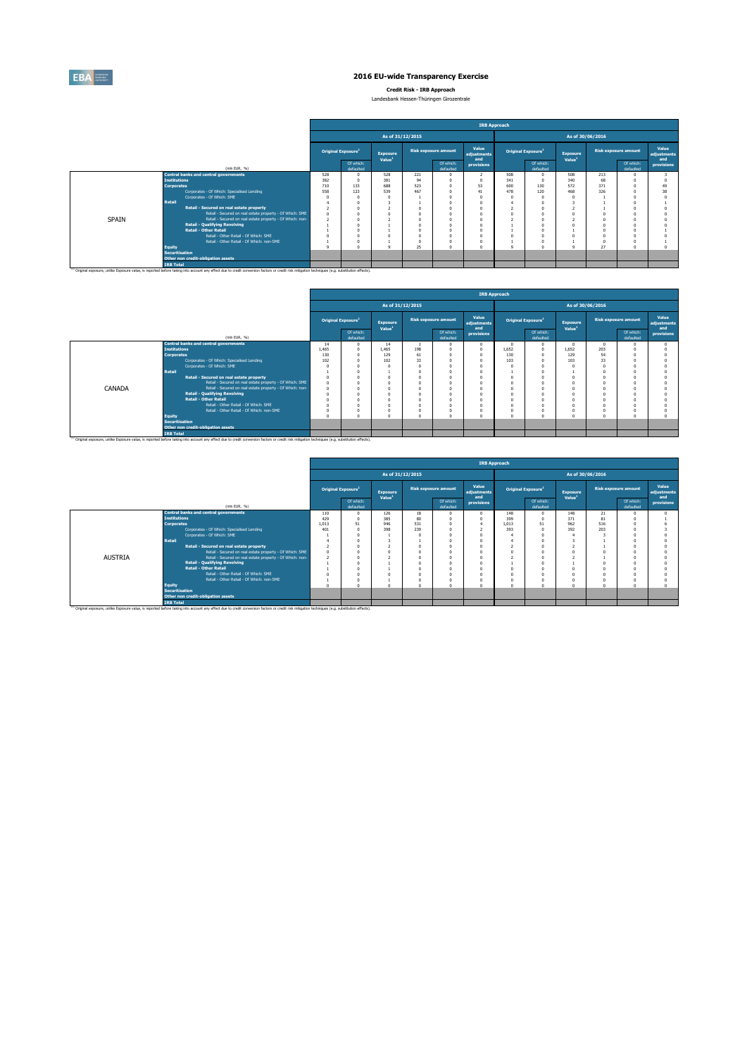

**Credit Risk - IRB Approach** Landesbank Hessen-Thüringen Girozentrale

|  | andesbank Hessen-Thüringen Girozentr |  |
|--|--------------------------------------|--|
|  |                                      |  |

|              |                                                                                                                                                                                                                                                                                                                                                                                                                             | <b>IRB Approach</b>      |                                       |                                       |                                     |                        |                                              |                                                           |                                                                                                |                                       |                                     |                        |                             |  |
|--------------|-----------------------------------------------------------------------------------------------------------------------------------------------------------------------------------------------------------------------------------------------------------------------------------------------------------------------------------------------------------------------------------------------------------------------------|--------------------------|---------------------------------------|---------------------------------------|-------------------------------------|------------------------|----------------------------------------------|-----------------------------------------------------------|------------------------------------------------------------------------------------------------|---------------------------------------|-------------------------------------|------------------------|-----------------------------|--|
|              |                                                                                                                                                                                                                                                                                                                                                                                                                             |                          |                                       | As of 31/12/2015                      |                                     |                        | As of 30/06/2016                             |                                                           |                                                                                                |                                       |                                     |                        |                             |  |
|              |                                                                                                                                                                                                                                                                                                                                                                                                                             |                          | <b>Original Exposure</b> <sup>1</sup> | <b>Exposure</b><br>Value <sup>1</sup> | <b>Risk exposure amount</b>         |                        | Value<br>adjustments<br>and                  |                                                           | Original Exposure <sup>1</sup>                                                                 | <b>Exposure</b><br>Value <sup>1</sup> | <b>Risk exposure amount</b>         |                        | Value<br>adiustments<br>and |  |
|              | (min EUR. %)                                                                                                                                                                                                                                                                                                                                                                                                                |                          | Of which:<br>defaulted                |                                       |                                     | Of which:<br>defaulted | provisions                                   |                                                           | Of which:<br>defaulted                                                                         |                                       |                                     | Of which:<br>defaulted | provisions                  |  |
| <b>SPAIN</b> | <b>Central banks and central governments</b><br><b>Institutions</b><br><b>Corporates</b><br>Corporates - Of Which: Specialised Lending<br>Corporates - Of Which: SME<br>Retail<br>Retail - Secured on real estate property<br>Retail - Secured on real estate property - Of Which: SME<br>Retail - Secured on real estate property - Of Which: non-<br><b>Retail - Qualifying Revolving</b><br><b>Retail - Other Retail</b> | 528<br>382<br>710<br>558 | 133<br>123                            | 528<br>381<br>688<br>539              | 221<br>Q <sub>4</sub><br>523<br>467 |                        | $\Omega$<br>53<br>41<br>$\Omega$<br>$\Omega$ | 508<br>341<br>600<br>478<br>n<br>$\sim$<br>$\Omega$<br>×, | $\Omega$<br>$\Omega$<br>130<br>120<br>$\Omega$<br>$\Omega$<br>$\Omega$<br>$\Omega$<br>$\Omega$ | 508<br>340<br>572<br>468              | 213<br>68<br>371<br>326<br>$\Omega$ |                        | 38                          |  |
|              | Retail - Other Retail - Of Which: SME<br>Retail - Other Retail - Of Which: non-SME<br>Equity<br><b>Securitisation</b><br>Other non credit-obligation assets                                                                                                                                                                                                                                                                 |                          |                                       | $\Omega$                              | 25                                  |                        | $\Delta$                                     | $\alpha$                                                  | $\Omega$<br>$\Omega$<br>$\sqrt{2}$                                                             |                                       | $\sim$<br>27                        |                        |                             |  |
|              | <b>IRB Total</b><br><sup>(1)</sup> Original exposure, unlike Exposure value, is reported before taking into account any effect due to credit conversion factors or credit risk mitigation techniques (e.g. substitution effects).                                                                                                                                                                                           |                          |                                       |                                       |                                     |                        |                                              |                                                           |                                                                                                |                                       |                                     |                        |                             |  |

|        |                                            |                                                                                                                                                                                                               | <b>IRB Approach</b> |                                |                                |     |                             |                             |       |                                |                                |                             |                        |                             |  |
|--------|--------------------------------------------|---------------------------------------------------------------------------------------------------------------------------------------------------------------------------------------------------------------|---------------------|--------------------------------|--------------------------------|-----|-----------------------------|-----------------------------|-------|--------------------------------|--------------------------------|-----------------------------|------------------------|-----------------------------|--|
|        |                                            |                                                                                                                                                                                                               |                     |                                | As of 31/12/2015               |     |                             |                             |       |                                |                                | As of 30/06/2016            |                        |                             |  |
|        |                                            |                                                                                                                                                                                                               |                     | Original Exposure <sup>1</sup> | Exposure<br>Value <sup>1</sup> |     | <b>Risk exposure amount</b> | Value<br>adjustments<br>and |       | Original Exposure <sup>1</sup> | Exposure<br>Value <sup>1</sup> | <b>Risk exposure amount</b> |                        | Value<br>adjustments<br>and |  |
|        |                                            | (mln EUR, %)                                                                                                                                                                                                  |                     | Of which:<br>defaulted         |                                |     | Of which:<br>defaulted      | provisions                  |       | Of which:<br>defaulted         |                                |                             | Of which:<br>defaulted | provisions                  |  |
|        |                                            | <b>Central banks and central governments</b>                                                                                                                                                                  | 14                  |                                | 14                             |     |                             |                             |       |                                |                                |                             |                        |                             |  |
|        | <b>Institutions</b>                        |                                                                                                                                                                                                               | 1.465               |                                | 1.465                          | 198 |                             |                             | 1.652 |                                | 1.652                          | 203                         |                        |                             |  |
|        | <b>Corporates</b>                          |                                                                                                                                                                                                               | 130                 |                                | 129                            | 61  |                             |                             | 130   |                                | 129                            | 54                          |                        |                             |  |
|        | Corporates - Of Which: Soecialised Lending | 102                                                                                                                                                                                                           |                     | 102                            | 33                             |     |                             | 103                         |       | 103                            | 33                             |                             |                        |                             |  |
|        | Corporates - Of Which: SME                 |                                                                                                                                                                                                               |                     |                                |                                |     |                             |                             |       |                                |                                |                             |                        |                             |  |
|        | <b>Retail</b>                              |                                                                                                                                                                                                               |                     |                                |                                |     |                             |                             |       |                                |                                |                             |                        |                             |  |
|        |                                            | Retail - Secured on real estate property                                                                                                                                                                      |                     |                                |                                |     |                             |                             |       |                                |                                |                             |                        |                             |  |
|        |                                            | Retail - Secured on real estate property - Of Which: SME                                                                                                                                                      |                     |                                |                                |     |                             |                             |       |                                |                                |                             |                        |                             |  |
| CANADA |                                            | Retail - Secured on real estate property - Of Which: non-                                                                                                                                                     |                     |                                |                                |     |                             |                             |       |                                |                                |                             |                        |                             |  |
|        |                                            | <b>Retail - Qualifying Revolving</b>                                                                                                                                                                          |                     |                                |                                |     |                             |                             |       |                                |                                |                             |                        |                             |  |
|        |                                            | <b>Retail - Other Retail</b>                                                                                                                                                                                  |                     |                                |                                |     |                             |                             |       |                                |                                |                             |                        |                             |  |
|        |                                            | Retail - Other Retail - Of Which: SME                                                                                                                                                                         |                     |                                |                                |     |                             |                             |       |                                |                                |                             |                        |                             |  |
|        |                                            | Retail - Other Retail - Of Which: non-SME                                                                                                                                                                     |                     |                                |                                |     |                             |                             |       |                                |                                |                             |                        |                             |  |
|        | <b>Equity</b>                              |                                                                                                                                                                                                               |                     |                                |                                |     |                             |                             |       |                                |                                |                             |                        |                             |  |
|        | <b>Securitisation</b>                      |                                                                                                                                                                                                               |                     |                                |                                |     |                             |                             |       |                                |                                |                             |                        |                             |  |
|        |                                            | Other non credit-obligation assets                                                                                                                                                                            |                     |                                |                                |     |                             |                             |       |                                |                                |                             |                        |                             |  |
|        | <b>IRB Total</b>                           |                                                                                                                                                                                                               |                     |                                |                                |     |                             |                             |       |                                |                                |                             |                        |                             |  |
|        |                                            | <sup>(1)</sup> Original exposure, unlike Exposure value, is reported before taking into account any effect due to credit conversion factors or credit risk mitigation techniques (e.g. substitution effects). |                     |                                |                                |     |                             |                             |       |                                |                                |                             |                        |                             |  |

|                |                       |                                                                                                                                                                                                               | <b>IRB Approach</b> |                                |                                |                  |                             |                             |                                |                        |                                       |     |                             |                             |  |  |
|----------------|-----------------------|---------------------------------------------------------------------------------------------------------------------------------------------------------------------------------------------------------------|---------------------|--------------------------------|--------------------------------|------------------|-----------------------------|-----------------------------|--------------------------------|------------------------|---------------------------------------|-----|-----------------------------|-----------------------------|--|--|
|                |                       |                                                                                                                                                                                                               |                     |                                |                                | As of 31/12/2015 |                             |                             | As of 30/06/2016               |                        |                                       |     |                             |                             |  |  |
|                |                       |                                                                                                                                                                                                               |                     | Original Exposure <sup>1</sup> | Exposure<br>Value <sup>1</sup> |                  | <b>Risk exposure amount</b> | Value<br>adjustments<br>and | Original Exposure <sup>1</sup> |                        | <b>Exposure</b><br>Value <sup>1</sup> |     | <b>Risk exposure amount</b> | Value<br>adjustments<br>and |  |  |
|                |                       | (mln EUR, %)                                                                                                                                                                                                  |                     | Of which:<br>defaulted         |                                |                  | Of which:<br>defaulted      | provisions                  |                                | Of which:<br>defaulted |                                       |     | Of which:<br>defaulted      | provisions                  |  |  |
|                |                       | <b>Central banks and central governments</b>                                                                                                                                                                  | 110                 |                                | 126                            | 18               | n                           |                             | 148                            |                        | 148                                   | 21  |                             |                             |  |  |
|                | <b>Institutions</b>   |                                                                                                                                                                                                               | 429                 |                                | 385                            | 80               | n                           |                             | 399                            |                        | 371                                   | 81  |                             |                             |  |  |
|                | <b>Corporates</b>     |                                                                                                                                                                                                               | 1.013               | 51                             | 946                            | 531              | $\Omega$                    |                             | 1.013                          | 51                     | 962                                   | 516 |                             |                             |  |  |
|                |                       | Corporates - Of Which: Specialised Lending                                                                                                                                                                    | 401                 |                                | 398                            | 239              |                             |                             | 393                            |                        | 392                                   | 203 |                             |                             |  |  |
|                |                       | Corporates - Of Which: SME                                                                                                                                                                                    |                     |                                |                                |                  |                             |                             |                                |                        |                                       |     |                             |                             |  |  |
|                | <b>Retail</b>         |                                                                                                                                                                                                               |                     |                                |                                |                  |                             |                             |                                |                        |                                       |     |                             |                             |  |  |
|                |                       | Retail - Secured on real estate property                                                                                                                                                                      |                     |                                |                                |                  |                             |                             |                                |                        |                                       |     |                             |                             |  |  |
|                |                       | Retail - Secured on real estate property - Of Which: SME                                                                                                                                                      | $\Omega$            |                                |                                |                  |                             |                             |                                |                        |                                       |     |                             |                             |  |  |
| <b>AUSTRIA</b> |                       | Retail - Secured on real estate property - Of Which: non-                                                                                                                                                     |                     |                                |                                |                  |                             |                             |                                |                        |                                       |     |                             |                             |  |  |
|                |                       | <b>Retail - Qualifving Revolving</b>                                                                                                                                                                          |                     |                                |                                |                  |                             |                             |                                |                        |                                       |     |                             |                             |  |  |
|                |                       | <b>Retail - Other Retail</b>                                                                                                                                                                                  |                     |                                |                                |                  |                             |                             |                                |                        |                                       |     |                             |                             |  |  |
|                |                       | Retail - Other Retail - Of Which: SME                                                                                                                                                                         |                     |                                |                                |                  |                             |                             |                                |                        |                                       |     |                             |                             |  |  |
|                |                       | Retail - Other Retail - Of Which: non-SME                                                                                                                                                                     |                     |                                |                                |                  |                             |                             |                                |                        |                                       |     |                             |                             |  |  |
|                | <b>Equity</b>         |                                                                                                                                                                                                               |                     |                                |                                |                  |                             |                             |                                |                        |                                       |     |                             |                             |  |  |
|                | <b>Securitisation</b> |                                                                                                                                                                                                               |                     |                                |                                |                  |                             |                             |                                |                        |                                       |     |                             |                             |  |  |
|                |                       | Other non credit-obligation assets                                                                                                                                                                            |                     |                                |                                |                  |                             |                             |                                |                        |                                       |     |                             |                             |  |  |
|                | <b>IRB Total</b>      |                                                                                                                                                                                                               |                     |                                |                                |                  |                             |                             |                                |                        |                                       |     |                             |                             |  |  |
|                |                       | <sup>(1)</sup> Original exposure, unlike Exposure value, is reported before taking into account any effect due to credit conversion factors or credit risk mitigation techniques (e.g. substitution effects). |                     |                                |                                |                  |                             |                             |                                |                        |                                       |     |                             |                             |  |  |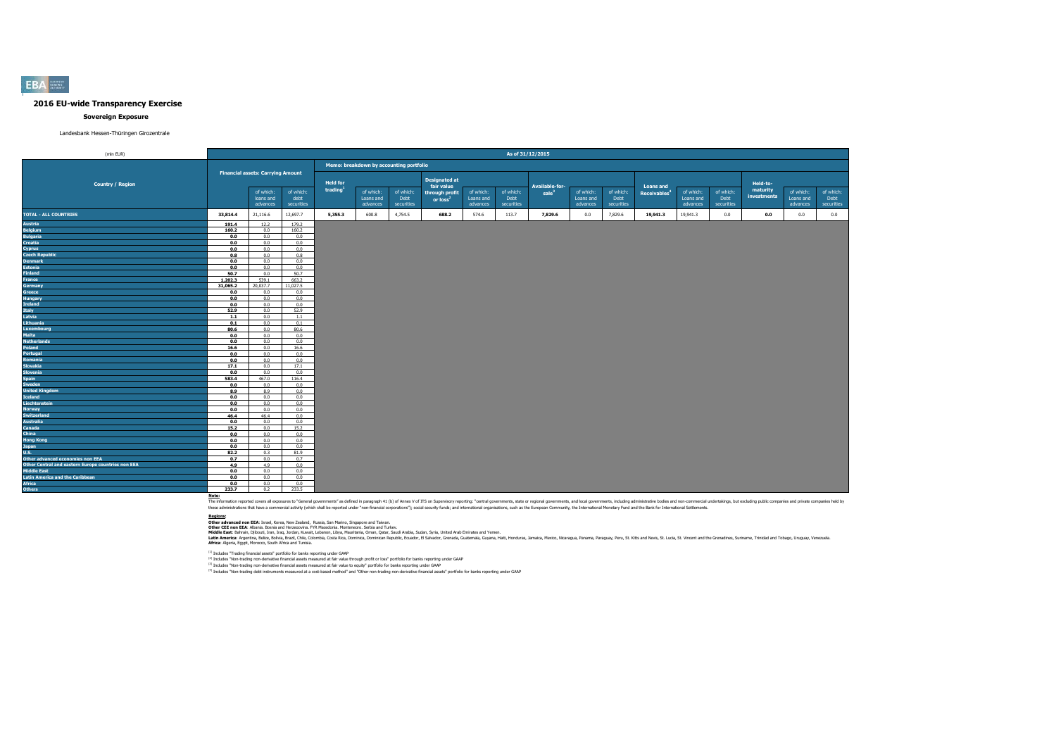#### **Sovereign Exposure**

Landesbank Hessen-Thüringen Girozentrale

| (mln EUR)                                          |          |                                          |                    |                                         |                       |                    |                              |                       | As of 31/12/2015   |                                     |                       |                    |                                              |                       |                    |                      |                       |                    |
|----------------------------------------------------|----------|------------------------------------------|--------------------|-----------------------------------------|-----------------------|--------------------|------------------------------|-----------------------|--------------------|-------------------------------------|-----------------------|--------------------|----------------------------------------------|-----------------------|--------------------|----------------------|-----------------------|--------------------|
|                                                    |          |                                          |                    | Memo: breakdown by accounting portfolio |                       |                    |                              |                       |                    |                                     |                       |                    |                                              |                       |                    |                      |                       |                    |
|                                                    |          | <b>Financial assets: Carrying Amount</b> |                    |                                         |                       |                    | <b>Designated at</b>         |                       |                    |                                     |                       |                    |                                              |                       |                    |                      |                       |                    |
| <b>Country / Region</b>                            |          | of which:                                | of which:          | <b>Held for</b><br>trading              | of which:             | of which:          | fair value<br>through profit | of which:             | of which:          | Available-for-<br>sale <sup>3</sup> | of which:             | of which:          | <b>Loans and</b><br>Receivables <sup>4</sup> | of which:             | of which:          | Held-to-<br>maturity | of which:             | of which:          |
|                                                    |          | loans and<br>advances                    | debt<br>securities |                                         | Loans and<br>advances | Debt<br>securities | or $loss2$                   | Loans and<br>advances | Debt<br>securities |                                     | Loans and<br>advances | Debt<br>securities |                                              | Loans and<br>advances | Debt<br>securities | investments          | Loans and<br>advances | Debt<br>securities |
| <b>TOTAL - ALL COUNTRIES</b>                       | 33,814.4 | 21,116.6                                 | 12,697.7           | 5,355.3                                 | 600.8                 | 4,754.5            | 688.2                        | 574.6                 | 113.7              | 7,829.6                             | 0.0                   | 7,829.6            | 19,941.3                                     | 19,941.3              | 0.0                | 0.0                  | 0.0                   | 0.0                |
| <b>Austria</b>                                     | 191.4    | 12.2                                     | 179.2              |                                         |                       |                    |                              |                       |                    |                                     |                       |                    |                                              |                       |                    |                      |                       |                    |
| <b>Belgium</b>                                     | 160.2    | 0.0                                      | 160.2              |                                         |                       |                    |                              |                       |                    |                                     |                       |                    |                                              |                       |                    |                      |                       |                    |
| <b>Bulgaria</b>                                    | 0.0      | 0.0                                      | 0.0                |                                         |                       |                    |                              |                       |                    |                                     |                       |                    |                                              |                       |                    |                      |                       |                    |
| Croatia                                            | 0.0      | 0.0                                      | 0.0                |                                         |                       |                    |                              |                       |                    |                                     |                       |                    |                                              |                       |                    |                      |                       |                    |
| Cyprus                                             | 0.0      | 0.0                                      | 0.0                |                                         |                       |                    |                              |                       |                    |                                     |                       |                    |                                              |                       |                    |                      |                       |                    |
| <b>Czech Republic</b>                              | 0.8      | 0.0                                      | 0.8                |                                         |                       |                    |                              |                       |                    |                                     |                       |                    |                                              |                       |                    |                      |                       |                    |
| <b>Denmark</b>                                     | 0.0      | 0.0                                      | 0.0                |                                         |                       |                    |                              |                       |                    |                                     |                       |                    |                                              |                       |                    |                      |                       |                    |
| <b>Estonia</b>                                     | 0.0      | 0.0                                      | 0.0                |                                         |                       |                    |                              |                       |                    |                                     |                       |                    |                                              |                       |                    |                      |                       |                    |
| <b>Finland</b>                                     | 50.7     | 0.0                                      | 50.7               |                                         |                       |                    |                              |                       |                    |                                     |                       |                    |                                              |                       |                    |                      |                       |                    |
| France                                             | 1,202.3  | 539.1                                    | 663.2              |                                         |                       |                    |                              |                       |                    |                                     |                       |                    |                                              |                       |                    |                      |                       |                    |
| Germany                                            | 31,065.2 | 20,037.7                                 | 11,027.5           |                                         |                       |                    |                              |                       |                    |                                     |                       |                    |                                              |                       |                    |                      |                       |                    |
| Greece                                             | 0.0      | 0.0                                      | 0.0                |                                         |                       |                    |                              |                       |                    |                                     |                       |                    |                                              |                       |                    |                      |                       |                    |
| Hungary                                            | 0.0      | 0.0                                      | 0.0                |                                         |                       |                    |                              |                       |                    |                                     |                       |                    |                                              |                       |                    |                      |                       |                    |
| <b>Ireland</b>                                     | 0.0      | 0.0                                      | 0.0                |                                         |                       |                    |                              |                       |                    |                                     |                       |                    |                                              |                       |                    |                      |                       |                    |
| <b>Italy</b>                                       | 52.9     | 0.0                                      | 52.9               |                                         |                       |                    |                              |                       |                    |                                     |                       |                    |                                              |                       |                    |                      |                       |                    |
| Latvia                                             | $1.1$    | 0.0                                      | 1.1                |                                         |                       |                    |                              |                       |                    |                                     |                       |                    |                                              |                       |                    |                      |                       |                    |
| Lithuania                                          | 0.1      | 0.0                                      | 0.1                |                                         |                       |                    |                              |                       |                    |                                     |                       |                    |                                              |                       |                    |                      |                       |                    |
| Luxembourg                                         | 80.6     | 0.0                                      | 80.6               |                                         |                       |                    |                              |                       |                    |                                     |                       |                    |                                              |                       |                    |                      |                       |                    |
| <b>Malta</b>                                       | 0.0      | 0.0                                      | 0.0                |                                         |                       |                    |                              |                       |                    |                                     |                       |                    |                                              |                       |                    |                      |                       |                    |
| <b>Netherlands</b>                                 | 0.0      | 0.0                                      | 0.0                |                                         |                       |                    |                              |                       |                    |                                     |                       |                    |                                              |                       |                    |                      |                       |                    |
| Poland                                             | 16.6     | 0.0                                      | 16.6               |                                         |                       |                    |                              |                       |                    |                                     |                       |                    |                                              |                       |                    |                      |                       |                    |
| Portugal                                           | 0.0      | 0.0                                      | 0.0                |                                         |                       |                    |                              |                       |                    |                                     |                       |                    |                                              |                       |                    |                      |                       |                    |
| Romania                                            | 0.0      | 0.0                                      | 0.0                |                                         |                       |                    |                              |                       |                    |                                     |                       |                    |                                              |                       |                    |                      |                       |                    |
| <b>Slovakia</b>                                    | 17.1     | 0.0                                      | 17.1               |                                         |                       |                    |                              |                       |                    |                                     |                       |                    |                                              |                       |                    |                      |                       |                    |
| <b>Slovenia</b>                                    | 0.0      | 0.0                                      | 0.0                |                                         |                       |                    |                              |                       |                    |                                     |                       |                    |                                              |                       |                    |                      |                       |                    |
| <b>Spain</b>                                       | 583.4    | 467.0                                    | 116.4              |                                         |                       |                    |                              |                       |                    |                                     |                       |                    |                                              |                       |                    |                      |                       |                    |
| Sweden                                             | 0.0      | 0.0                                      | 0.0                |                                         |                       |                    |                              |                       |                    |                                     |                       |                    |                                              |                       |                    |                      |                       |                    |
| <b>United Kingdom</b>                              | 8.9      | 8.9                                      | 0.0                |                                         |                       |                    |                              |                       |                    |                                     |                       |                    |                                              |                       |                    |                      |                       |                    |
| <b>Iceland</b>                                     | 0.0      | 0.0                                      | 0.0                |                                         |                       |                    |                              |                       |                    |                                     |                       |                    |                                              |                       |                    |                      |                       |                    |
| Liechtenstein                                      | 0.0      | 0.0                                      | 0.0                |                                         |                       |                    |                              |                       |                    |                                     |                       |                    |                                              |                       |                    |                      |                       |                    |
| <b>Norway</b>                                      | 0.0      | 0.0                                      | 0.0                |                                         |                       |                    |                              |                       |                    |                                     |                       |                    |                                              |                       |                    |                      |                       |                    |
| <b>Switzerland</b>                                 | 46.4     | 46.4                                     | 0.0                |                                         |                       |                    |                              |                       |                    |                                     |                       |                    |                                              |                       |                    |                      |                       |                    |
| <b>Australia</b>                                   | 0.0      | 0.0                                      | 0.0                |                                         |                       |                    |                              |                       |                    |                                     |                       |                    |                                              |                       |                    |                      |                       |                    |
| Canada                                             | 15.2     | 0.0                                      | 15.2               |                                         |                       |                    |                              |                       |                    |                                     |                       |                    |                                              |                       |                    |                      |                       |                    |
| China                                              | 0.0      | 0.0                                      | 0.0                |                                         |                       |                    |                              |                       |                    |                                     |                       |                    |                                              |                       |                    |                      |                       |                    |
| <b>Hong Kong</b>                                   | 0.0      | 0.0                                      | 0.0                |                                         |                       |                    |                              |                       |                    |                                     |                       |                    |                                              |                       |                    |                      |                       |                    |
| <b>Japan</b>                                       | 0.0      | 0.0                                      | 0.0                |                                         |                       |                    |                              |                       |                    |                                     |                       |                    |                                              |                       |                    |                      |                       |                    |
| <b>U.S.</b>                                        | 82.2     | 0.3                                      | 81.9               |                                         |                       |                    |                              |                       |                    |                                     |                       |                    |                                              |                       |                    |                      |                       |                    |
| Other advanced economies non EEA                   | 0.7      | 0.0                                      | 0.7                |                                         |                       |                    |                              |                       |                    |                                     |                       |                    |                                              |                       |                    |                      |                       |                    |
| Other Central and eastern Europe countries non EEA | 4.9      | 4.9                                      | 0.0                |                                         |                       |                    |                              |                       |                    |                                     |                       |                    |                                              |                       |                    |                      |                       |                    |
| <b>Middle East</b>                                 | 0.0      | 0.0                                      | 0.0                |                                         |                       |                    |                              |                       |                    |                                     |                       |                    |                                              |                       |                    |                      |                       |                    |
| <b>Latin America and the Caribbean</b>             | 0.0      | 0.0                                      | 0.0                |                                         |                       |                    |                              |                       |                    |                                     |                       |                    |                                              |                       |                    |                      |                       |                    |
| <b>Africa</b>                                      | 0.0      | 0.0                                      | 0.0                |                                         |                       |                    |                              |                       |                    |                                     |                       |                    |                                              |                       |                    |                      |                       |                    |
| <b>Others</b>                                      | 233.7    | 0.2                                      | 233.5              |                                         |                       |                    |                              |                       |                    |                                     |                       |                    |                                              |                       |                    |                      |                       |                    |

Note:<br>The information reported covers all exposures to "General governments" as defined in paraggin 41 (b) of Annex V of ITS on Supervisory reporting: "central governments, state or regional governments, and both governmen

**Redions:**<br>Other afvanced non EEA: Israel, Korea, New Zealand, Russia, San Marino, Singore and Taiwan.<br>Middle East: Bahain, Dilouti, Iran, Iran, Jordan, Kuran, Libya, Mewhamenn: Semina, Oman, Suna, Suna, Suna, United Arab

(1) Includes "Trading financial assets" portfolio for banks reporting under GAAP

<sup>(2)</sup> Includes "Non-trading non-derivative financial assets measured at fair value through profit or loss" portfolio for banks reporting under GAAP<br><sup>03</sup> Includes "Non-trading non-derivative financial and and the major bank

**EBA**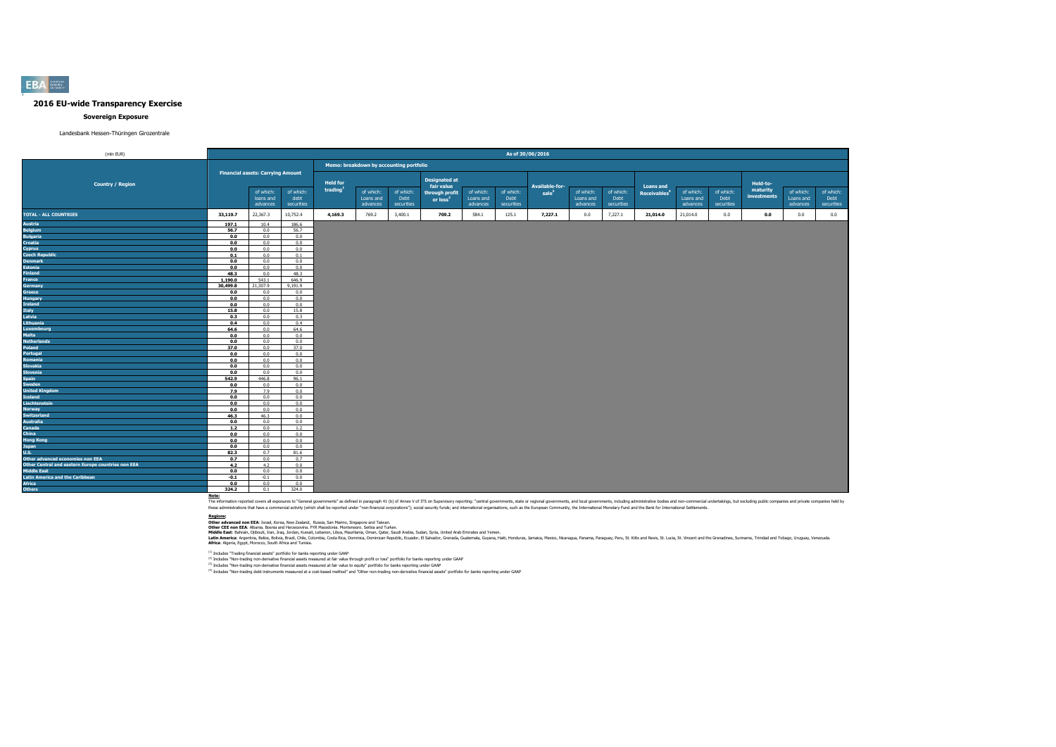#### **Sovereign Exposure**

Landesbank Hessen-Thüringen Girozentrale

| (mln EUR)                                          |          |                                          |                   |                                         |                        |                   |                              |                        | As of 30/06/2016  |                   |                        |                   |                          |                        |                   |                      |                        |                   |
|----------------------------------------------------|----------|------------------------------------------|-------------------|-----------------------------------------|------------------------|-------------------|------------------------------|------------------------|-------------------|-------------------|------------------------|-------------------|--------------------------|------------------------|-------------------|----------------------|------------------------|-------------------|
|                                                    |          |                                          |                   | Memo: breakdown by accounting portfolio |                        |                   |                              |                        |                   |                   |                        |                   |                          |                        |                   |                      |                        |                   |
|                                                    |          | <b>Financial assets: Carrying Amount</b> |                   |                                         |                        |                   | <b>Designated at</b>         |                        |                   |                   |                        |                   |                          |                        |                   |                      |                        |                   |
| <b>Country / Region</b>                            |          |                                          |                   | <b>Held for</b><br>trading              |                        |                   | fair value                   |                        |                   | Available-for-    |                        |                   | <b>Loans and</b>         |                        |                   | Held-to-<br>maturity |                        |                   |
|                                                    |          | of which:<br>loans and                   | of which:<br>debt |                                         | of which:<br>Loans and | of which:<br>Debt | through profit<br>or $loss2$ | of which:<br>Loans and | of which:<br>Debt | sale <sup>3</sup> | of which:<br>Loans and | of which:<br>Debt | Receivables <sup>4</sup> | of which:<br>Loans and | of which:<br>Debt | investments          | of which:<br>Loans and | of which:<br>Debt |
|                                                    |          | advances                                 | securities        |                                         | advances               | securities        |                              | advances               | securities        |                   | advances               | securities        |                          | advances               | securities        |                      | advances               | securities        |
| <b>TOTAL - ALL COUNTRIES</b>                       | 33,119.7 | 22,367.3                                 | 10,752.4          | 4,169.3                                 | 769.2                  | 3,400.1           | 709.2                        | 584.1                  | 125.1             | 7,227.1           | 0.0                    | 7,227.1           | 21,014.0                 | 21,014.0               | 0.0               | 0.0                  | 0.0                    | 0.0               |
| <b>Austria</b>                                     | 197.1    | 10.4                                     | 186.6             |                                         |                        |                   |                              |                        |                   |                   |                        |                   |                          |                        |                   |                      |                        |                   |
| <b>Belgium</b>                                     | 56.7     | 0.0                                      | 56.7              |                                         |                        |                   |                              |                        |                   |                   |                        |                   |                          |                        |                   |                      |                        |                   |
| <b>Bulgaria</b>                                    | 0.0      | 0.0                                      | 0.0               |                                         |                        |                   |                              |                        |                   |                   |                        |                   |                          |                        |                   |                      |                        |                   |
| <b>Croatia</b>                                     | 0.0      | 0.0                                      | 0.0               |                                         |                        |                   |                              |                        |                   |                   |                        |                   |                          |                        |                   |                      |                        |                   |
| Cyprus                                             | 0.0      | 0.0                                      | 0.0               |                                         |                        |                   |                              |                        |                   |                   |                        |                   |                          |                        |                   |                      |                        |                   |
| <b>Czech Republic</b>                              | 0.1      | 0.0                                      | 0.1               |                                         |                        |                   |                              |                        |                   |                   |                        |                   |                          |                        |                   |                      |                        |                   |
| <b>Denmark</b>                                     | 0.0      | 0.0                                      | 0.0               |                                         |                        |                   |                              |                        |                   |                   |                        |                   |                          |                        |                   |                      |                        |                   |
| <b>Estonia</b>                                     | 0.0      | 0.0                                      | 0.0               |                                         |                        |                   |                              |                        |                   |                   |                        |                   |                          |                        |                   |                      |                        |                   |
| <b>Finland</b>                                     | 48.3     | 0.0                                      | 48.3              |                                         |                        |                   |                              |                        |                   |                   |                        |                   |                          |                        |                   |                      |                        |                   |
| France                                             | 1,190.0  | 543.1                                    | 646.9             |                                         |                        |                   |                              |                        |                   |                   |                        |                   |                          |                        |                   |                      |                        |                   |
| Germany                                            | 30,499.8 | 21,307.9                                 | 9,191.9           |                                         |                        |                   |                              |                        |                   |                   |                        |                   |                          |                        |                   |                      |                        |                   |
| Greece                                             | 0.0      | 0.0                                      | 0.0               |                                         |                        |                   |                              |                        |                   |                   |                        |                   |                          |                        |                   |                      |                        |                   |
| Hungary                                            | 0.0      | 0.0                                      | 0.0               |                                         |                        |                   |                              |                        |                   |                   |                        |                   |                          |                        |                   |                      |                        |                   |
| <b>Ireland</b>                                     | 0.0      | 0.0                                      | 0.0               |                                         |                        |                   |                              |                        |                   |                   |                        |                   |                          |                        |                   |                      |                        |                   |
| <b>Italy</b>                                       | 15.8     | 0.0                                      | 15.8              |                                         |                        |                   |                              |                        |                   |                   |                        |                   |                          |                        |                   |                      |                        |                   |
| Latvia                                             | 0.3      | 0.0                                      | 0.3               |                                         |                        |                   |                              |                        |                   |                   |                        |                   |                          |                        |                   |                      |                        |                   |
| Lithuania                                          | 0.4      | 0.0                                      | 0.4               |                                         |                        |                   |                              |                        |                   |                   |                        |                   |                          |                        |                   |                      |                        |                   |
| Luxembourg                                         | 64.6     | 0.0                                      | 64.6              |                                         |                        |                   |                              |                        |                   |                   |                        |                   |                          |                        |                   |                      |                        |                   |
| <b>Malta</b>                                       | 0.0      | 0.0                                      | 0.0               |                                         |                        |                   |                              |                        |                   |                   |                        |                   |                          |                        |                   |                      |                        |                   |
| <b>Netherlands</b>                                 | 0.0      | 0.0                                      | 0.0               |                                         |                        |                   |                              |                        |                   |                   |                        |                   |                          |                        |                   |                      |                        |                   |
| Poland                                             | 37.0     | 0.0                                      | 37.0              |                                         |                        |                   |                              |                        |                   |                   |                        |                   |                          |                        |                   |                      |                        |                   |
| Portugal                                           | 0.0      | 0.0                                      | 0.0               |                                         |                        |                   |                              |                        |                   |                   |                        |                   |                          |                        |                   |                      |                        |                   |
| <b>Romania</b>                                     | 0.0      | 0.0                                      | 0.0               |                                         |                        |                   |                              |                        |                   |                   |                        |                   |                          |                        |                   |                      |                        |                   |
| <b>Slovakia</b>                                    | 0.0      | 0.0                                      | 0.0               |                                         |                        |                   |                              |                        |                   |                   |                        |                   |                          |                        |                   |                      |                        |                   |
| <b>Slovenia</b>                                    | 0.0      | 0.0                                      | 0.0               |                                         |                        |                   |                              |                        |                   |                   |                        |                   |                          |                        |                   |                      |                        |                   |
| <b>Spain</b>                                       | 542.9    | 446.8                                    | 96.1              |                                         |                        |                   |                              |                        |                   |                   |                        |                   |                          |                        |                   |                      |                        |                   |
| Sweden                                             | 0.0      | 0.0                                      | 0.0               |                                         |                        |                   |                              |                        |                   |                   |                        |                   |                          |                        |                   |                      |                        |                   |
| <b>United Kingdom</b>                              | 7.9      | 7.9                                      | 0.0               |                                         |                        |                   |                              |                        |                   |                   |                        |                   |                          |                        |                   |                      |                        |                   |
| <b>Iceland</b>                                     | 0.0      | 0.0                                      | 0.0               |                                         |                        |                   |                              |                        |                   |                   |                        |                   |                          |                        |                   |                      |                        |                   |
| Liechtenstein                                      | 0.0      | 0.0                                      | 0.0               |                                         |                        |                   |                              |                        |                   |                   |                        |                   |                          |                        |                   |                      |                        |                   |
| <b>Norway</b>                                      | 0.0      | 0.0                                      | 0.0               |                                         |                        |                   |                              |                        |                   |                   |                        |                   |                          |                        |                   |                      |                        |                   |
| <b>Switzerland</b>                                 | 46.3     | 46.3                                     | 0.0               |                                         |                        |                   |                              |                        |                   |                   |                        |                   |                          |                        |                   |                      |                        |                   |
| <b>Australia</b>                                   | 0.0      | 0.0                                      | 0.0               |                                         |                        |                   |                              |                        |                   |                   |                        |                   |                          |                        |                   |                      |                        |                   |
| Canada                                             | 1.2      | 0.0                                      | 1.2               |                                         |                        |                   |                              |                        |                   |                   |                        |                   |                          |                        |                   |                      |                        |                   |
| China                                              | 0.0      | 0.0                                      | 0.0               |                                         |                        |                   |                              |                        |                   |                   |                        |                   |                          |                        |                   |                      |                        |                   |
| <b>Hong Kong</b>                                   | 0.0      | 0.0                                      | 0.0               |                                         |                        |                   |                              |                        |                   |                   |                        |                   |                          |                        |                   |                      |                        |                   |
| <b>Japan</b>                                       | 0.0      | 0.0                                      | 0.0               |                                         |                        |                   |                              |                        |                   |                   |                        |                   |                          |                        |                   |                      |                        |                   |
| <b>U.S.</b>                                        | 82.3     | 0.7                                      | 81.6              |                                         |                        |                   |                              |                        |                   |                   |                        |                   |                          |                        |                   |                      |                        |                   |
| Other advanced economies non EEA                   | 0.7      | 0.0                                      | 0.7               |                                         |                        |                   |                              |                        |                   |                   |                        |                   |                          |                        |                   |                      |                        |                   |
| Other Central and eastern Europe countries non EEA | 4.2      | 4.2                                      | 0.0               |                                         |                        |                   |                              |                        |                   |                   |                        |                   |                          |                        |                   |                      |                        |                   |
| <b>Middle East</b>                                 | 0.0      | 0.0                                      | 0.0               |                                         |                        |                   |                              |                        |                   |                   |                        |                   |                          |                        |                   |                      |                        |                   |
| <b>Latin America and the Caribbean</b>             | $-0.1$   | $-0.1$                                   | 0.0               |                                         |                        |                   |                              |                        |                   |                   |                        |                   |                          |                        |                   |                      |                        |                   |
| <b>Africa</b>                                      | 0.0      | 0.0                                      | 0.0               |                                         |                        |                   |                              |                        |                   |                   |                        |                   |                          |                        |                   |                      |                        |                   |
| <b>Others</b>                                      | 324.2    | 0.1                                      | 324.0             |                                         |                        |                   |                              |                        |                   |                   |                        |                   |                          |                        |                   |                      |                        |                   |

Note:<br>The information reported covers all exposures to "General governments" as defined in paraggin 41 (b) of Annex V of ITS on Supervisory reporting: "central governments, state or regional governments, and both governmen

**Redions:**<br>Other afvanced non EEA: Israel, Korea, New Zealand, Russia, San Marino, Singore and Taiwan.<br>Middle East: Bahain, Dilouti, Iran, Iran, Jordan, Kuran, Libya, Mewhamenn: Semina, Oman, Suna, Suna, Suna, United Arab

(1) Includes "Trading financial assets" portfolio for banks reporting under GAAP

<sup>(2)</sup> Includes "Non-trading non-derivative financial assets measured at fair value through profit or loss" portfolio for banks reporting under GAAP<br><sup>03</sup> Includes "Non-trading non-derivative financial and and the major bank

**EBA**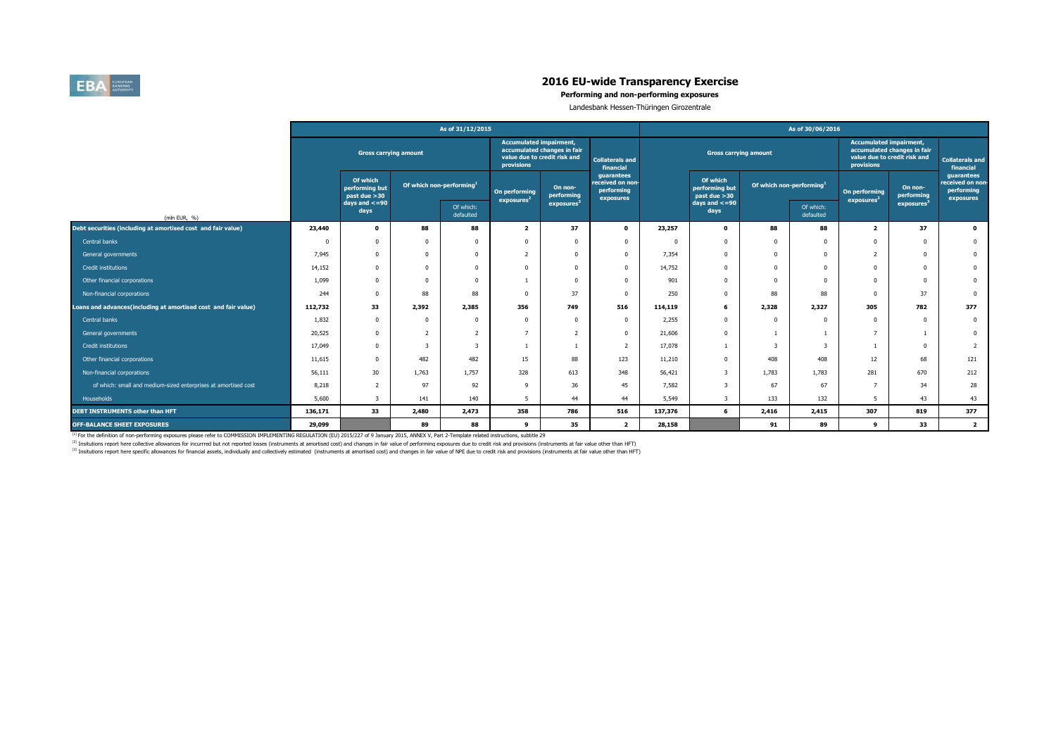

#### **Performing and non-performing exposures**

Landesbank Hessen-Thüringen Girozentrale

|                                                                |                              |                                            |                                                                | As of 31/12/2015 |                                              |                                                             |                                                           | As of 30/06/2016 |                                            |                                      |                        |                                              |                                                             |                                                           |  |  |  |
|----------------------------------------------------------------|------------------------------|--------------------------------------------|----------------------------------------------------------------|------------------|----------------------------------------------|-------------------------------------------------------------|-----------------------------------------------------------|------------------|--------------------------------------------|--------------------------------------|------------------------|----------------------------------------------|-------------------------------------------------------------|-----------------------------------------------------------|--|--|--|
|                                                                | <b>Gross carrying amount</b> |                                            |                                                                |                  | <b>Accumulated impairment,</b><br>provisions | accumulated changes in fair<br>value due to credit risk and | <b>Collaterals and</b><br>financial                       |                  | <b>Gross carrying amount</b>               |                                      |                        | <b>Accumulated impairment,</b><br>provisions | accumulated changes in fair<br>value due to credit risk and | <b>Collaterals and</b><br>financial                       |  |  |  |
|                                                                |                              | Of which<br>performing but<br>past due >30 | Of which non-performing <sup>1</sup><br>Of which:<br>defaulted |                  | On performing<br>exposures <sup>2</sup>      | On non-<br>performing                                       | guarantees<br>received on non-<br>performing<br>exposures |                  | Of which<br>performing but<br>past due >30 | Of which non-performing <sup>1</sup> |                        | On performing<br>exposures <sup>2</sup>      | On non-<br>performing                                       | guarantees<br>received on non-<br>performing<br>exposures |  |  |  |
| (mln EUR, %)                                                   |                              | days and $\lt$ =90<br>days                 |                                                                |                  |                                              | exposures <sup>3</sup>                                      |                                                           |                  | days and $\lt=90$<br>days                  |                                      | Of which:<br>defaulted | exposures                                    |                                                             |                                                           |  |  |  |
| Debt securities (including at amortised cost and fair value)   | 23,440                       | $\mathbf 0$                                | 88                                                             | 88               | $\overline{2}$                               | 37                                                          | $\mathbf 0$                                               | 23,257           | $\mathbf 0$                                | 88                                   | 88                     | $\overline{2}$                               | 37                                                          | $\mathbf{0}$                                              |  |  |  |
| Central banks                                                  |                              | <sup>n</sup>                               |                                                                |                  | $\Omega$                                     |                                                             | $\Omega$                                                  |                  | <sup>n</sup>                               |                                      | $\Omega$               | $^{\circ}$                                   | $\Omega$                                                    | $\bf{0}$                                                  |  |  |  |
| General governments                                            | 7,945                        | $\Omega$                                   |                                                                |                  | 2                                            | n                                                           | $\Omega$                                                  | 7,354            | $^{\circ}$                                 | $\Omega$                             | $\Omega$               | 2                                            | $\Omega$                                                    | $\mathbf{0}$                                              |  |  |  |
| Credit institutions                                            | 14,152                       | $\Omega$                                   | $\Omega$                                                       | $\Omega$         | $\Omega$                                     | $\Omega$                                                    | $\mathbf{0}$                                              | 14,752           | $\Omega$                                   | $\Omega$                             | $\Omega$               | $^{\circ}$                                   | $\Omega$                                                    | $\mathbf{0}$                                              |  |  |  |
| Other financial corporations                                   | 1,099                        | $\Omega$                                   |                                                                |                  |                                              | n                                                           | $\Omega$                                                  | 901              | $\Omega$                                   | $\Omega$                             | $\Omega$               | $^{\circ}$                                   | $\Omega$                                                    | $\mathbf{0}$                                              |  |  |  |
| Non-financial corporations                                     | 244                          | $\Omega$                                   | 88                                                             | 88               | $\Omega$                                     | 37                                                          | $\Omega$                                                  | 250              | $\Omega$                                   | 88                                   | 88                     | $\Omega$                                     | 37                                                          | $\mathbf{0}$                                              |  |  |  |
| Loans and advances(including at amortised cost and fair value) | 112,732                      | 33                                         | 2,392                                                          | 2,385            | 356                                          | 749                                                         | 516                                                       | 114,119          | 6                                          | 2,328                                | 2,327                  | 305                                          | 782                                                         | 377                                                       |  |  |  |
| Central banks                                                  | 1,832                        | $\Omega$                                   | $\Omega$                                                       | $\Omega$         | $\Omega$                                     | $\Omega$                                                    | $\mathbf{0}$                                              | 2,255            | $\Omega$                                   |                                      | $\Omega$               | $^{\circ}$                                   | $\Omega$                                                    | $\mathbf{0}$                                              |  |  |  |
| General governments                                            | 20,525                       | $\Omega$                                   |                                                                | $\mathcal{L}$    | $\overline{7}$                               | $\overline{z}$                                              | $\Omega$                                                  | 21,606           | $\Omega$                                   |                                      |                        | $\overline{7}$                               |                                                             | $\mathbf{0}$                                              |  |  |  |
| Credit institutions                                            | 17,049                       | $\Omega$                                   |                                                                | 3                |                                              |                                                             | $\overline{\phantom{a}}$                                  | 17,078           |                                            |                                      | 3                      |                                              | $\Omega$                                                    | $\overline{2}$                                            |  |  |  |
| Other financial corporations                                   | 11,615                       | $\Omega$                                   | 482                                                            | 482              | 15                                           | 88                                                          | 123                                                       | 11,210           | $^{\circ}$                                 | 408                                  | 408                    | 12                                           | 68                                                          | 121                                                       |  |  |  |
| Non-financial corporations                                     | 56,111                       | 30                                         | 1,763                                                          | 1,757            | 328                                          | 613                                                         | 348                                                       | 56,421           | 3                                          | 1,783                                | 1,783                  | 281                                          | 670                                                         | 212                                                       |  |  |  |
| of which: small and medium-sized enterprises at amortised cost | 8,218                        | $\overline{2}$                             | 97                                                             | 92               | 9                                            | 36                                                          | 45                                                        | 7,582            | 3                                          | 67                                   | 67                     | $\overline{7}$                               | 34                                                          | 28                                                        |  |  |  |
| Households                                                     | 5,600                        | 3                                          | 141                                                            | 140              | -5                                           | 44                                                          | 44                                                        | 5,549            | $\overline{\mathbf{3}}$                    | 133                                  | 132                    | -5                                           | 43                                                          | 43                                                        |  |  |  |
| <b>DEBT INSTRUMENTS other than HFT</b>                         | 136,171                      | 33                                         | 2,480                                                          | 2,473            | 358                                          | 786                                                         | 516                                                       | 137,376          | 6                                          | 2,416                                | 2,415                  | 307                                          | 819                                                         | 377                                                       |  |  |  |
| <b>OFF-BALANCE SHEET EXPOSURES</b>                             | 29,099                       |                                            | 89                                                             | 88               | 9                                            | 35                                                          | $\overline{2}$                                            | 28,158           |                                            | 91                                   | 89                     | 9                                            | 33                                                          | $\overline{2}$                                            |  |  |  |

<sup>(1)</sup> For the definition of non-performing exposures please refer to COMMISSION IMPLEMENTING REGULATION (EU) 2015/227 of 9 January 2015, ANNEX V, Part 2-Template related instructions, subtitle 29

<sup>(2)</sup> Insitutions report here collective allowances for incurrred but not reported losses (instruments at amortised cost) and changes in fair value of performing exposures due to credit risk and provisions (instruments at

<sup>(3)</sup> Insitutions report here specific allowances for financial assets, individually and collectively estimated (instruments at amortised cost) and changes in fair value of NPE due to credit risk and provisions (instrument